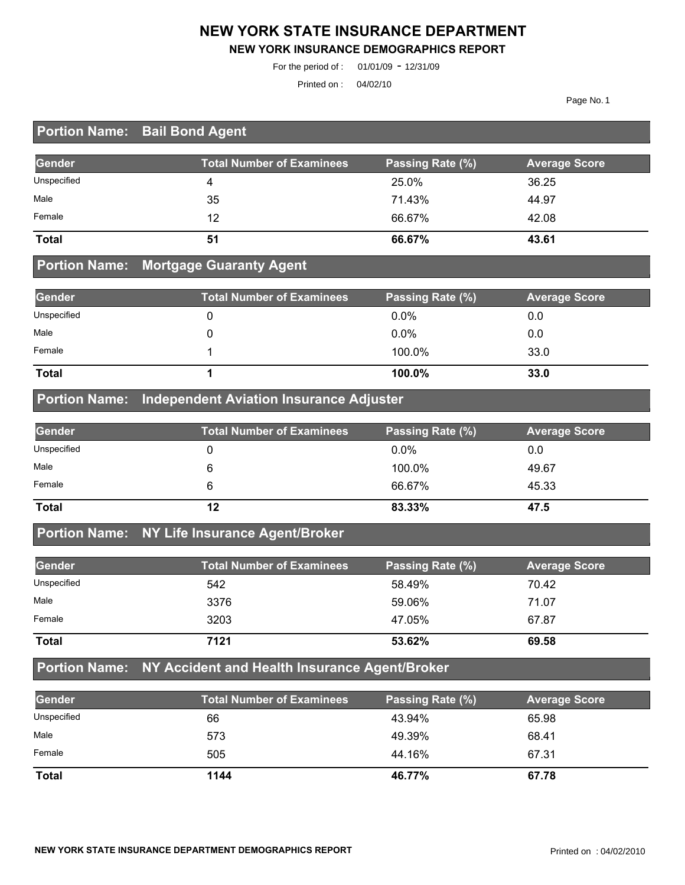#### **NEW YORK STATE INSURANCE DEPARTMENT**

#### **NEW YORK INSURANCE DEMOGRAPHICS REPORT**

For the period of : 01/01/09 - 12/31/09

Printed on : 04/02/10

Page No. 1

## **Portion Name: Bail Bond Agent**

| Gender       | <b>Total Number of Examinees</b> | Passing Rate (%) | <b>Average Score</b> |
|--------------|----------------------------------|------------------|----------------------|
| Unspecified  |                                  | 25.0%            | 36.25                |
| Male         | 35                               | 71.43%           | 44.97                |
| Female       | 12                               | 66.67%           | 42.08                |
| <b>Total</b> | 51                               | 66.67%           | 43.61                |

#### **Portion Name: Mortgage Guaranty Agent**

| Gender       | <b>Total Number of Examinees</b> | Passing Rate (%) | <b>Average Score</b> |
|--------------|----------------------------------|------------------|----------------------|
| Unspecified  |                                  | $0.0\%$          | 0.0                  |
| Male         |                                  | $0.0\%$          | 0.0                  |
| Female       |                                  | 100.0%           | 33.0                 |
| <b>Total</b> |                                  | 100.0%           | 33.0                 |

#### **Portion Name: Independent Aviation Insurance Adjuster**

| Gender       | <b>Total Number of Examinees</b> | Passing Rate (%) | <b>Average Score</b> |
|--------------|----------------------------------|------------------|----------------------|
| Unspecified  |                                  | $0.0\%$          | 0.0                  |
| Male         |                                  | 100.0%           | 49.67                |
| Female       |                                  | 66.67%           | 45.33                |
| <b>Total</b> | 12                               | 83.33%           | 47.5                 |

#### **Portion Name: NY Life Insurance Agent/Broker**

| Gender       | <b>Total Number of Examinees</b> | Passing Rate (%) | <b>Average Score</b> |
|--------------|----------------------------------|------------------|----------------------|
| Unspecified  | 542                              | 58.49%           | 70.42                |
| Male         | 3376                             | 59.06%           | 71.07                |
| Female       | 3203                             | 47.05%           | 67.87                |
| <b>Total</b> | 7121                             | 53.62%           | 69.58                |

# **Portion Name: NY Accident and Health Insurance Agent/Broker**

| Gender       | <b>Total Number of Examinees</b> | Passing Rate (%) | <b>Average Score</b> |
|--------------|----------------------------------|------------------|----------------------|
| Unspecified  | 66                               | 43.94%           | 65.98                |
| Male         | 573                              | 49.39%           | 68.41                |
| Female       | 505                              | 44.16%           | 67.31                |
| <b>Total</b> | 1144                             | 46.77%           | 67.78                |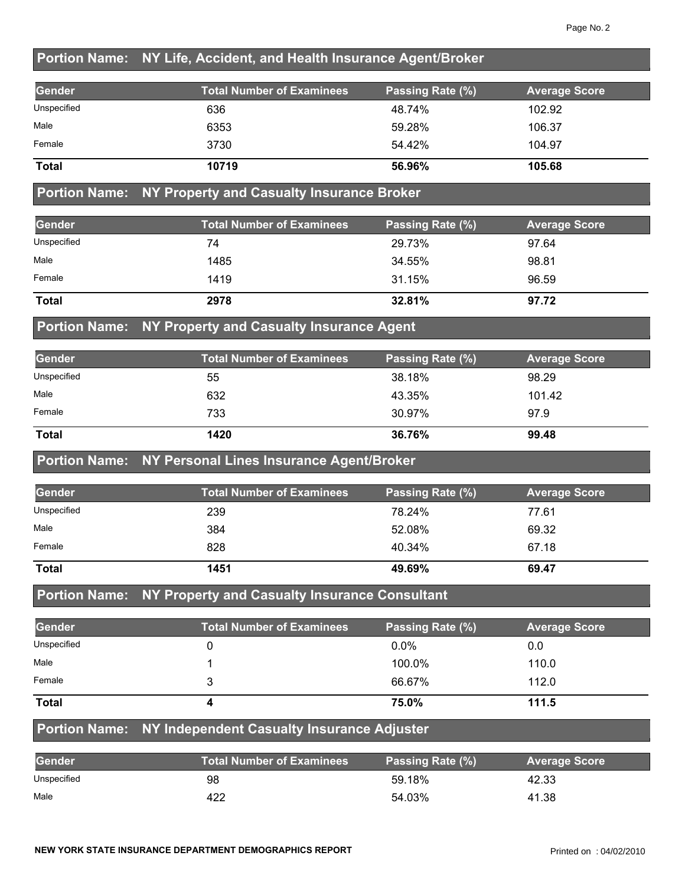### **Portion Name: NY Life, Accident, and Health Insurance Agent/Broker**

| Gender       | <b>Total Number of Examinees</b> | Passing Rate (%) | <b>Average Score</b> |
|--------------|----------------------------------|------------------|----------------------|
| Unspecified  | 636                              | 48.74%           | 102.92               |
| Male         | 6353                             | 59.28%           | 106.37               |
| Female       | 3730                             | 54.42%           | 104.97               |
| <b>Total</b> | 10719                            | 56.96%           | 105.68               |

### **Portion Name: NY Property and Casualty Insurance Broker**

| Gender       | <b>Total Number of Examinees</b> | Passing Rate (%) | <b>Average Score</b> |
|--------------|----------------------------------|------------------|----------------------|
| Unspecified  | 74                               | 29.73%           | 97.64                |
| Male         | 1485                             | 34.55%           | 98.81                |
| Female       | 1419                             | 31.15%           | 96.59                |
| <b>Total</b> | 2978                             | 32.81%           | 97.72                |

#### **Portion Name: NY Property and Casualty Insurance Agent**

| Gender       | <b>Total Number of Examinees</b> | Passing Rate (%) | <b>Average Score</b> |
|--------------|----------------------------------|------------------|----------------------|
| Unspecified  | 55                               | 38.18%           | 98.29                |
| Male         | 632                              | 43.35%           | 101.42               |
| Female       | 733                              | 30.97%           | 97.9                 |
| <b>Total</b> | 1420                             | 36.76%           | 99.48                |

#### **Portion Name: NY Personal Lines Insurance Agent/Broker**

| <b>Gender</b> | <b>Total Number of Examinees</b> | Passing Rate (%) | <b>Average Score</b> |
|---------------|----------------------------------|------------------|----------------------|
| Unspecified   | 239                              | 78.24%           | 77.61                |
| Male          | 384                              | 52.08%           | 69.32                |
| Female        | 828                              | 40.34%           | 67.18                |
| <b>Total</b>  | 1451                             | 49.69%           | 69.47                |

#### **Portion Name: NY Property and Casualty Insurance Consultant**

| Gender       | <b>Total Number of Examinees</b> | Passing Rate (%) | <b>Average Score</b> |
|--------------|----------------------------------|------------------|----------------------|
| Unspecified  |                                  | $0.0\%$          | 0.0                  |
| Male         |                                  | 100.0%           | 110.0                |
| Female       |                                  | 66.67%           | 112.0                |
| <b>Total</b> |                                  | 75.0%            | 111.5                |

#### **Portion Name: NY Independent Casualty Insurance Adjuster**

| <b>Gender</b> | <b>Total Number of Examinees</b> | Passing Rate (%) | <b>Average Score</b> |
|---------------|----------------------------------|------------------|----------------------|
| Unspecified   | 98                               | 59.18%           | 42.33                |
| Male          | 422                              | 54.03%           | 41.38                |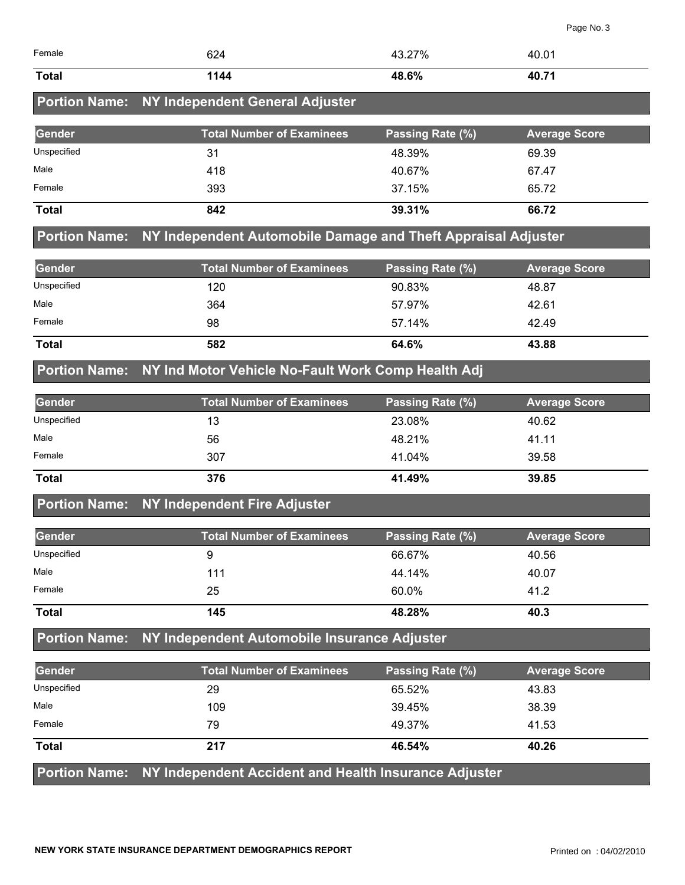| Female               | 624                                                           | 43.27%           | 40.01                |
|----------------------|---------------------------------------------------------------|------------------|----------------------|
| <b>Total</b>         | 1144                                                          | 48.6%            | 40.71                |
| <b>Portion Name:</b> | NY Independent General Adjuster                               |                  |                      |
| <b>Gender</b>        | <b>Total Number of Examinees</b>                              | Passing Rate (%) | <b>Average Score</b> |
| Unspecified          | 31                                                            | 48.39%           | 69.39                |
| Male                 | 418                                                           | 40.67%           | 67.47                |
| Female               | 393                                                           | 37.15%           | 65.72                |
| <b>Total</b>         | 842                                                           | 39.31%           | 66.72                |
| <b>Portion Name:</b> | NY Independent Automobile Damage and Theft Appraisal Adjuster |                  |                      |
| <b>Gender</b>        | <b>Total Number of Examinees</b>                              | Passing Rate (%) | <b>Average Score</b> |
| Unspecified          | 120                                                           | 90.83%           | 48.87                |
| Male                 | 364                                                           | 57.97%           | 42.61                |
| Female               | 98                                                            | 57.14%           | 42.49                |
| <b>Total</b>         | 582                                                           | 64.6%            | 43.88                |
| <b>Portion Name:</b> | NY Ind Motor Vehicle No-Fault Work Comp Health Adj            |                  |                      |
| <b>Gender</b>        | <b>Total Number of Examinees</b>                              | Passing Rate (%) | <b>Average Score</b> |
| Unspecified          | 13                                                            | 23.08%           | 40.62                |
| Male                 | 56                                                            | 48.21%           | 41.11                |
| Female               | 307                                                           | 41.04%           | 39.58                |
| <b>Total</b>         | 376                                                           | 41.49%           | 39.85                |
| <b>Portion Name:</b> | NY Independent Fire Adjuster                                  |                  |                      |
| Gender               | <b>Total Number of Examinees</b>                              | Passing Rate (%) | <b>Average Score</b> |
| Unspecified          | 9                                                             | 66.67%           | 40.56                |
| Male                 | 111                                                           | 44.14%           | 40.07                |
| Female               | 25                                                            | 60.0%            | 41.2                 |
| <b>Total</b>         | 145                                                           | 48.28%           | 40.3                 |
| <b>Portion Name:</b> | NY Independent Automobile Insurance Adjuster                  |                  |                      |
| Gender               | <b>Total Number of Examinees</b>                              | Passing Rate (%) | <b>Average Score</b> |
| Unspecified          | 29                                                            | 65.52%           | 43.83                |
| Male                 | 109                                                           | 39.45%           | 38.39                |
| Female               | 79                                                            | 49.37%           | 41.53                |

**Portion Name: NY Independent Accident and Health Insurance Adjuster** 

**Total 217 46.54% 40.26**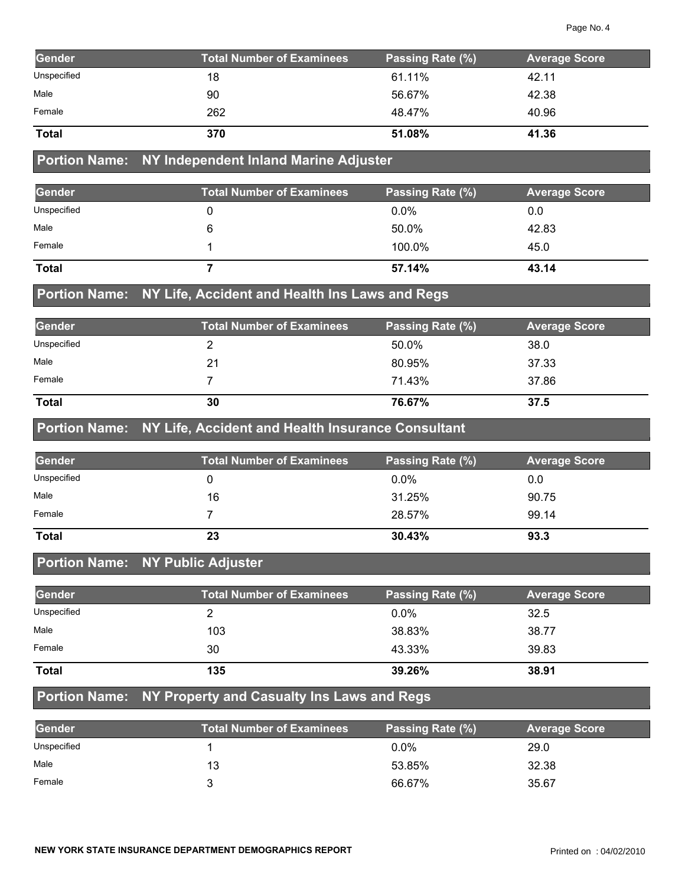| Gender               | <b>Total Number of Examinees</b>                  | Passing Rate (%) | <b>Average Score</b> |
|----------------------|---------------------------------------------------|------------------|----------------------|
| Unspecified          | 18                                                | 61.11%           | 42.11                |
| Male                 | 90                                                | 56.67%           | 42.38                |
| Female               | 262                                               | 48.47%           | 40.96                |
| <b>Total</b>         | 370                                               | 51.08%           | 41.36                |
| <b>Portion Name:</b> | NY Independent Inland Marine Adjuster             |                  |                      |
| Gender               | <b>Total Number of Examinees</b>                  | Passing Rate (%) | <b>Average Score</b> |
| Unspecified          | 0                                                 | 0.0%             | 0.0                  |
| Male                 | 6                                                 | 50.0%            | 42.83                |
| Female               | 1                                                 | 100.0%           | 45.0                 |
| <b>Total</b>         | $\overline{7}$                                    | 57.14%           | 43.14                |
| <b>Portion Name:</b> | NY Life, Accident and Health Ins Laws and Regs    |                  |                      |
| Gender               | <b>Total Number of Examinees</b>                  | Passing Rate (%) | <b>Average Score</b> |
| Unspecified          | 2                                                 | 50.0%            | 38.0                 |
| Male                 | 21                                                | 80.95%           | 37.33                |
| Female               | $\overline{7}$                                    | 71.43%           | 37.86                |
| <b>Total</b>         | 30                                                | 76.67%           | 37.5                 |
| <b>Portion Name:</b> | NY Life, Accident and Health Insurance Consultant |                  |                      |
| Gender               | <b>Total Number of Examinees</b>                  | Passing Rate (%) | <b>Average Score</b> |
| Unspecified          | 0                                                 | 0.0%             | 0.0                  |
| Male                 | 16                                                | 31.25%           | 90.75                |
| Female               | $\overline{7}$                                    | 28.57%           | 99.14                |
| <b>Total</b>         | 23                                                | 30.43%           | 93.3                 |
|                      | Portion Name: NY Public Adjuster                  |                  |                      |
| Gender               | <b>Total Number of Examinees</b>                  | Passing Rate (%) | <b>Average Score</b> |
| Unspecified          | $\overline{2}$                                    | 0.0%             | 32.5                 |
| Male                 | 103                                               | 38.83%           | 38.77                |
| Female               | 30                                                | 43.33%           | 39.83                |
| <b>Total</b>         | 135                                               | 39.26%           | 38.91                |
| <b>Portion Name:</b> | NY Property and Casualty Ins Laws and Regs        |                  |                      |
| Gender               | <b>Total Number of Examinees</b>                  | Passing Rate (%) | <b>Average Score</b> |
| Unspecified          | 1                                                 | 0.0%             | 29.0                 |
| Male                 | 13                                                | 53.85%           | 32.38                |
| Female               | 3                                                 | 66.67%           | 35.67                |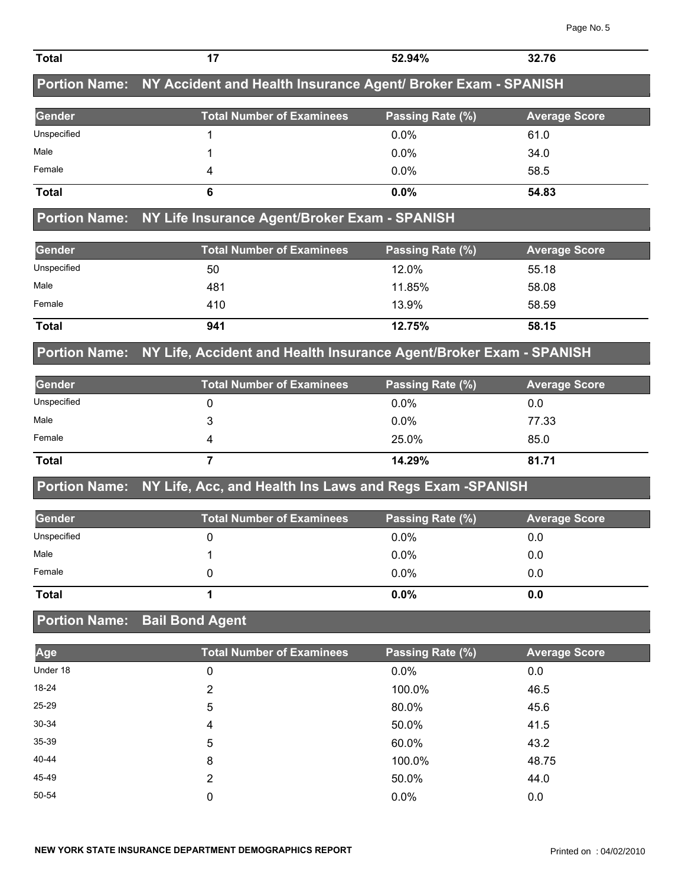|                      | Portion Name: NY Accident and Health Insurance Agent/ Broker Exam - SPANISH |                  |                      |
|----------------------|-----------------------------------------------------------------------------|------------------|----------------------|
| <b>Gender</b>        | <b>Total Number of Examinees</b>                                            | Passing Rate (%) | <b>Average Score</b> |
| Unspecified          | 1                                                                           | 0.0%             | 61.0                 |
| Male                 | 1                                                                           | 0.0%             | 34.0                 |
| Female               | 4                                                                           | 0.0%             | 58.5                 |
| <b>Total</b>         | 6                                                                           | 0.0%             | 54.83                |
|                      | Portion Name: NY Life Insurance Agent/Broker Exam - SPANISH                 |                  |                      |
| <b>Gender</b>        | <b>Total Number of Examinees</b>                                            | Passing Rate (%) | <b>Average Score</b> |
| Unspecified          | 50                                                                          | 12.0%            | 55.18                |
| Male                 | 481                                                                         | 11.85%           | 58.08                |
| Female               | 410                                                                         | 13.9%            | 58.59                |
| <b>Total</b>         | 941                                                                         | 12.75%           | 58.15                |
| <b>Portion Name:</b> | NY Life, Accident and Health Insurance Agent/Broker Exam - SPANISH          |                  |                      |
| <b>Gender</b>        | <b>Total Number of Examinees</b>                                            | Passing Rate (%) | <b>Average Score</b> |
| Unspecified          | 0                                                                           | 0.0%             | 0.0                  |
| Male                 | 3                                                                           | 0.0%             | 77.33                |
| Female               | 4                                                                           | 25.0%            | 85.0                 |
| <b>Total</b>         | $\overline{7}$                                                              | 14.29%           | 81.71                |
| <b>Portion Name:</b> | NY Life, Acc, and Health Ins Laws and Regs Exam -SPANISH                    |                  |                      |
| <b>Gender</b>        | <b>Total Number of Examinees</b>                                            | Passing Rate (%) | <b>Average Score</b> |
| Unspecified          | 0                                                                           | 0.0%             | 0.0                  |
| Male                 | 1                                                                           | 0.0%             | 0.0                  |
| Female               | 0                                                                           | 0.0%             | 0.0                  |
| <b>Total</b>         | 1                                                                           | 0.0%             | 0.0                  |
|                      | <b>Portion Name: Bail Bond Agent</b>                                        |                  |                      |
| Age                  | <b>Total Number of Examinees</b>                                            | Passing Rate (%) | <b>Average Score</b> |
| Under 18             | 0                                                                           | 0.0%             | 0.0                  |
| 18-24                | $\overline{2}$                                                              | 100.0%           | 46.5                 |
| 25-29                | 5                                                                           | 80.0%            | 45.6                 |
| 30-34                | 4                                                                           | 50.0%            | 41.5                 |
| 35-39                | 5                                                                           | 60.0%            | 43.2                 |
| 40-44                | 8                                                                           | 100.0%           | 48.75                |
| 45-49                | 2                                                                           | 50.0%            | 44.0                 |
| 50-54                | 0                                                                           | 0.0%             | 0.0                  |

**Total 17 52.94% 32.76**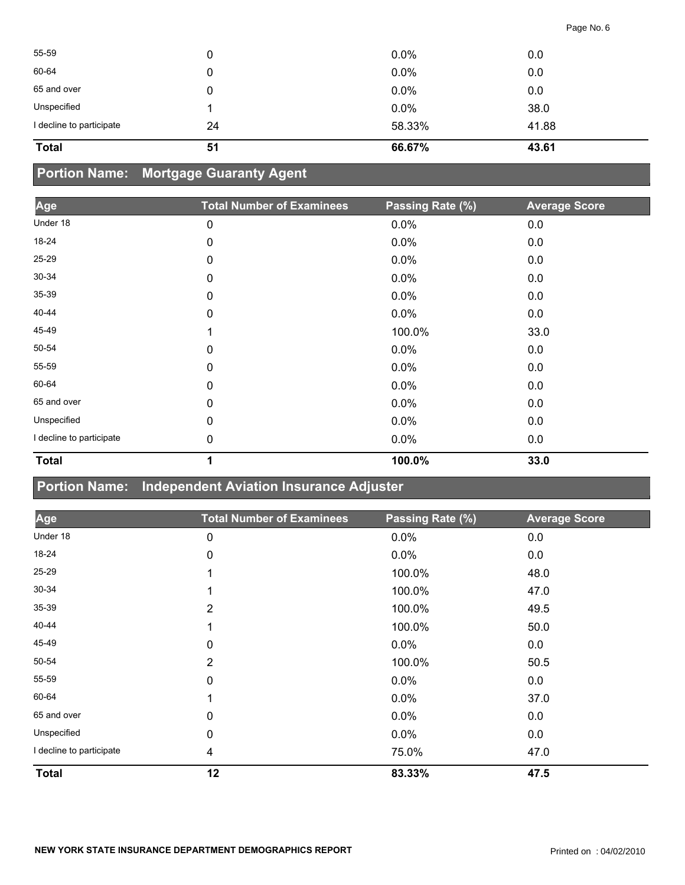| <b>Total</b>             | 51 | 66.67% | 43.61 |
|--------------------------|----|--------|-------|
| I decline to participate | 24 | 58.33% | 41.88 |
| Unspecified              |    | 0.0%   | 38.0  |
| 65 and over              | 0  | 0.0%   | 0.0   |
| 60-64                    | 0  | 0.0%   | 0.0   |
| 55-59                    | 0  | 0.0%   | 0.0   |
|                          |    |        |       |

## **Portion Name: Mortgage Guaranty Agent**

| Age                      | <b>Total Number of Examinees</b> | Passing Rate (%) | <b>Average Score</b> |
|--------------------------|----------------------------------|------------------|----------------------|
| Under 18                 | 0                                | 0.0%             | 0.0                  |
| 18-24                    | 0                                | $0.0\%$          | 0.0                  |
| 25-29                    | 0                                | 0.0%             | 0.0                  |
| 30-34                    | 0                                | 0.0%             | 0.0                  |
| 35-39                    | 0                                | 0.0%             | 0.0                  |
| 40-44                    | 0                                | $0.0\%$          | 0.0                  |
| 45-49                    | 1                                | 100.0%           | 33.0                 |
| 50-54                    | 0                                | $0.0\%$          | 0.0                  |
| 55-59                    | 0                                | $0.0\%$          | 0.0                  |
| 60-64                    | 0                                | 0.0%             | 0.0                  |
| 65 and over              | 0                                | 0.0%             | 0.0                  |
| Unspecified              | 0                                | $0.0\%$          | 0.0                  |
| I decline to participate | 0                                | 0.0%             | 0.0                  |
| <b>Total</b>             | 1                                | 100.0%           | 33.0                 |

### **Portion Name: Independent Aviation Insurance Adjuster**

| Age                      | <b>Total Number of Examinees</b> | Passing Rate (%) | <b>Average Score</b> |
|--------------------------|----------------------------------|------------------|----------------------|
| Under 18                 | 0                                | 0.0%             | 0.0                  |
| 18-24                    | 0                                | $0.0\%$          | 0.0                  |
| 25-29                    |                                  | 100.0%           | 48.0                 |
| $30 - 34$                |                                  | 100.0%           | 47.0                 |
| 35-39                    | $\overline{2}$                   | 100.0%           | 49.5                 |
| 40-44                    |                                  | 100.0%           | 50.0                 |
| 45-49                    | 0                                | 0.0%             | 0.0                  |
| 50-54                    | 2                                | 100.0%           | 50.5                 |
| 55-59                    | 0                                | 0.0%             | 0.0                  |
| 60-64                    |                                  | 0.0%             | 37.0                 |
| 65 and over              | 0                                | $0.0\%$          | 0.0                  |
| Unspecified              | 0                                | 0.0%             | 0.0                  |
| I decline to participate | 4                                | 75.0%            | 47.0                 |
| <b>Total</b>             | 12                               | 83.33%           | 47.5                 |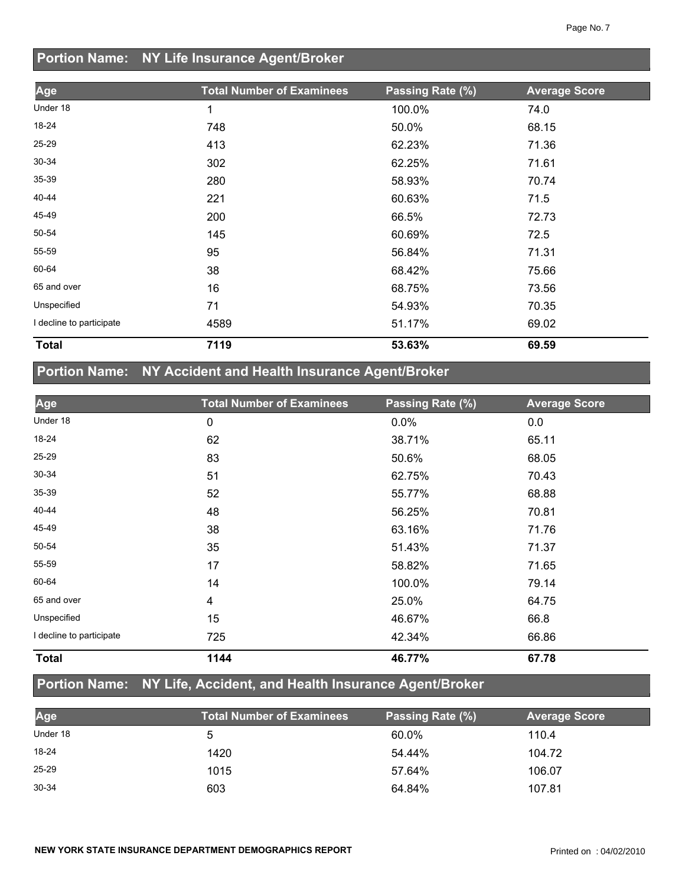## **Portion Name: NY Life Insurance Agent/Broker**

| Age                      | <b>Total Number of Examinees</b> | Passing Rate (%) | <b>Average Score</b> |
|--------------------------|----------------------------------|------------------|----------------------|
|                          |                                  |                  |                      |
| Under 18                 | 1                                | 100.0%           | 74.0                 |
| 18-24                    | 748                              | 50.0%            | 68.15                |
| 25-29                    | 413                              | 62.23%           | 71.36                |
| 30-34                    | 302                              | 62.25%           | 71.61                |
| 35-39                    | 280                              | 58.93%           | 70.74                |
| 40-44                    | 221                              | 60.63%           | 71.5                 |
| 45-49                    | 200                              | 66.5%            | 72.73                |
| 50-54                    | 145                              | 60.69%           | 72.5                 |
| 55-59                    | 95                               | 56.84%           | 71.31                |
| 60-64                    | 38                               | 68.42%           | 75.66                |
| 65 and over              | 16                               | 68.75%           | 73.56                |
| Unspecified              | 71                               | 54.93%           | 70.35                |
| I decline to participate | 4589                             | 51.17%           | 69.02                |
| <b>Total</b>             | 7119                             | 53.63%           | 69.59                |

# **Portion Name: NY Accident and Health Insurance Agent/Broker**

| Age                      | <b>Total Number of Examinees</b> | Passing Rate (%) | <b>Average Score</b> |
|--------------------------|----------------------------------|------------------|----------------------|
| Under 18                 | 0                                | $0.0\%$          | 0.0                  |
| 18-24                    | 62                               | 38.71%           | 65.11                |
| 25-29                    | 83                               | 50.6%            | 68.05                |
| 30-34                    | 51                               | 62.75%           | 70.43                |
| 35-39                    | 52                               | 55.77%           | 68.88                |
| 40-44                    | 48                               | 56.25%           | 70.81                |
| 45-49                    | 38                               | 63.16%           | 71.76                |
| 50-54                    | 35                               | 51.43%           | 71.37                |
| 55-59                    | 17                               | 58.82%           | 71.65                |
| 60-64                    | 14                               | 100.0%           | 79.14                |
| 65 and over              | 4                                | 25.0%            | 64.75                |
| Unspecified              | 15                               | 46.67%           | 66.8                 |
| I decline to participate | 725                              | 42.34%           | 66.86                |
| <b>Total</b>             | 1144                             | 46.77%           | 67.78                |

## **Portion Name: NY Life, Accident, and Health Insurance Agent/Broker**

| Age       | <b>Total Number of Examinees</b> | Passing Rate (%) | <b>Average Score</b> |
|-----------|----------------------------------|------------------|----------------------|
| Under 18  |                                  | 60.0%            | 110.4                |
| 18-24     | 1420                             | 54.44%           | 104.72               |
| $25 - 29$ | 1015                             | 57.64%           | 106.07               |
| 30-34     | 603                              | 64.84%           | 107.81               |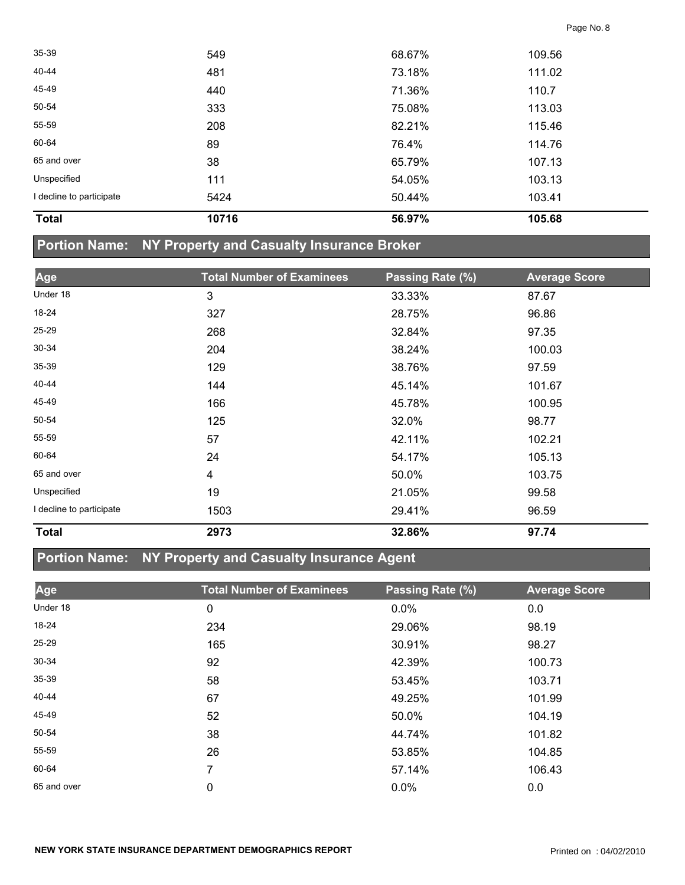| <b>Total</b>             | 10716 | 56.97% | 105.68 |  |
|--------------------------|-------|--------|--------|--|
| I decline to participate | 5424  | 50.44% | 103.41 |  |
| Unspecified              | 111   | 54.05% | 103.13 |  |
| 65 and over              | 38    | 65.79% | 107.13 |  |
| 60-64                    | 89    | 76.4%  | 114.76 |  |
| 55-59                    | 208   | 82.21% | 115.46 |  |
| 50-54                    | 333   | 75.08% | 113.03 |  |
| 45-49                    | 440   | 71.36% | 110.7  |  |
| 40-44                    | 481   | 73.18% | 111.02 |  |
| 35-39                    | 549   | 68.67% | 109.56 |  |
|                          |       |        |        |  |

## **Portion Name: NY Property and Casualty Insurance Broker**

| Age                      | <b>Total Number of Examinees</b> | Passing Rate (%) | <b>Average Score</b> |
|--------------------------|----------------------------------|------------------|----------------------|
| Under 18                 | 3                                | 33.33%           | 87.67                |
| 18-24                    | 327                              | 28.75%           | 96.86                |
| 25-29                    | 268                              | 32.84%           | 97.35                |
| 30-34                    | 204                              | 38.24%           | 100.03               |
| $35 - 39$                | 129                              | 38.76%           | 97.59                |
| 40-44                    | 144                              | 45.14%           | 101.67               |
| 45-49                    | 166                              | 45.78%           | 100.95               |
| 50-54                    | 125                              | 32.0%            | 98.77                |
| 55-59                    | 57                               | 42.11%           | 102.21               |
| 60-64                    | 24                               | 54.17%           | 105.13               |
| 65 and over              | 4                                | 50.0%            | 103.75               |
| Unspecified              | 19                               | 21.05%           | 99.58                |
| I decline to participate | 1503                             | 29.41%           | 96.59                |
| <b>Total</b>             | 2973                             | 32.86%           | 97.74                |

## **Portion Name: NY Property and Casualty Insurance Agent**

| Age         | <b>Total Number of Examinees</b> | Passing Rate (%) | <b>Average Score</b> |
|-------------|----------------------------------|------------------|----------------------|
| Under 18    | 0                                | 0.0%             | 0.0                  |
| 18-24       | 234                              | 29.06%           | 98.19                |
| 25-29       | 165                              | 30.91%           | 98.27                |
| 30-34       | 92                               | 42.39%           | 100.73               |
| 35-39       | 58                               | 53.45%           | 103.71               |
| 40-44       | 67                               | 49.25%           | 101.99               |
| 45-49       | 52                               | 50.0%            | 104.19               |
| 50-54       | 38                               | 44.74%           | 101.82               |
| 55-59       | 26                               | 53.85%           | 104.85               |
| 60-64       | 7                                | 57.14%           | 106.43               |
| 65 and over | 0                                | 0.0%             | 0.0                  |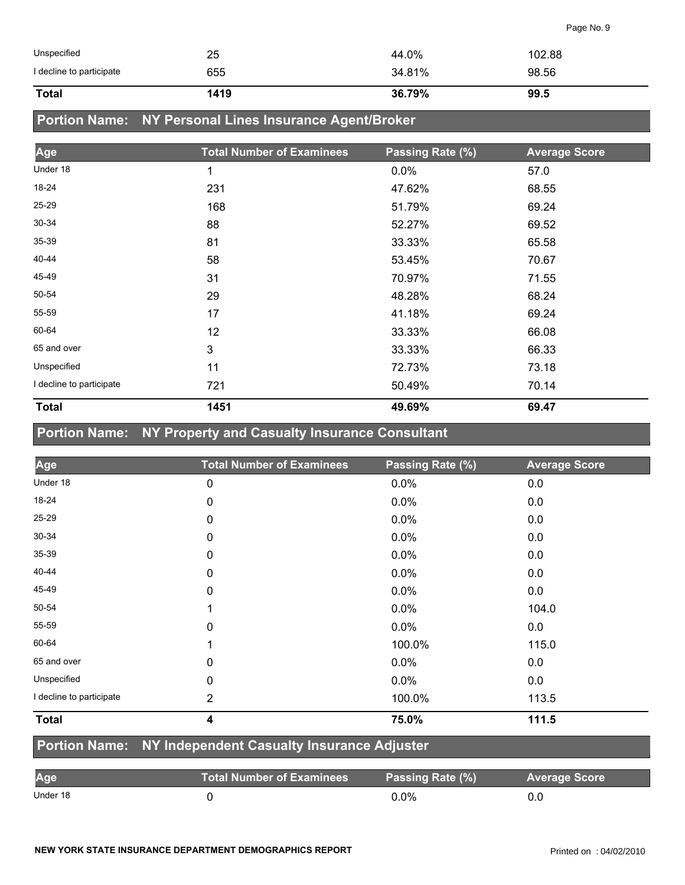| Unspecified              | 25   | 44.0%  | 102.88 |
|--------------------------|------|--------|--------|
| I decline to participate | 655  | 34.81% | 98.56  |
| <b>Total</b>             | 1419 | 36.79% | 99.5   |

## **Portion Name: NY Personal Lines Insurance Agent/Broker**

| Age                      | <b>Total Number of Examinees</b> | Passing Rate (%) | <b>Average Score</b> |
|--------------------------|----------------------------------|------------------|----------------------|
| Under 18                 | 1                                | 0.0%             | 57.0                 |
| 18-24                    | 231                              | 47.62%           | 68.55                |
| 25-29                    | 168                              | 51.79%           | 69.24                |
| 30-34                    | 88                               | 52.27%           | 69.52                |
| 35-39                    | 81                               | 33.33%           | 65.58                |
| 40-44                    | 58                               | 53.45%           | 70.67                |
| 45-49                    | 31                               | 70.97%           | 71.55                |
| 50-54                    | 29                               | 48.28%           | 68.24                |
| 55-59                    | 17                               | 41.18%           | 69.24                |
| 60-64                    | 12                               | 33.33%           | 66.08                |
| 65 and over              | 3                                | 33.33%           | 66.33                |
| Unspecified              | 11                               | 72.73%           | 73.18                |
| I decline to participate | 721                              | 50.49%           | 70.14                |
| <b>Total</b>             | 1451                             | 49.69%           | 69.47                |

## **Portion Name: NY Property and Casualty Insurance Consultant**

| Age                      | <b>Total Number of Examinees</b> | Passing Rate (%) | <b>Average Score</b> |
|--------------------------|----------------------------------|------------------|----------------------|
| Under 18                 | 0                                | 0.0%             | 0.0                  |
| 18-24                    | 0                                | 0.0%             | 0.0                  |
| 25-29                    | 0                                | 0.0%             | 0.0                  |
| 30-34                    | 0                                | 0.0%             | 0.0                  |
| $35 - 39$                | 0                                | 0.0%             | 0.0                  |
| 40-44                    | 0                                | 0.0%             | 0.0                  |
| 45-49                    | 0                                | 0.0%             | 0.0                  |
| 50-54                    | 1                                | 0.0%             | 104.0                |
| 55-59                    | 0                                | 0.0%             | 0.0                  |
| 60-64                    | 1                                | 100.0%           | 115.0                |
| 65 and over              | 0                                | 0.0%             | 0.0                  |
| Unspecified              | $\mathbf 0$                      | $0.0\%$          | 0.0                  |
| I decline to participate | $\overline{2}$                   | 100.0%           | 113.5                |
| <b>Total</b>             | 4                                | 75.0%            | 111.5                |

#### **Portion Name: NY Independent Casualty Insurance Adjuster**

| Age      | Total Number of Examinees | Passing Rate (%) | <b>Average Score</b> |
|----------|---------------------------|------------------|----------------------|
| Under 18 |                           | $0.0\%$          |                      |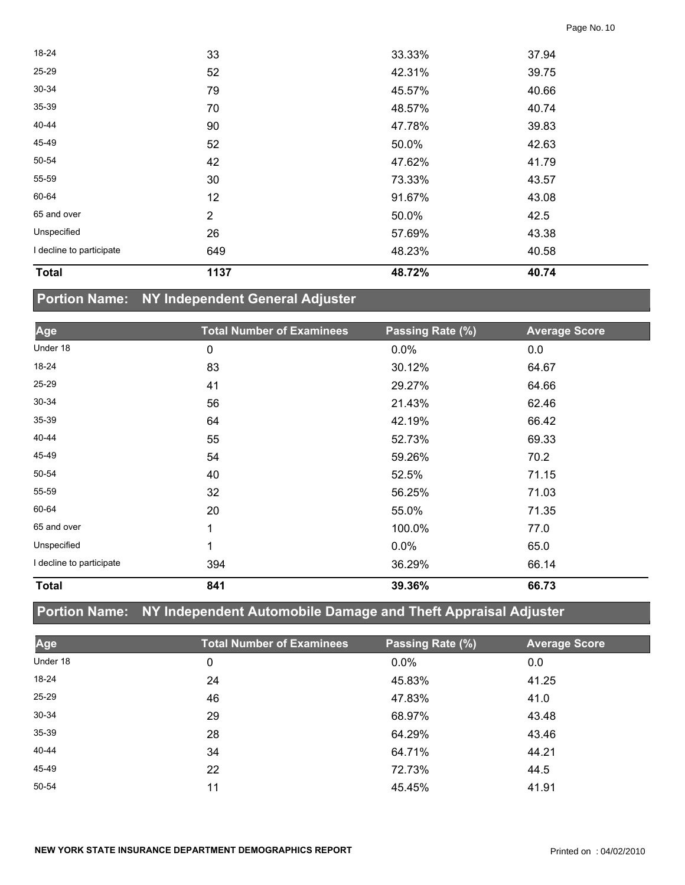| <b>Total</b>             | 1137           | 48.72% | 40.74 |  |
|--------------------------|----------------|--------|-------|--|
| I decline to participate | 649            | 48.23% | 40.58 |  |
| Unspecified              | 26             | 57.69% | 43.38 |  |
| 65 and over              | $\overline{2}$ | 50.0%  | 42.5  |  |
| 60-64                    | 12             | 91.67% | 43.08 |  |
| 55-59                    | 30             | 73.33% | 43.57 |  |
| 50-54                    | 42             | 47.62% | 41.79 |  |
| 45-49                    | 52             | 50.0%  | 42.63 |  |
| 40-44                    | 90             | 47.78% | 39.83 |  |
| 35-39                    | 70             | 48.57% | 40.74 |  |
| 30-34                    | 79             | 45.57% | 40.66 |  |
| 25-29                    | 52             | 42.31% | 39.75 |  |
| 18-24                    | 33             | 33.33% | 37.94 |  |

## **Portion Name: NY Independent General Adjuster**

| Age                      | <b>Total Number of Examinees</b> | Passing Rate (%) | <b>Average Score</b> |
|--------------------------|----------------------------------|------------------|----------------------|
| Under 18                 | 0                                | 0.0%             | 0.0                  |
| 18-24                    | 83                               | 30.12%           | 64.67                |
| 25-29                    | 41                               | 29.27%           | 64.66                |
| 30-34                    | 56                               | 21.43%           | 62.46                |
| 35-39                    | 64                               | 42.19%           | 66.42                |
| 40-44                    | 55                               | 52.73%           | 69.33                |
| 45-49                    | 54                               | 59.26%           | 70.2                 |
| 50-54                    | 40                               | 52.5%            | 71.15                |
| 55-59                    | 32                               | 56.25%           | 71.03                |
| 60-64                    | 20                               | 55.0%            | 71.35                |
| 65 and over              | 1                                | 100.0%           | 77.0                 |
| Unspecified              | 1                                | $0.0\%$          | 65.0                 |
| I decline to participate | 394                              | 36.29%           | 66.14                |
| <b>Total</b>             | 841                              | 39.36%           | 66.73                |

## **Portion Name: NY Independent Automobile Damage and Theft Appraisal Adjuster**

| Age       | <b>Total Number of Examinees</b> | Passing Rate (%) | <b>Average Score</b> |
|-----------|----------------------------------|------------------|----------------------|
| Under 18  | 0                                | $0.0\%$          | 0.0                  |
| 18-24     | 24                               | 45.83%           | 41.25                |
| 25-29     | 46                               | 47.83%           | 41.0                 |
| $30 - 34$ | 29                               | 68.97%           | 43.48                |
| 35-39     | 28                               | 64.29%           | 43.46                |
| 40-44     | 34                               | 64.71%           | 44.21                |
| 45-49     | 22                               | 72.73%           | 44.5                 |
| $50 - 54$ | 11                               | 45.45%           | 41.91                |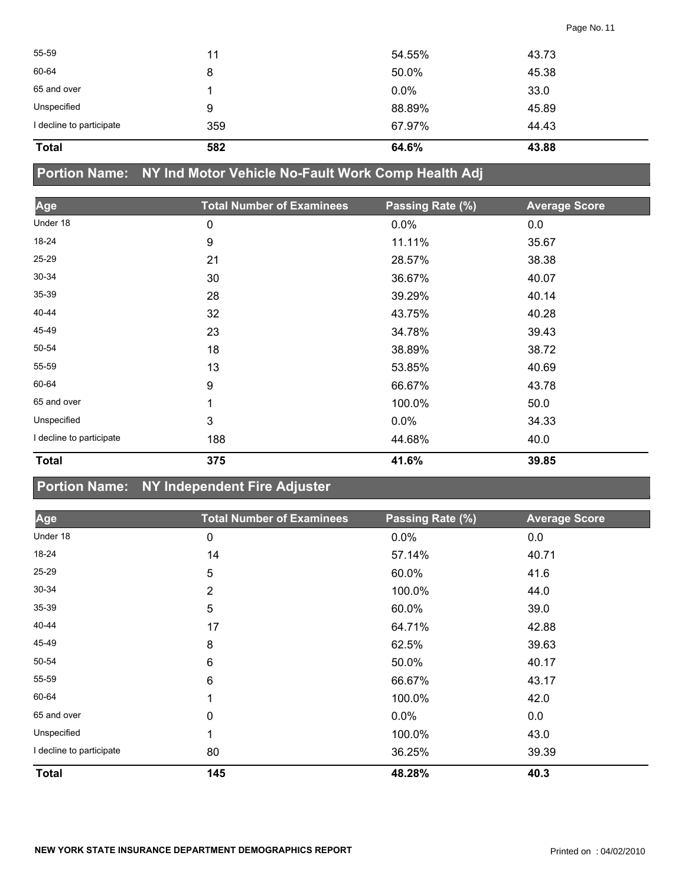| <b>Total</b>             | 582 | 64.6%  | 43.88 |
|--------------------------|-----|--------|-------|
| I decline to participate | 359 | 67.97% | 44.43 |
| Unspecified              | 9   | 88.89% | 45.89 |
| 65 and over              |     | 0.0%   | 33.0  |
| 60-64                    | 8   | 50.0%  | 45.38 |
| 55-59                    | 11  | 54.55% | 43.73 |
|                          |     |        |       |

**Portion Name: NY Ind Motor Vehicle No-Fault Work Comp Health Adj**

| Age                      | <b>Total Number of Examinees</b> | Passing Rate (%) | <b>Average Score</b> |
|--------------------------|----------------------------------|------------------|----------------------|
| Under 18                 | 0                                | 0.0%             | 0.0                  |
| 18-24                    | 9                                | 11.11%           | 35.67                |
| 25-29                    | 21                               | 28.57%           | 38.38                |
| $30 - 34$                | 30                               | 36.67%           | 40.07                |
| $35 - 39$                | 28                               | 39.29%           | 40.14                |
| 40-44                    | 32                               | 43.75%           | 40.28                |
| 45-49                    | 23                               | 34.78%           | 39.43                |
| 50-54                    | 18                               | 38.89%           | 38.72                |
| 55-59                    | 13                               | 53.85%           | 40.69                |
| 60-64                    | 9                                | 66.67%           | 43.78                |
| 65 and over              | 1                                | 100.0%           | 50.0                 |
| Unspecified              | 3                                | $0.0\%$          | 34.33                |
| I decline to participate | 188                              | 44.68%           | 40.0                 |
| <b>Total</b>             | 375                              | 41.6%            | 39.85                |

### **Portion Name: NY Independent Fire Adjuster**

| Age                      | <b>Total Number of Examinees</b> | Passing Rate (%) | <b>Average Score</b> |
|--------------------------|----------------------------------|------------------|----------------------|
| Under 18                 | $\pmb{0}$                        | 0.0%             | 0.0                  |
| 18-24                    | 14                               | 57.14%           | 40.71                |
| 25-29                    | 5                                | 60.0%            | 41.6                 |
| 30-34                    | $\overline{2}$                   | 100.0%           | 44.0                 |
| 35-39                    | 5                                | 60.0%            | 39.0                 |
| 40-44                    | 17                               | 64.71%           | 42.88                |
| 45-49                    | 8                                | 62.5%            | 39.63                |
| 50-54                    | 6                                | 50.0%            | 40.17                |
| 55-59                    | 6                                | 66.67%           | 43.17                |
| 60-64                    |                                  | 100.0%           | 42.0                 |
| 65 and over              | 0                                | $0.0\%$          | 0.0                  |
| Unspecified              |                                  | 100.0%           | 43.0                 |
| I decline to participate | 80                               | 36.25%           | 39.39                |
| <b>Total</b>             | 145                              | 48.28%           | 40.3                 |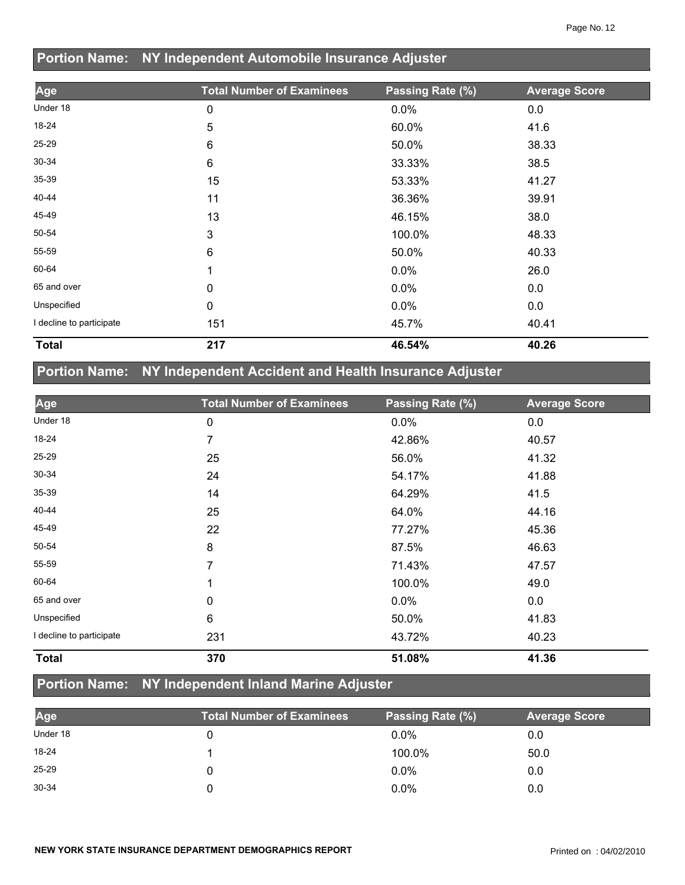|                          | Portion Name: NY Independent Automobile Insurance Adjuster |                  |                      |  |
|--------------------------|------------------------------------------------------------|------------------|----------------------|--|
| Age                      | <b>Total Number of Examinees</b>                           | Passing Rate (%) | <b>Average Score</b> |  |
| Under 18                 | 0                                                          | 0.0%             | 0.0                  |  |
| 18-24                    | 5                                                          | 60.0%            | 41.6                 |  |
| 25-29                    | 6                                                          | 50.0%            | 38.33                |  |
| $30 - 34$                | 6                                                          | 33.33%           | 38.5                 |  |
| 35-39                    | 15                                                         | 53.33%           | 41.27                |  |
| 40-44                    | 11                                                         | 36.36%           | 39.91                |  |
| 45-49                    | 13                                                         | 46.15%           | 38.0                 |  |
| 50-54                    | 3                                                          | 100.0%           | 48.33                |  |
| 55-59                    | 6                                                          | 50.0%            | 40.33                |  |
| 60-64                    |                                                            | 0.0%             | 26.0                 |  |
| 65 and over              | 0                                                          | 0.0%             | 0.0                  |  |
| Unspecified              | 0                                                          | 0.0%             | 0.0                  |  |
| I decline to participate | 151                                                        | 45.7%            | 40.41                |  |
| <b>Total</b>             | 217                                                        | 46.54%           | 40.26                |  |

## **Portion Name: NY Independent Accident and Health Insurance Adjuster**

| Age                      | <b>Total Number of Examinees</b> | Passing Rate (%) | <b>Average Score</b> |
|--------------------------|----------------------------------|------------------|----------------------|
| Under 18                 | 0                                | 0.0%             | 0.0                  |
| 18-24                    | 7                                | 42.86%           | 40.57                |
| 25-29                    | 25                               | 56.0%            | 41.32                |
| 30-34                    | 24                               | 54.17%           | 41.88                |
| 35-39                    | 14                               | 64.29%           | 41.5                 |
| 40-44                    | 25                               | 64.0%            | 44.16                |
| 45-49                    | 22                               | 77.27%           | 45.36                |
| 50-54                    | 8                                | 87.5%            | 46.63                |
| 55-59                    | 7                                | 71.43%           | 47.57                |
| 60-64                    | 1                                | 100.0%           | 49.0                 |
| 65 and over              | 0                                | $0.0\%$          | 0.0                  |
| Unspecified              | 6                                | 50.0%            | 41.83                |
| I decline to participate | 231                              | 43.72%           | 40.23                |
| <b>Total</b>             | 370                              | 51.08%           | 41.36                |

## **Portion Name: NY Independent Inland Marine Adjuster**

| Age       | <b>Total Number of Examinees</b> | Passing Rate (%) | <b>Average Score</b> |
|-----------|----------------------------------|------------------|----------------------|
| Under 18  |                                  | $0.0\%$          | 0.0                  |
| 18-24     |                                  | 100.0%           | 50.0                 |
| $25 - 29$ |                                  | $0.0\%$          | 0.0                  |
| 30-34     |                                  | $0.0\%$          | 0.0                  |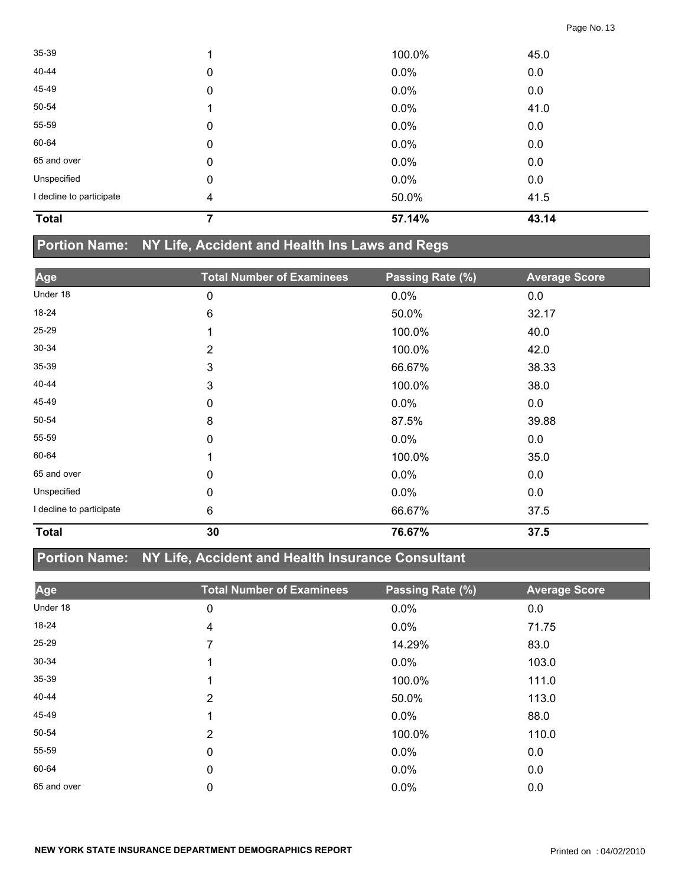| <b>Total</b>             |   | 57.14% | 43.14 |  |
|--------------------------|---|--------|-------|--|
| I decline to participate | 4 | 50.0%  | 41.5  |  |
| Unspecified              | 0 | 0.0%   | 0.0   |  |
| 65 and over              | 0 | 0.0%   | 0.0   |  |
| 60-64                    | 0 | 0.0%   | 0.0   |  |
| 55-59                    | 0 | 0.0%   | 0.0   |  |
| 50-54                    |   | 0.0%   | 41.0  |  |
| 45-49                    | 0 | 0.0%   | 0.0   |  |
| 40-44                    | 0 | 0.0%   | 0.0   |  |
| $35 - 39$                |   | 100.0% | 45.0  |  |

## **Portion Name: NY Life, Accident and Health Ins Laws and Regs**

| Age                      | <b>Total Number of Examinees</b> | Passing Rate (%) | <b>Average Score</b> |
|--------------------------|----------------------------------|------------------|----------------------|
| Under 18                 | 0                                | 0.0%             | 0.0                  |
| 18-24                    | 6                                | 50.0%            | 32.17                |
| $25 - 29$                |                                  | 100.0%           | 40.0                 |
| $30 - 34$                | $\overline{2}$                   | 100.0%           | 42.0                 |
| 35-39                    | 3                                | 66.67%           | 38.33                |
| 40-44                    | 3                                | 100.0%           | 38.0                 |
| 45-49                    | 0                                | $0.0\%$          | 0.0                  |
| 50-54                    | 8                                | 87.5%            | 39.88                |
| 55-59                    | 0                                | 0.0%             | 0.0                  |
| 60-64                    | 1                                | 100.0%           | 35.0                 |
| 65 and over              | 0                                | $0.0\%$          | 0.0                  |
| Unspecified              | 0                                | $0.0\%$          | 0.0                  |
| I decline to participate | 6                                | 66.67%           | 37.5                 |
| <b>Total</b>             | 30                               | 76.67%           | 37.5                 |

### **Portion Name: NY Life, Accident and Health Insurance Consultant**

| Age         | <b>Total Number of Examinees</b> | Passing Rate (%) | <b>Average Score</b> |
|-------------|----------------------------------|------------------|----------------------|
| Under 18    | 0                                | 0.0%             | 0.0                  |
| 18-24       | 4                                | $0.0\%$          | 71.75                |
| 25-29       | 7                                | 14.29%           | 83.0                 |
| 30-34       |                                  | $0.0\%$          | 103.0                |
| 35-39       |                                  | 100.0%           | 111.0                |
| 40-44       | 2                                | 50.0%            | 113.0                |
| 45-49       |                                  | $0.0\%$          | 88.0                 |
| 50-54       | 2                                | 100.0%           | 110.0                |
| 55-59       | 0                                | $0.0\%$          | 0.0                  |
| 60-64       | 0                                | $0.0\%$          | 0.0                  |
| 65 and over | 0                                | 0.0%             | 0.0                  |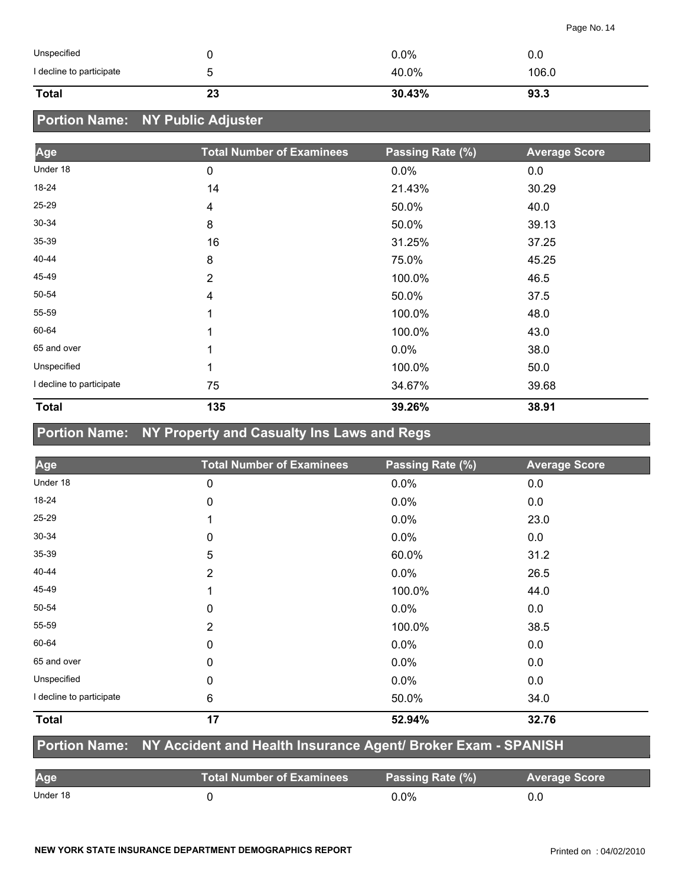| Unspecified              |    | $0.0\%$ | 0.0   |
|--------------------------|----|---------|-------|
| I decline to participate | ∽  | 40.0%   | 106.0 |
| <b>Total</b>             | 23 | 30.43%  | 93.3  |

## **Portion Name: NY Public Adjuster**

| Age                      | <b>Total Number of Examinees</b> | Passing Rate (%) | <b>Average Score</b> |
|--------------------------|----------------------------------|------------------|----------------------|
| Under 18                 | 0                                | 0.0%             | 0.0                  |
| 18-24                    | 14                               | 21.43%           | 30.29                |
| 25-29                    | 4                                | 50.0%            | 40.0                 |
| 30-34                    | 8                                | 50.0%            | 39.13                |
| $35 - 39$                | 16                               | 31.25%           | 37.25                |
| 40-44                    | 8                                | 75.0%            | 45.25                |
| 45-49                    | $\overline{2}$                   | 100.0%           | 46.5                 |
| 50-54                    | 4                                | 50.0%            | 37.5                 |
| 55-59                    | 1                                | 100.0%           | 48.0                 |
| 60-64                    | 1                                | 100.0%           | 43.0                 |
| 65 and over              | 1                                | 0.0%             | 38.0                 |
| Unspecified              | 1                                | 100.0%           | 50.0                 |
| I decline to participate | 75                               | 34.67%           | 39.68                |
| <b>Total</b>             | 135                              | 39.26%           | 38.91                |

## **Portion Name: NY Property and Casualty Ins Laws and Regs**

| Age                      | <b>Total Number of Examinees</b> | Passing Rate (%) | <b>Average Score</b> |
|--------------------------|----------------------------------|------------------|----------------------|
| Under 18                 | $\mathbf 0$                      | 0.0%             | 0.0                  |
| 18-24                    | 0                                | $0.0\%$          | 0.0                  |
| 25-29                    |                                  | 0.0%             | 23.0                 |
| 30-34                    | 0                                | $0.0\%$          | 0.0                  |
| 35-39                    | 5                                | 60.0%            | 31.2                 |
| 40-44                    | $\overline{2}$                   | $0.0\%$          | 26.5                 |
| 45-49                    | 1                                | 100.0%           | 44.0                 |
| 50-54                    | 0                                | 0.0%             | 0.0                  |
| 55-59                    | 2                                | 100.0%           | 38.5                 |
| 60-64                    | 0                                | 0.0%             | 0.0                  |
| 65 and over              | 0                                | $0.0\%$          | 0.0                  |
| Unspecified              | $\mathbf{0}$                     | $0.0\%$          | 0.0                  |
| I decline to participate | 6                                | 50.0%            | 34.0                 |
| <b>Total</b>             | 17                               | 52.94%           | 32.76                |

#### **Portion Name: NY Accident and Health Insurance Agent/ Broker Exam - SPANISH**

| Age      | <b>Total Number of Examinees</b> | Passing Rate (%) | <b>Average Score</b> |
|----------|----------------------------------|------------------|----------------------|
| Under 18 |                                  | $0.0\%$          |                      |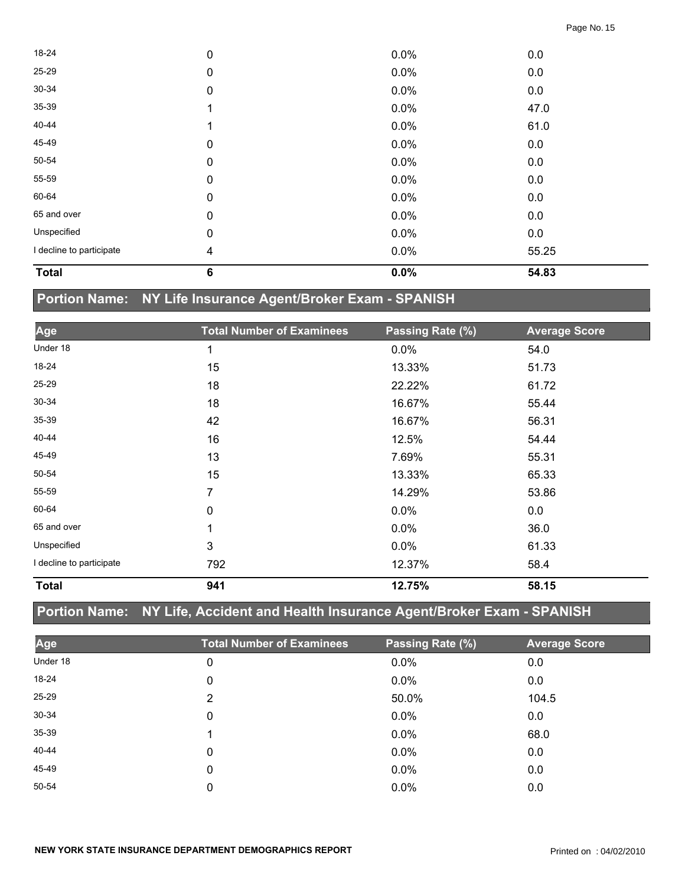| <b>Total</b>             | $6\phantom{1}6$         | 0.0%    | 54.83 |  |
|--------------------------|-------------------------|---------|-------|--|
| I decline to participate | $\overline{\mathbf{4}}$ | $0.0\%$ | 55.25 |  |
| Unspecified              | $\pmb{0}$               | 0.0%    | 0.0   |  |
| 65 and over              | $\pmb{0}$               | 0.0%    | 0.0   |  |
| 60-64                    | $\mathbf 0$             | $0.0\%$ | 0.0   |  |
| 55-59                    | $\mathbf 0$             | $0.0\%$ | 0.0   |  |
| 50-54                    | $\mathbf 0$             | 0.0%    | 0.0   |  |
| 45-49                    | $\mathbf 0$             | 0.0%    | 0.0   |  |
| 40-44                    |                         | $0.0\%$ | 61.0  |  |
| 35-39                    |                         | 0.0%    | 47.0  |  |
| 30-34                    | $\mathbf 0$             | 0.0%    | 0.0   |  |
| 25-29                    | $\mathbf 0$             | $0.0\%$ | 0.0   |  |
| 18-24                    | $\pmb{0}$               | 0.0%    | 0.0   |  |

## **Portion Name: NY Life Insurance Agent/Broker Exam - SPANISH**

| Age                      | <b>Total Number of Examinees</b> | Passing Rate (%) | <b>Average Score</b> |
|--------------------------|----------------------------------|------------------|----------------------|
| Under 18                 | 1                                | 0.0%             | 54.0                 |
| 18-24                    | 15                               | 13.33%           | 51.73                |
| 25-29                    | 18                               | 22.22%           | 61.72                |
| 30-34                    | 18                               | 16.67%           | 55.44                |
| $35 - 39$                | 42                               | 16.67%           | 56.31                |
| 40-44                    | 16                               | 12.5%            | 54.44                |
| 45-49                    | 13                               | 7.69%            | 55.31                |
| 50-54                    | 15                               | 13.33%           | 65.33                |
| 55-59                    | 7                                | 14.29%           | 53.86                |
| 60-64                    | 0                                | 0.0%             | 0.0                  |
| 65 and over              | 1                                | 0.0%             | 36.0                 |
| Unspecified              | 3                                | 0.0%             | 61.33                |
| I decline to participate | 792                              | 12.37%           | 58.4                 |
| <b>Total</b>             | 941                              | 12.75%           | 58.15                |

## **Portion Name: NY Life, Accident and Health Insurance Agent/Broker Exam - SPANISH**

| Age      | <b>Total Number of Examinees</b> | Passing Rate (%) | <b>Average Score</b> |
|----------|----------------------------------|------------------|----------------------|
| Under 18 | 0                                | 0.0%             | 0.0                  |
| 18-24    | 0                                | 0.0%             | 0.0                  |
| 25-29    | 2                                | 50.0%            | 104.5                |
| 30-34    | 0                                | $0.0\%$          | 0.0                  |
| 35-39    |                                  | $0.0\%$          | 68.0                 |
| 40-44    | 0                                | $0.0\%$          | 0.0                  |
| 45-49    | 0                                | $0.0\%$          | 0.0                  |
| 50-54    | 0                                | 0.0%             | 0.0                  |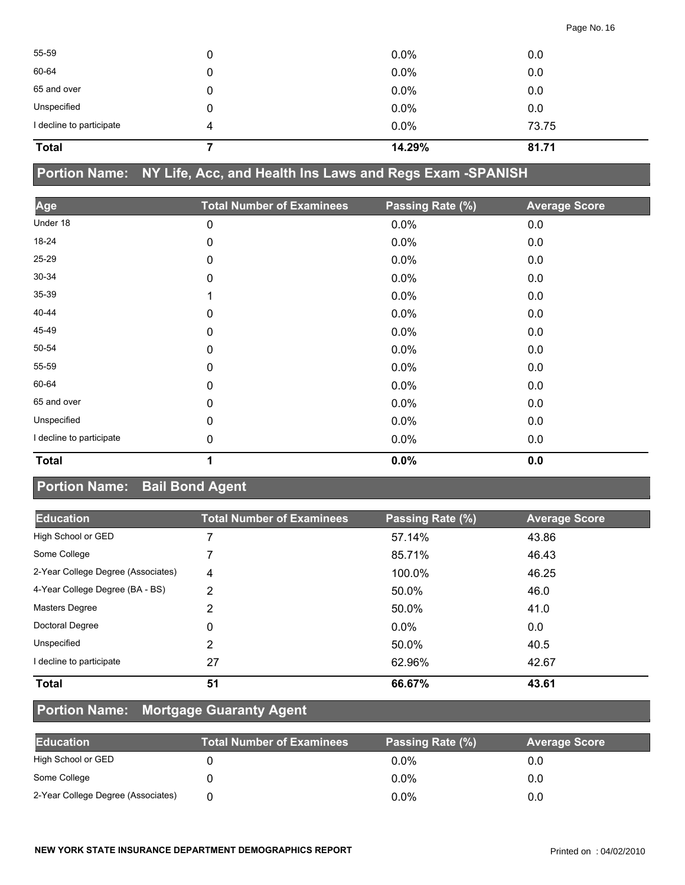| <b>Total</b>             |   | 14.29% | 81.71 |  |
|--------------------------|---|--------|-------|--|
| I decline to participate | 4 | 0.0%   | 73.75 |  |
| Unspecified              | 0 | 0.0%   | 0.0   |  |
| 65 and over              | 0 | 0.0%   | 0.0   |  |
| 60-64                    | 0 | 0.0%   | 0.0   |  |
| 55-59                    | 0 | 0.0%   | 0.0   |  |
|                          |   |        |       |  |

## **Portion Name: NY Life, Acc, and Health Ins Laws and Regs Exam -SPANISH**

| Age                      | <b>Total Number of Examinees</b> | Passing Rate (%) | <b>Average Score</b> |
|--------------------------|----------------------------------|------------------|----------------------|
| Under 18                 | $\pmb{0}$                        | 0.0%             | 0.0                  |
| 18-24                    | 0                                | 0.0%             | 0.0                  |
| 25-29                    | $\pmb{0}$                        | 0.0%             | 0.0                  |
| $30 - 34$                | $\mathbf 0$                      | 0.0%             | 0.0                  |
| 35-39                    | 1                                | 0.0%             | 0.0                  |
| 40-44                    | 0                                | 0.0%             | 0.0                  |
| 45-49                    | 0                                | 0.0%             | 0.0                  |
| 50-54                    | $\mathbf 0$                      | 0.0%             | 0.0                  |
| 55-59                    | $\mathbf 0$                      | 0.0%             | 0.0                  |
| 60-64                    | 0                                | 0.0%             | 0.0                  |
| 65 and over              | $\mathbf 0$                      | 0.0%             | 0.0                  |
| Unspecified              | $\mathbf 0$                      | 0.0%             | 0.0                  |
| I decline to participate | $\mathbf 0$                      | 0.0%             | 0.0                  |
| <b>Total</b>             | 1                                | 0.0%             | 0.0                  |

### **Portion Name: Bail Bond Agent**

| <b>Education</b>                   | <b>Total Number of Examinees</b> | Passing Rate (%) | <b>Average Score</b> |
|------------------------------------|----------------------------------|------------------|----------------------|
| High School or GED                 |                                  | 57.14%           | 43.86                |
| Some College                       |                                  | 85.71%           | 46.43                |
| 2-Year College Degree (Associates) | 4                                | 100.0%           | 46.25                |
| 4-Year College Degree (BA - BS)    | 2                                | 50.0%            | 46.0                 |
| <b>Masters Degree</b>              | 2                                | 50.0%            | 41.0                 |
| Doctoral Degree                    | $\Omega$                         | $0.0\%$          | 0.0                  |
| Unspecified                        | 2                                | 50.0%            | 40.5                 |
| I decline to participate           | 27                               | 62.96%           | 42.67                |
| <b>Total</b>                       | 51                               | 66.67%           | 43.61                |

## **Portion Name: Mortgage Guaranty Agent**

| <b>Education</b>                   | <b>Total Number of Examinees</b> | Passing Rate (%) | <b>Average Score</b> |
|------------------------------------|----------------------------------|------------------|----------------------|
| High School or GED                 |                                  | $0.0\%$          | 0.0                  |
| Some College                       |                                  | $0.0\%$          | 0.0                  |
| 2-Year College Degree (Associates) |                                  | $0.0\%$          | 0.0                  |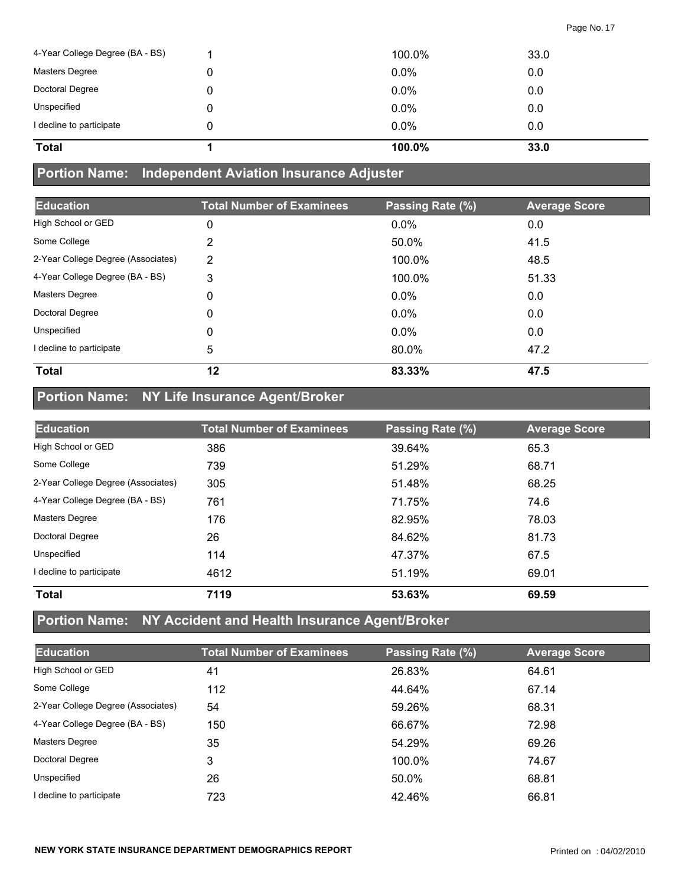| 4-Year College Degree (BA - BS) |   | 100.0%  | 33.0 |
|---------------------------------|---|---------|------|
| Masters Degree                  | 0 | $0.0\%$ | 0.0  |
| Doctoral Degree                 | 0 | 0.0%    | 0.0  |
| Unspecified                     | 0 | $0.0\%$ | 0.0  |
| I decline to participate        | 0 | $0.0\%$ | 0.0  |
| <b>Total</b>                    |   | 100.0%  | 33.0 |

#### **Portion Name: Independent Aviation Insurance Adjuster**

| <b>Education</b>                   | <b>Total Number of Examinees</b> | Passing Rate (%) | <b>Average Score</b> |
|------------------------------------|----------------------------------|------------------|----------------------|
| High School or GED                 | 0                                | 0.0%             | 0.0                  |
| Some College                       | 2                                | 50.0%            | 41.5                 |
| 2-Year College Degree (Associates) | 2                                | 100.0%           | 48.5                 |
| 4-Year College Degree (BA - BS)    | 3                                | 100.0%           | 51.33                |
| Masters Degree                     | 0                                | 0.0%             | 0.0                  |
| Doctoral Degree                    | 0                                | $0.0\%$          | 0.0                  |
| Unspecified                        | 0                                | $0.0\%$          | 0.0                  |
| I decline to participate           | 5                                | 80.0%            | 47.2                 |
| <b>Total</b>                       | 12                               | 83.33%           | 47.5                 |

## **Portion Name: NY Life Insurance Agent/Broker**

| <b>Education</b>                   | <b>Total Number of Examinees</b> | Passing Rate (%) | <b>Average Score</b> |
|------------------------------------|----------------------------------|------------------|----------------------|
| High School or GED                 | 386                              | 39.64%           | 65.3                 |
| Some College                       | 739                              | 51.29%           | 68.71                |
| 2-Year College Degree (Associates) | 305                              | 51.48%           | 68.25                |
| 4-Year College Degree (BA - BS)    | 761                              | 71.75%           | 74.6                 |
| <b>Masters Degree</b>              | 176                              | 82.95%           | 78.03                |
| Doctoral Degree                    | 26                               | 84.62%           | 81.73                |
| Unspecified                        | 114                              | 47.37%           | 67.5                 |
| I decline to participate           | 4612                             | 51.19%           | 69.01                |
| <b>Total</b>                       | 7119                             | 53.63%           | 69.59                |

## **Portion Name: NY Accident and Health Insurance Agent/Broker**

| <b>Education</b>                   | <b>Total Number of Examinees</b> | Passing Rate (%) | <b>Average Score</b> |
|------------------------------------|----------------------------------|------------------|----------------------|
|                                    |                                  |                  |                      |
| High School or GED                 | 41                               | 26.83%           | 64.61                |
| Some College                       | 112                              | 44.64%           | 67.14                |
| 2-Year College Degree (Associates) | 54                               | 59.26%           | 68.31                |
| 4-Year College Degree (BA - BS)    | 150                              | 66.67%           | 72.98                |
| Masters Degree                     | 35                               | 54.29%           | 69.26                |
| Doctoral Degree                    | 3                                | 100.0%           | 74.67                |
| Unspecified                        | 26                               | 50.0%            | 68.81                |
| I decline to participate           | 723                              | 42.46%           | 66.81                |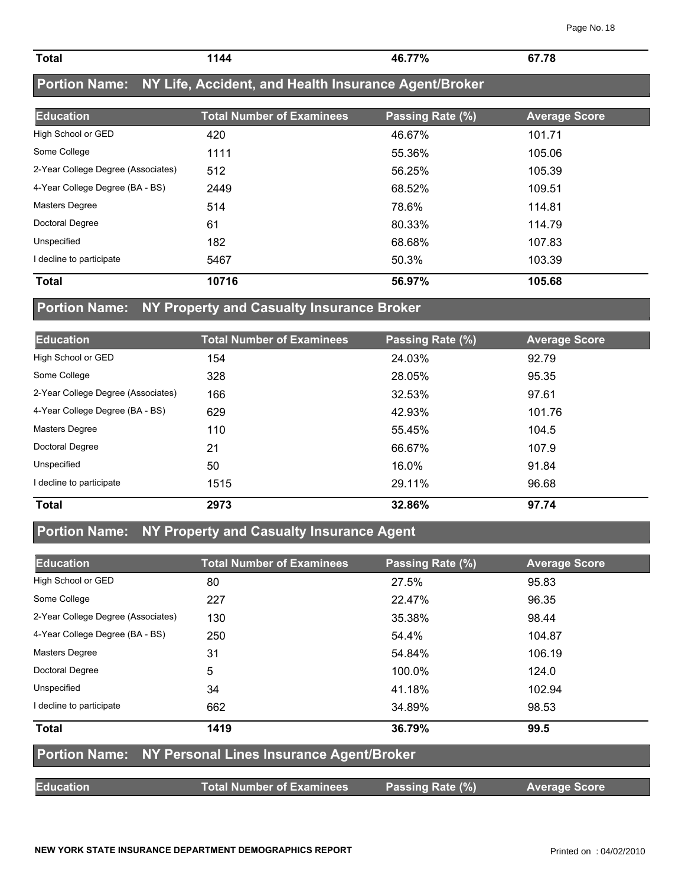| <b>Total</b> | 144 | 46.77% | 67.78 |  |
|--------------|-----|--------|-------|--|
|              |     |        |       |  |

## **Portion Name: NY Life, Accident, and Health Insurance Agent/Broker**

| <b>Education</b>                   | <b>Total Number of Examinees</b> | Passing Rate (%) | <b>Average Score</b> |
|------------------------------------|----------------------------------|------------------|----------------------|
| High School or GED                 | 420                              | 46.67%           | 101.71               |
| Some College                       | 1111                             | 55.36%           | 105.06               |
| 2-Year College Degree (Associates) | 512                              | 56.25%           | 105.39               |
| 4-Year College Degree (BA - BS)    | 2449                             | 68.52%           | 109.51               |
| <b>Masters Degree</b>              | 514                              | 78.6%            | 114.81               |
| Doctoral Degree                    | 61                               | 80.33%           | 114.79               |
| Unspecified                        | 182                              | 68.68%           | 107.83               |
| I decline to participate           | 5467                             | 50.3%            | 103.39               |
| <b>Total</b>                       | 10716                            | 56.97%           | 105.68               |

### **Portion Name: NY Property and Casualty Insurance Broker**

| <b>Education</b>                   | <b>Total Number of Examinees</b> | Passing Rate (%) | <b>Average Score</b> |
|------------------------------------|----------------------------------|------------------|----------------------|
| High School or GED                 | 154                              | 24.03%           | 92.79                |
| Some College                       | 328                              | 28.05%           | 95.35                |
| 2-Year College Degree (Associates) | 166                              | 32.53%           | 97.61                |
| 4-Year College Degree (BA - BS)    | 629                              | 42.93%           | 101.76               |
| <b>Masters Degree</b>              | 110                              | 55.45%           | 104.5                |
| Doctoral Degree                    | 21                               | 66.67%           | 107.9                |
| Unspecified                        | 50                               | 16.0%            | 91.84                |
| I decline to participate           | 1515                             | 29.11%           | 96.68                |
| <b>Total</b>                       | 2973                             | 32.86%           | 97.74                |

### **Portion Name: NY Property and Casualty Insurance Agent**

| <b>Education</b>                                       | <b>Total Number of Examinees</b> | Passing Rate (%) | <b>Average Score</b> |  |  |
|--------------------------------------------------------|----------------------------------|------------------|----------------------|--|--|
| High School or GED                                     | 80                               | 27.5%            | 95.83                |  |  |
| Some College                                           | 227                              | 22.47%           | 96.35                |  |  |
| 2-Year College Degree (Associates)                     | 130                              | 35.38%           | 98.44                |  |  |
| 4-Year College Degree (BA - BS)                        | 250                              | 54.4%            | 104.87               |  |  |
| <b>Masters Degree</b>                                  | 31                               | 54.84%           | 106.19               |  |  |
| Doctoral Degree                                        | 5                                | 100.0%           | 124.0                |  |  |
| Unspecified                                            | 34                               | 41.18%           | 102.94               |  |  |
| I decline to participate                               | 662                              | 34.89%           | 98.53                |  |  |
| <b>Total</b>                                           | 1419                             | 36.79%           | 99.5                 |  |  |
| Portion Name: NY Personal Lines Insurance Agent/Broker |                                  |                  |                      |  |  |
| <b>Education</b>                                       | <b>Total Number of Examinees</b> | Passing Rate (%) | <b>Average Score</b> |  |  |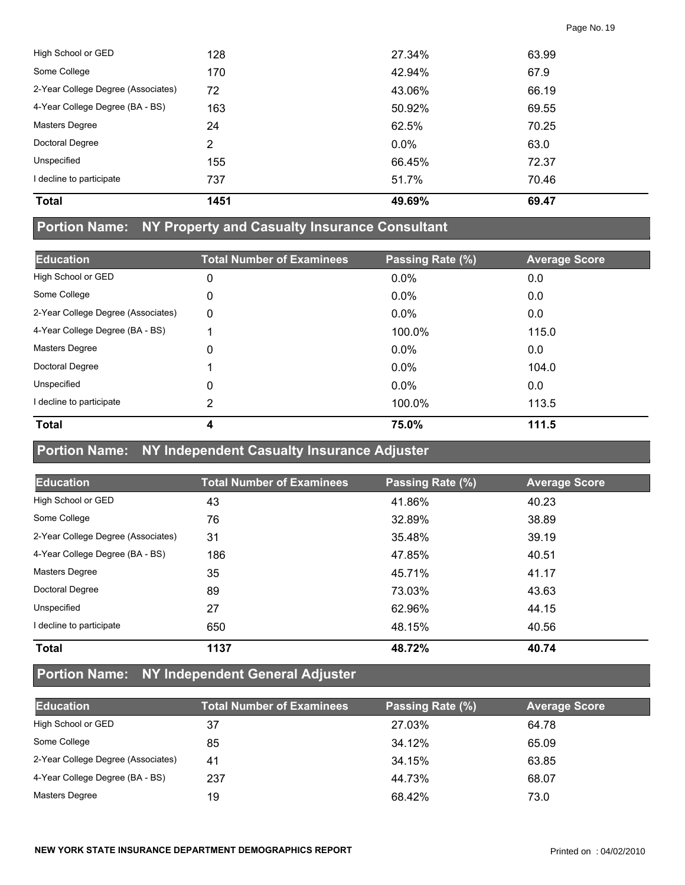| <b>Total</b>                       | 1451 | 49.69%  | 69.47 |
|------------------------------------|------|---------|-------|
| I decline to participate           | 737  | 51.7%   | 70.46 |
| Unspecified                        | 155  | 66.45%  | 72.37 |
| Doctoral Degree                    | 2    | $0.0\%$ | 63.0  |
| <b>Masters Degree</b>              | 24   | 62.5%   | 70.25 |
| 4-Year College Degree (BA - BS)    | 163  | 50.92%  | 69.55 |
| 2-Year College Degree (Associates) | 72   | 43.06%  | 66.19 |
| Some College                       | 170  | 42.94%  | 67.9  |
| High School or GED                 | 128  | 27.34%  | 63.99 |

### **Portion Name: NY Property and Casualty Insurance Consultant**

| <b>Education</b>                   | <b>Total Number of Examinees</b> | Passing Rate (%) | <b>Average Score</b> |
|------------------------------------|----------------------------------|------------------|----------------------|
| High School or GED                 | 0                                | $0.0\%$          | 0.0                  |
| Some College                       | 0                                | $0.0\%$          | 0.0                  |
| 2-Year College Degree (Associates) | 0                                | $0.0\%$          | 0.0                  |
| 4-Year College Degree (BA - BS)    |                                  | 100.0%           | 115.0                |
| <b>Masters Degree</b>              | 0                                | $0.0\%$          | 0.0                  |
| Doctoral Degree                    |                                  | $0.0\%$          | 104.0                |
| Unspecified                        | 0                                | $0.0\%$          | 0.0                  |
| I decline to participate           | 2                                | 100.0%           | 113.5                |
| <b>Total</b>                       | 4                                | 75.0%            | 111.5                |

### **Portion Name: NY Independent Casualty Insurance Adjuster**

| <b>Education</b>                   | <b>Total Number of Examinees</b> | Passing Rate (%) | <b>Average Score</b> |
|------------------------------------|----------------------------------|------------------|----------------------|
| High School or GED                 | 43                               | 41.86%           | 40.23                |
| Some College                       | 76                               | 32.89%           | 38.89                |
| 2-Year College Degree (Associates) | 31                               | 35.48%           | 39.19                |
| 4-Year College Degree (BA - BS)    | 186                              | 47.85%           | 40.51                |
| <b>Masters Degree</b>              | 35                               | 45.71%           | 41.17                |
| Doctoral Degree                    | 89                               | 73.03%           | 43.63                |
| Unspecified                        | 27                               | 62.96%           | 44.15                |
| I decline to participate           | 650                              | 48.15%           | 40.56                |
| <b>Total</b>                       | 1137                             | 48.72%           | 40.74                |

## **Portion Name: NY Independent General Adjuster**

| <b>Education</b>                   | <b>Total Number of Examinees</b> | Passing Rate (%) | <b>Average Score</b> |  |
|------------------------------------|----------------------------------|------------------|----------------------|--|
| High School or GED                 | 37                               | 27.03%           | 64.78                |  |
| Some College                       | 85                               | 34.12%           | 65.09                |  |
| 2-Year College Degree (Associates) | 41                               | 34.15%           | 63.85                |  |
| 4-Year College Degree (BA - BS)    | 237                              | 44.73%           | 68.07                |  |
| Masters Degree                     | 19                               | 68.42%           | 73.0                 |  |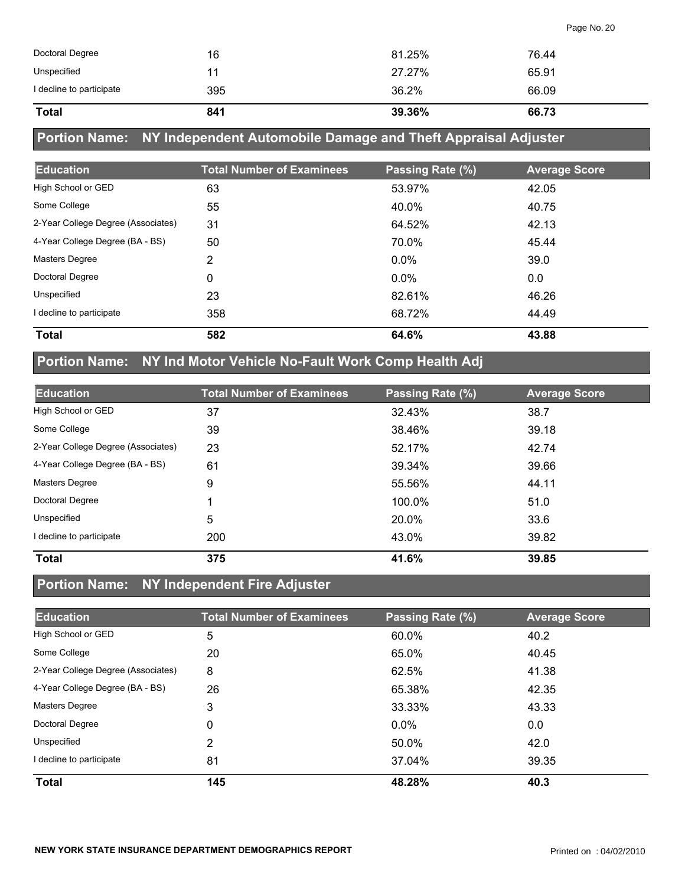| <b>Total</b>             | 841 | 39.36% | 66.73 |  |
|--------------------------|-----|--------|-------|--|
| I decline to participate | 395 | 36.2%  | 66.09 |  |
| Unspecified              |     | 27.27% | 65.91 |  |
| Doctoral Degree          | 16  | 81.25% | 76.44 |  |

## **Portion Name: NY Independent Automobile Damage and Theft Appraisal Adjuster**

| <b>Education</b>                   | <b>Total Number of Examinees</b> | Passing Rate (%) | <b>Average Score</b> |
|------------------------------------|----------------------------------|------------------|----------------------|
| High School or GED                 | 63                               | 53.97%           | 42.05                |
| Some College                       | 55                               | 40.0%            | 40.75                |
| 2-Year College Degree (Associates) | 31                               | 64.52%           | 42.13                |
| 4-Year College Degree (BA - BS)    | 50                               | 70.0%            | 45.44                |
| <b>Masters Degree</b>              | 2                                | $0.0\%$          | 39.0                 |
| Doctoral Degree                    | 0                                | $0.0\%$          | 0.0                  |
| Unspecified                        | 23                               | 82.61%           | 46.26                |
| I decline to participate           | 358                              | 68.72%           | 44.49                |
| <b>Total</b>                       | 582                              | 64.6%            | 43.88                |

## **Portion Name: NY Ind Motor Vehicle No-Fault Work Comp Health Adj**

| <b>Education</b>                   | <b>Total Number of Examinees</b> | Passing Rate (%) | <b>Average Score</b> |
|------------------------------------|----------------------------------|------------------|----------------------|
| High School or GED                 | 37                               | 32.43%           | 38.7                 |
| Some College                       | 39                               | 38.46%           | 39.18                |
| 2-Year College Degree (Associates) | 23                               | 52.17%           | 42.74                |
| 4-Year College Degree (BA - BS)    | 61                               | 39.34%           | 39.66                |
| <b>Masters Degree</b>              | 9                                | 55.56%           | 44.11                |
| Doctoral Degree                    |                                  | 100.0%           | 51.0                 |
| Unspecified                        | 5                                | 20.0%            | 33.6                 |
| I decline to participate           | 200                              | 43.0%            | 39.82                |
| <b>Total</b>                       | 375                              | 41.6%            | 39.85                |

#### **Portion Name: NY Independent Fire Adjuster**

| <b>Education</b>                   | <b>Total Number of Examinees</b> | Passing Rate (%) | <b>Average Score</b> |
|------------------------------------|----------------------------------|------------------|----------------------|
| High School or GED                 | 5                                | 60.0%            | 40.2                 |
| Some College                       | 20                               | 65.0%            | 40.45                |
| 2-Year College Degree (Associates) | 8                                | 62.5%            | 41.38                |
| 4-Year College Degree (BA - BS)    | 26                               | 65.38%           | 42.35                |
| <b>Masters Degree</b>              | 3                                | 33.33%           | 43.33                |
| Doctoral Degree                    | 0                                | $0.0\%$          | 0.0                  |
| Unspecified                        | 2                                | 50.0%            | 42.0                 |
| I decline to participate           | 81                               | 37.04%           | 39.35                |
| <b>Total</b>                       | 145                              | 48.28%           | 40.3                 |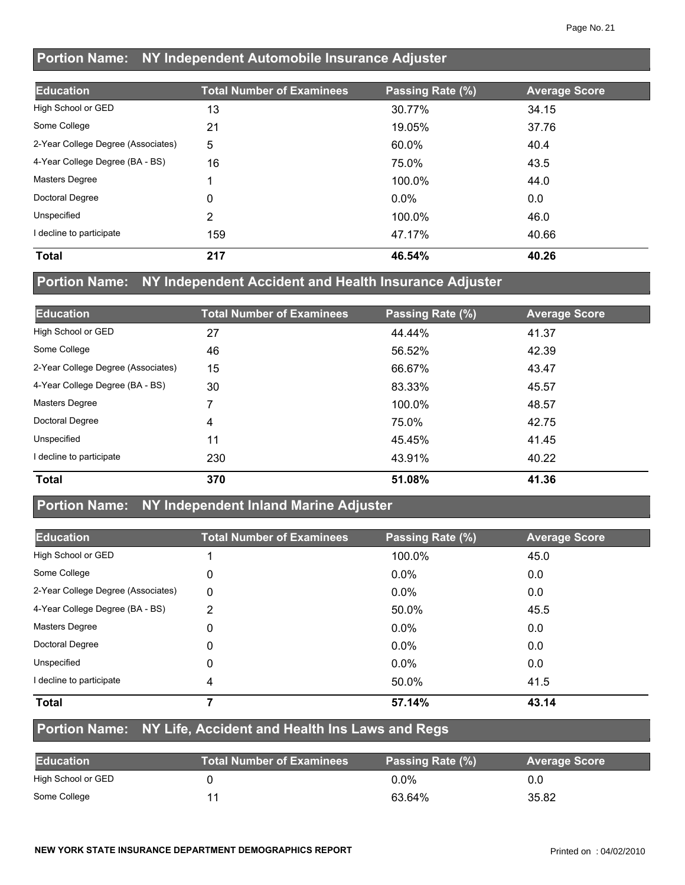### **Portion Name: NY Independent Automobile Insurance Adjuster**

| <b>Education</b>                   | <b>Total Number of Examinees</b> | Passing Rate (%) | <b>Average Score</b> |
|------------------------------------|----------------------------------|------------------|----------------------|
| High School or GED                 | 13                               | 30.77%           | 34.15                |
| Some College                       | 21                               | 19.05%           | 37.76                |
| 2-Year College Degree (Associates) | 5                                | 60.0%            | 40.4                 |
| 4-Year College Degree (BA - BS)    | 16                               | 75.0%            | 43.5                 |
| <b>Masters Degree</b>              |                                  | 100.0%           | 44.0                 |
| Doctoral Degree                    | 0                                | $0.0\%$          | 0.0                  |
| Unspecified                        | 2                                | 100.0%           | 46.0                 |
| decline to participate             | 159                              | 47.17%           | 40.66                |
| <b>Total</b>                       | 217                              | 46.54%           | 40.26                |

#### **Portion Name: NY Independent Accident and Health Insurance Adjuster**

| <b>Education</b>                   | <b>Total Number of Examinees</b> | Passing Rate (%) | <b>Average Score</b> |
|------------------------------------|----------------------------------|------------------|----------------------|
| High School or GED                 | 27                               | 44.44%           | 41.37                |
| Some College                       | 46                               | 56.52%           | 42.39                |
| 2-Year College Degree (Associates) | 15                               | 66.67%           | 43.47                |
| 4-Year College Degree (BA - BS)    | 30                               | 83.33%           | 45.57                |
| <b>Masters Degree</b>              | 7                                | 100.0%           | 48.57                |
| Doctoral Degree                    | 4                                | 75.0%            | 42.75                |
| Unspecified                        | 11                               | 45.45%           | 41.45                |
| I decline to participate           | 230                              | 43.91%           | 40.22                |
| <b>Total</b>                       | 370                              | 51.08%           | 41.36                |

#### **Portion Name: NY Independent Inland Marine Adjuster**

| <b>Education</b>                   | <b>Total Number of Examinees</b> | Passing Rate (%) | <b>Average Score</b> |
|------------------------------------|----------------------------------|------------------|----------------------|
| High School or GED                 |                                  | 100.0%           | 45.0                 |
| Some College                       | 0                                | $0.0\%$          | 0.0                  |
| 2-Year College Degree (Associates) | 0                                | $0.0\%$          | 0.0                  |
| 4-Year College Degree (BA - BS)    | 2                                | 50.0%            | 45.5                 |
| <b>Masters Degree</b>              | 0                                | $0.0\%$          | 0.0                  |
| Doctoral Degree                    | 0                                | $0.0\%$          | 0.0                  |
| Unspecified                        | 0                                | $0.0\%$          | 0.0                  |
| decline to participate             | 4                                | 50.0%            | 41.5                 |
| <b>Total</b>                       |                                  | 57.14%           | 43.14                |

#### **Portion Name: NY Life, Accident and Health Ins Laws and Regs**

| <b>Education</b>   | <b>Total Number of Examinees</b> | Passing Rate (%) | <b>Average Score</b> |
|--------------------|----------------------------------|------------------|----------------------|
| High School or GED |                                  | $0.0\%$          | 0.0                  |
| Some College       |                                  | 63.64%           | 35.82                |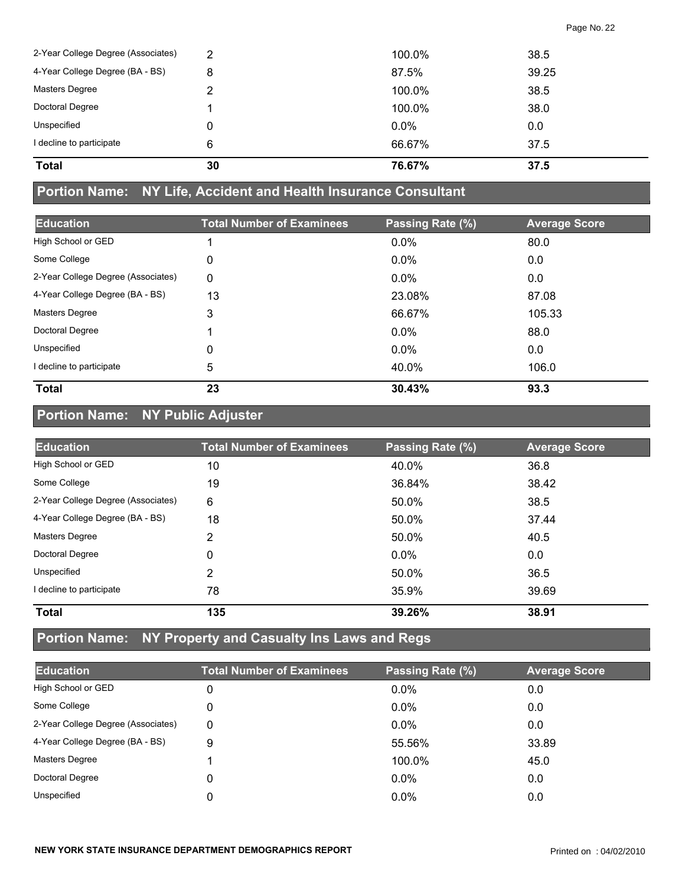| <b>Total</b>                       | 30 | 76.67%  | 37.5  |
|------------------------------------|----|---------|-------|
| I decline to participate           | 6  | 66.67%  | 37.5  |
| Unspecified                        | 0  | $0.0\%$ | 0.0   |
| Doctoral Degree                    |    | 100.0%  | 38.0  |
| Masters Degree                     | っ  | 100.0%  | 38.5  |
| 4-Year College Degree (BA - BS)    | 8  | 87.5%   | 39.25 |
| 2-Year College Degree (Associates) | 2  | 100.0%  | 38.5  |

#### **Portion Name: NY Life, Accident and Health Insurance Consultant**

| <b>Education</b>                   | <b>Total Number of Examinees</b> | Passing Rate (%) | <b>Average Score</b> |
|------------------------------------|----------------------------------|------------------|----------------------|
| High School or GED                 |                                  | 0.0%             | 80.0                 |
| Some College                       | 0                                | 0.0%             | 0.0                  |
| 2-Year College Degree (Associates) | 0                                | $0.0\%$          | 0.0                  |
| 4-Year College Degree (BA - BS)    | 13                               | 23.08%           | 87.08                |
| <b>Masters Degree</b>              | 3                                | 66.67%           | 105.33               |
| Doctoral Degree                    |                                  | $0.0\%$          | 88.0                 |
| Unspecified                        | 0                                | 0.0%             | 0.0                  |
| I decline to participate           | 5                                | 40.0%            | 106.0                |
| <b>Total</b>                       | 23                               | 30.43%           | 93.3                 |

## **Portion Name: NY Public Adjuster**

| <b>Education</b>                   | <b>Total Number of Examinees</b> | Passing Rate (%) | <b>Average Score</b> |
|------------------------------------|----------------------------------|------------------|----------------------|
| High School or GED                 | 10                               | 40.0%            | 36.8                 |
| Some College                       | 19                               | 36.84%           | 38.42                |
| 2-Year College Degree (Associates) | 6                                | 50.0%            | 38.5                 |
| 4-Year College Degree (BA - BS)    | 18                               | 50.0%            | 37.44                |
| <b>Masters Degree</b>              | 2                                | 50.0%            | 40.5                 |
| Doctoral Degree                    | 0                                | $0.0\%$          | 0.0                  |
| Unspecified                        | 2                                | 50.0%            | 36.5                 |
| decline to participate             | 78                               | 35.9%            | 39.69                |
| <b>Total</b>                       | 135                              | 39.26%           | 38.91                |

## **Portion Name: NY Property and Casualty Ins Laws and Regs**

| <b>Education</b>                   | <b>Total Number of Examinees</b> | Passing Rate (%) | <b>Average Score</b> |
|------------------------------------|----------------------------------|------------------|----------------------|
| High School or GED                 | 0                                | $0.0\%$          | 0.0                  |
| Some College                       | 0                                | $0.0\%$          | 0.0                  |
| 2-Year College Degree (Associates) | $\Omega$                         | $0.0\%$          | 0.0                  |
| 4-Year College Degree (BA - BS)    | 9                                | 55.56%           | 33.89                |
| Masters Degree                     |                                  | 100.0%           | 45.0                 |
| Doctoral Degree                    | 0                                | $0.0\%$          | 0.0                  |
| Unspecified                        | 0                                | $0.0\%$          | 0.0                  |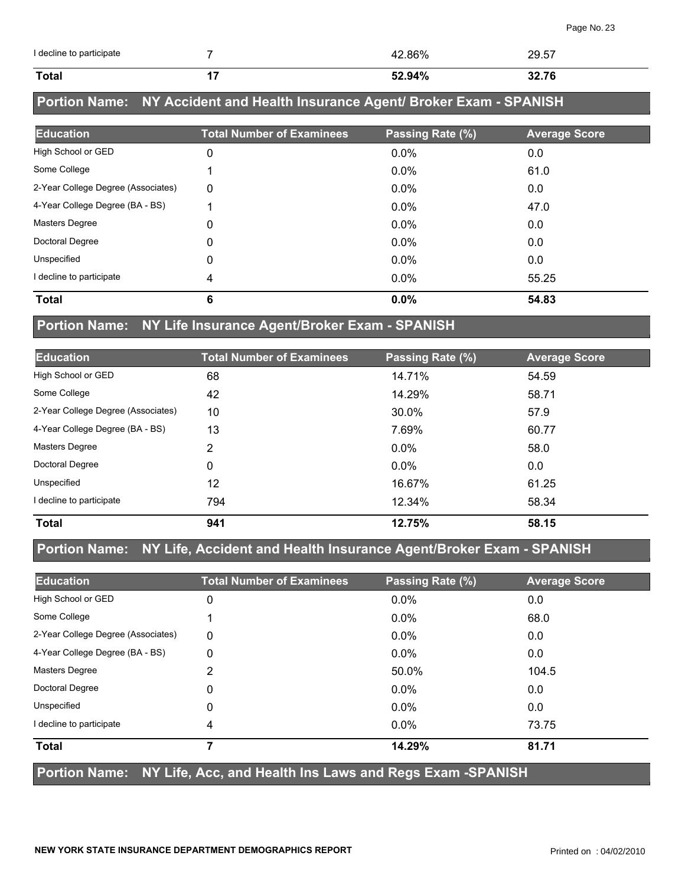| I decline to participate |     | 42.86% | 29.57 |
|--------------------------|-----|--------|-------|
| Total                    | . . | 52.94% | 32.76 |

## **Portion Name: NY Accident and Health Insurance Agent/ Broker Exam - SPANISH**

| <b>Education</b>                   | <b>Total Number of Examinees</b> | Passing Rate (%) | <b>Average Score</b> |
|------------------------------------|----------------------------------|------------------|----------------------|
| High School or GED                 | 0                                | $0.0\%$          | 0.0                  |
| Some College                       |                                  | $0.0\%$          | 61.0                 |
| 2-Year College Degree (Associates) | 0                                | $0.0\%$          | 0.0                  |
| 4-Year College Degree (BA - BS)    |                                  | $0.0\%$          | 47.0                 |
| <b>Masters Degree</b>              | 0                                | 0.0%             | 0.0                  |
| Doctoral Degree                    | 0                                | $0.0\%$          | 0.0                  |
| Unspecified                        | 0                                | $0.0\%$          | 0.0                  |
| decline to participate             | 4                                | $0.0\%$          | 55.25                |
| <b>Total</b>                       | 6                                | 0.0%             | 54.83                |

#### **Portion Name: NY Life Insurance Agent/Broker Exam - SPANISH**

| <b>Education</b>                   | <b>Total Number of Examinees</b> | Passing Rate (%) | <b>Average Score</b> |
|------------------------------------|----------------------------------|------------------|----------------------|
| High School or GED                 | 68                               | 14.71%           | 54.59                |
| Some College                       | 42                               | 14.29%           | 58.71                |
| 2-Year College Degree (Associates) | 10                               | 30.0%            | 57.9                 |
| 4-Year College Degree (BA - BS)    | 13                               | 7.69%            | 60.77                |
| <b>Masters Degree</b>              | 2                                | $0.0\%$          | 58.0                 |
| Doctoral Degree                    | 0                                | $0.0\%$          | 0.0                  |
| Unspecified                        | 12                               | 16.67%           | 61.25                |
| I decline to participate           | 794                              | 12.34%           | 58.34                |
| <b>Total</b>                       | 941                              | 12.75%           | 58.15                |

### **Portion Name: NY Life, Accident and Health Insurance Agent/Broker Exam - SPANISH**

| <b>Education</b>                   | <b>Total Number of Examinees</b> | Passing Rate (%) | <b>Average Score</b> |
|------------------------------------|----------------------------------|------------------|----------------------|
| High School or GED                 | 0                                | 0.0%             | 0.0                  |
| Some College                       |                                  | 0.0%             | 68.0                 |
| 2-Year College Degree (Associates) | 0                                | $0.0\%$          | 0.0                  |
| 4-Year College Degree (BA - BS)    | 0                                | $0.0\%$          | 0.0                  |
| Masters Degree                     | 2                                | 50.0%            | 104.5                |
| Doctoral Degree                    | 0                                | $0.0\%$          | 0.0                  |
| Unspecified                        | 0                                | 0.0%             | 0.0                  |
| I decline to participate           | 4                                | $0.0\%$          | 73.75                |
| <b>Total</b>                       | 7                                | 14.29%           | 81.71                |

#### **Portion Name: NY Life, Acc, and Health Ins Laws and Regs Exam -SPANISH**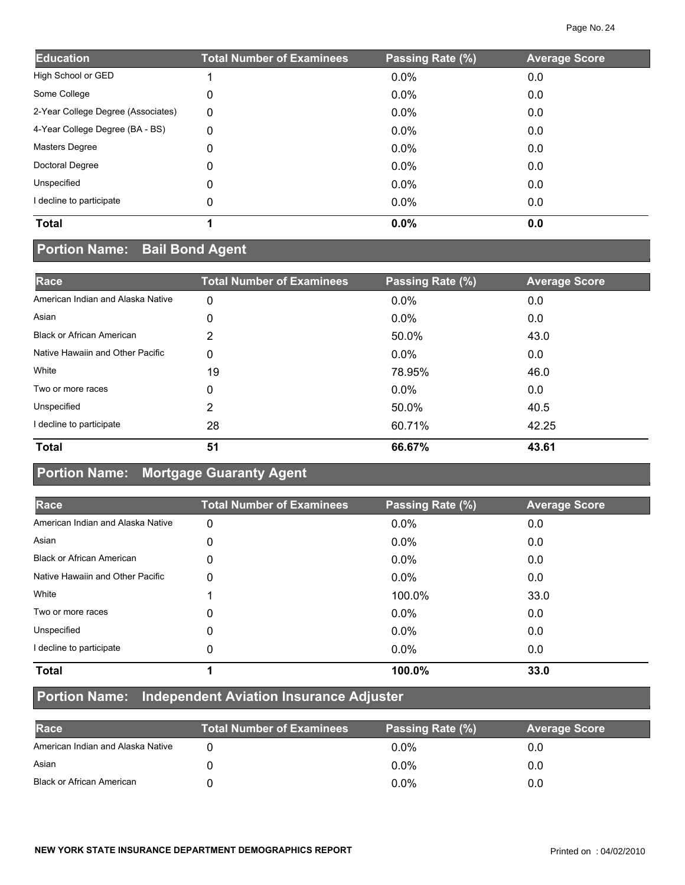| <b>Education</b>                   | <b>Total Number of Examinees</b> | Passing Rate (%) | <b>Average Score</b> |
|------------------------------------|----------------------------------|------------------|----------------------|
| High School or GED                 |                                  | $0.0\%$          | 0.0                  |
| Some College                       | 0                                | $0.0\%$          | 0.0                  |
| 2-Year College Degree (Associates) | 0                                | $0.0\%$          | 0.0                  |
| 4-Year College Degree (BA - BS)    | 0                                | 0.0%             | 0.0                  |
| <b>Masters Degree</b>              | 0                                | $0.0\%$          | 0.0                  |
| Doctoral Degree                    | 0                                | $0.0\%$          | 0.0                  |
| Unspecified                        | 0                                | $0.0\%$          | 0.0                  |
| I decline to participate           | 0                                | $0.0\%$          | 0.0                  |
| <b>Total</b>                       |                                  | 0.0%             | 0.0                  |

# **Portion Name: Bail Bond Agent**

| Race                              | <b>Total Number of Examinees</b> | Passing Rate (%) | <b>Average Score</b> |
|-----------------------------------|----------------------------------|------------------|----------------------|
| American Indian and Alaska Native | 0                                | 0.0%             | 0.0                  |
| Asian                             | 0                                | $0.0\%$          | 0.0                  |
| <b>Black or African American</b>  | 2                                | 50.0%            | 43.0                 |
| Native Hawaiin and Other Pacific  | 0                                | $0.0\%$          | 0.0                  |
| White                             | 19                               | 78.95%           | 46.0                 |
| Two or more races                 | 0                                | $0.0\%$          | 0.0                  |
| Unspecified                       | 2                                | 50.0%            | 40.5                 |
| I decline to participate          | 28                               | 60.71%           | 42.25                |
| <b>Total</b>                      | 51                               | 66.67%           | 43.61                |

## **Portion Name: Mortgage Guaranty Agent**

| Race                              | <b>Total Number of Examinees</b> | Passing Rate (%) | <b>Average Score</b> |
|-----------------------------------|----------------------------------|------------------|----------------------|
| American Indian and Alaska Native | 0                                | 0.0%             | 0.0                  |
| Asian                             | 0                                | $0.0\%$          | 0.0                  |
| <b>Black or African American</b>  | 0                                | $0.0\%$          | 0.0                  |
| Native Hawaiin and Other Pacific  | 0                                | $0.0\%$          | 0.0                  |
| White                             |                                  | 100.0%           | 33.0                 |
| Two or more races                 | 0                                | $0.0\%$          | 0.0                  |
| Unspecified                       | 0                                | 0.0%             | 0.0                  |
| I decline to participate          | 0                                | $0.0\%$          | 0.0                  |
| <b>Total</b>                      |                                  | 100.0%           | 33.0                 |

#### **Portion Name: Independent Aviation Insurance Adjuster**

| Race                              | <b>Total Number of Examinees</b> | Passing Rate (%) | <b>Average Score</b> |
|-----------------------------------|----------------------------------|------------------|----------------------|
| American Indian and Alaska Native |                                  | $0.0\%$          |                      |
| Asian                             |                                  | $0.0\%$          | 0.0                  |
| <b>Black or African American</b>  |                                  | $0.0\%$          | 0.0                  |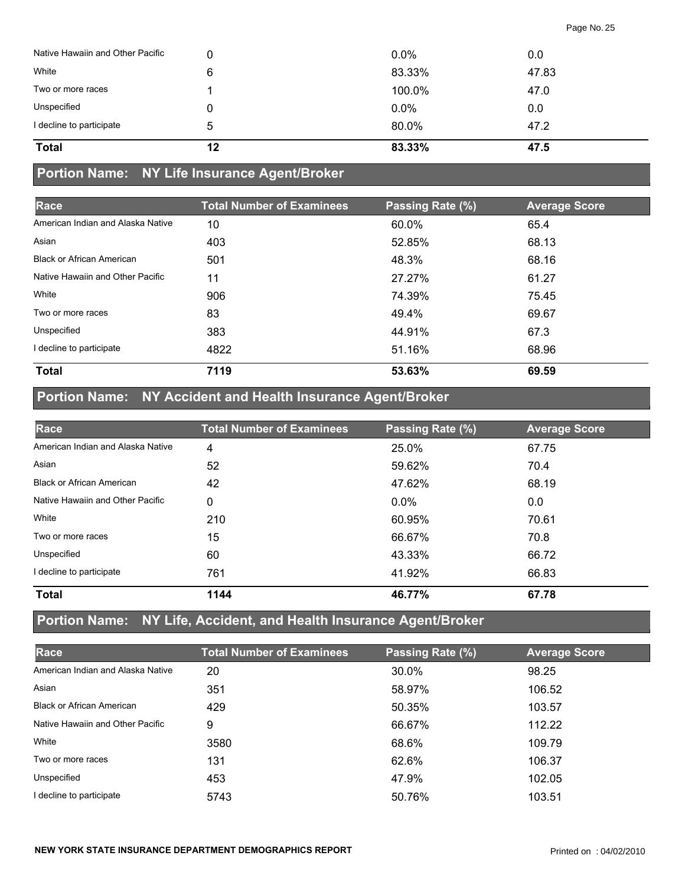| <b>Total</b>                     | 12 | 83.33% | 47.5  |
|----------------------------------|----|--------|-------|
| I decline to participate         | 5  | 80.0%  | 47.2  |
| Unspecified                      |    | 0.0%   | 0.0   |
| Two or more races                |    | 100.0% | 47.0  |
| White                            | 6  | 83.33% | 47.83 |
| Native Hawaiin and Other Pacific |    | 0.0%   | 0.0   |

## **Portion Name: NY Life Insurance Agent/Broker**

| Race                              | <b>Total Number of Examinees</b> | Passing Rate (%) | <b>Average Score</b> |
|-----------------------------------|----------------------------------|------------------|----------------------|
| American Indian and Alaska Native | 10                               | 60.0%            | 65.4                 |
| Asian                             | 403                              | 52.85%           | 68.13                |
| <b>Black or African American</b>  | 501                              | 48.3%            | 68.16                |
| Native Hawaiin and Other Pacific  | 11                               | 27.27%           | 61.27                |
| White                             | 906                              | 74.39%           | 75.45                |
| Two or more races                 | 83                               | 49.4%            | 69.67                |
| Unspecified                       | 383                              | 44.91%           | 67.3                 |
| I decline to participate          | 4822                             | 51.16%           | 68.96                |
| <b>Total</b>                      | 7119                             | 53.63%           | 69.59                |

## **Portion Name: NY Accident and Health Insurance Agent/Broker**

| Race                              | <b>Total Number of Examinees</b> | Passing Rate (%) | <b>Average Score</b> |
|-----------------------------------|----------------------------------|------------------|----------------------|
| American Indian and Alaska Native | 4                                | 25.0%            | 67.75                |
| Asian                             | 52                               | 59.62%           | 70.4                 |
| <b>Black or African American</b>  | 42                               | 47.62%           | 68.19                |
| Native Hawaiin and Other Pacific  | 0                                | $0.0\%$          | 0.0                  |
| White                             | 210                              | 60.95%           | 70.61                |
| Two or more races                 | 15                               | 66.67%           | 70.8                 |
| Unspecified                       | 60                               | 43.33%           | 66.72                |
| decline to participate            | 761                              | 41.92%           | 66.83                |
| <b>Total</b>                      | 1144                             | 46.77%           | 67.78                |

## **Portion Name: NY Life, Accident, and Health Insurance Agent/Broker**

| Race                              | <b>Total Number of Examinees</b> | Passing Rate (%) | <b>Average Score</b> |
|-----------------------------------|----------------------------------|------------------|----------------------|
| American Indian and Alaska Native | 20                               | 30.0%            | 98.25                |
| Asian                             | 351                              | 58.97%           | 106.52               |
| <b>Black or African American</b>  | 429                              | 50.35%           | 103.57               |
| Native Hawaiin and Other Pacific  | 9                                | 66.67%           | 112.22               |
| White                             | 3580                             | 68.6%            | 109.79               |
| Two or more races                 | 131                              | 62.6%            | 106.37               |
| Unspecified                       | 453                              | 47.9%            | 102.05               |
| I decline to participate          | 5743                             | 50.76%           | 103.51               |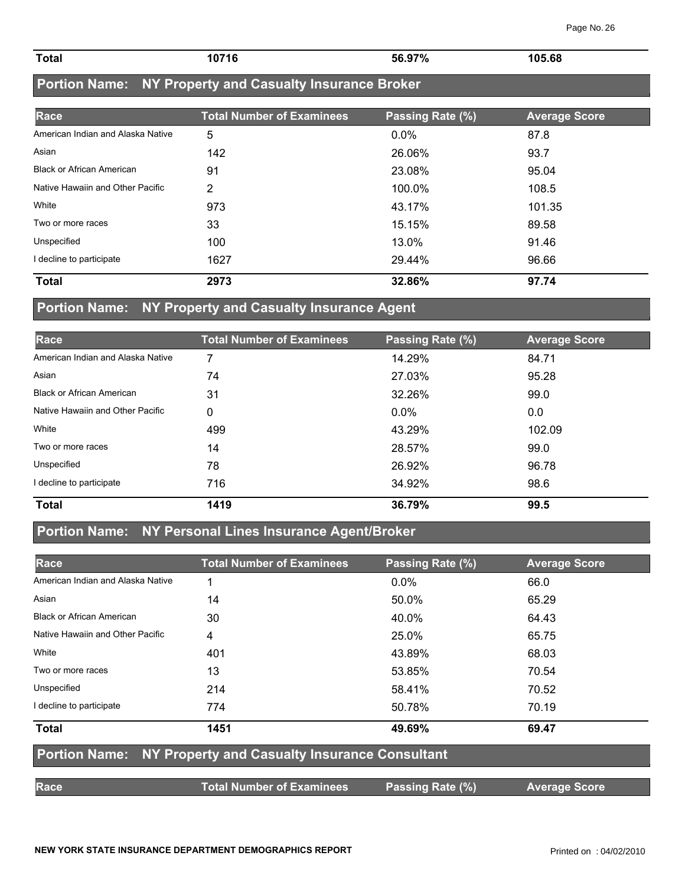| <b>Total</b> | 10716 | EC 070/<br>ວo.ຯ77 <sub>0</sub> | 105.68<br>. |
|--------------|-------|--------------------------------|-------------|
|              |       |                                |             |

## **Portion Name: NY Property and Casualty Insurance Broker**

| Race                              | <b>Total Number of Examinees</b> | Passing Rate (%) | <b>Average Score</b> |
|-----------------------------------|----------------------------------|------------------|----------------------|
| American Indian and Alaska Native | 5                                | 0.0%             | 87.8                 |
| Asian                             | 142                              | 26.06%           | 93.7                 |
| <b>Black or African American</b>  | 91                               | 23.08%           | 95.04                |
| Native Hawaiin and Other Pacific  | 2                                | 100.0%           | 108.5                |
| White                             | 973                              | 43.17%           | 101.35               |
| Two or more races                 | 33                               | 15.15%           | 89.58                |
| Unspecified                       | 100                              | 13.0%            | 91.46                |
| I decline to participate          | 1627                             | 29.44%           | 96.66                |
| <b>Total</b>                      | 2973                             | 32.86%           | 97.74                |

### **Portion Name: NY Property and Casualty Insurance Agent**

| Race                              | <b>Total Number of Examinees</b> | Passing Rate (%) | <b>Average Score</b> |
|-----------------------------------|----------------------------------|------------------|----------------------|
| American Indian and Alaska Native |                                  | 14.29%           | 84.71                |
| Asian                             | 74                               | 27.03%           | 95.28                |
| <b>Black or African American</b>  | 31                               | 32.26%           | 99.0                 |
| Native Hawaiin and Other Pacific  | 0                                | $0.0\%$          | 0.0                  |
| White                             | 499                              | 43.29%           | 102.09               |
| Two or more races                 | 14                               | 28.57%           | 99.0                 |
| Unspecified                       | 78                               | 26.92%           | 96.78                |
| I decline to participate          | 716                              | 34.92%           | 98.6                 |
| <b>Total</b>                      | 1419                             | 36.79%           | 99.5                 |

### **Portion Name: NY Personal Lines Insurance Agent/Broker**

| Race                              | <b>Total Number of Examinees</b>                                   | Passing Rate (%) | <b>Average Score</b> |
|-----------------------------------|--------------------------------------------------------------------|------------------|----------------------|
| American Indian and Alaska Native |                                                                    | $0.0\%$          | 66.0                 |
| Asian                             | 14                                                                 | 50.0%            | 65.29                |
| <b>Black or African American</b>  | 30                                                                 | 40.0%            | 64.43                |
| Native Hawaiin and Other Pacific  | 4                                                                  | 25.0%            | 65.75                |
| White                             | 401                                                                | 43.89%           | 68.03                |
| Two or more races                 | 13                                                                 | 53.85%           | 70.54                |
| Unspecified                       | 214                                                                | 58.41%           | 70.52                |
| I decline to participate          | 774                                                                | 50.78%           | 70.19                |
| <b>Total</b>                      | 1451                                                               | 49.69%           | 69.47                |
|                                   | <b>Portion Name: NY Property and Casualty Insurance Consultant</b> |                  |                      |
| Race                              | <b>Total Number of Examinees</b>                                   | Passing Rate (%) | <b>Average Score</b> |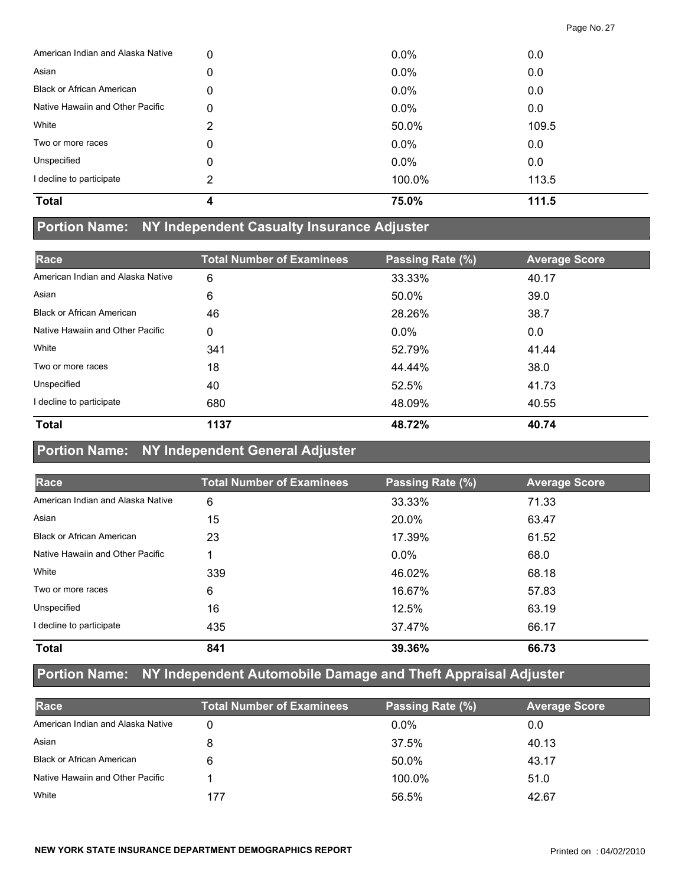| <b>Total</b>                      | Δ | 75.0%   | 111.5 |
|-----------------------------------|---|---------|-------|
| I decline to participate          | 2 | 100.0%  | 113.5 |
| Unspecified                       | 0 | $0.0\%$ | 0.0   |
| Two or more races                 | 0 | $0.0\%$ | 0.0   |
| White                             | 2 | 50.0%   | 109.5 |
| Native Hawaiin and Other Pacific  | 0 | 0.0%    | 0.0   |
| <b>Black or African American</b>  | 0 | 0.0%    | 0.0   |
| Asian                             | 0 | 0.0%    | 0.0   |
| American Indian and Alaska Native | 0 | 0.0%    | 0.0   |

#### **Portion Name: NY Independent Casualty Insurance Adjuster**

| Race                              | <b>Total Number of Examinees</b> | Passing Rate (%) | <b>Average Score</b> |
|-----------------------------------|----------------------------------|------------------|----------------------|
| American Indian and Alaska Native | 6                                | 33.33%           | 40.17                |
| Asian                             | 6                                | 50.0%            | 39.0                 |
| <b>Black or African American</b>  | 46                               | 28.26%           | 38.7                 |
| Native Hawaiin and Other Pacific  | 0                                | $0.0\%$          | 0.0                  |
| White                             | 341                              | 52.79%           | 41.44                |
| Two or more races                 | 18                               | 44.44%           | 38.0                 |
| Unspecified                       | 40                               | 52.5%            | 41.73                |
| I decline to participate          | 680                              | 48.09%           | 40.55                |
| <b>Total</b>                      | 1137                             | 48.72%           | 40.74                |

### **Portion Name: NY Independent General Adjuster**

| Race                              | <b>Total Number of Examinees</b> | Passing Rate (%) | <b>Average Score</b> |
|-----------------------------------|----------------------------------|------------------|----------------------|
| American Indian and Alaska Native | 6                                | 33.33%           | 71.33                |
| Asian                             | 15                               | 20.0%            | 63.47                |
| <b>Black or African American</b>  | 23                               | 17.39%           | 61.52                |
| Native Hawaiin and Other Pacific  |                                  | $0.0\%$          | 68.0                 |
| White                             | 339                              | 46.02%           | 68.18                |
| Two or more races                 | 6                                | 16.67%           | 57.83                |
| Unspecified                       | 16                               | 12.5%            | 63.19                |
| I decline to participate          | 435                              | 37.47%           | 66.17                |
| <b>Total</b>                      | 841                              | 39.36%           | 66.73                |

## **Portion Name: NY Independent Automobile Damage and Theft Appraisal Adjuster**

| Race                              | <b>Total Number of Examinees</b> | Passing Rate (%) | <b>Average Score</b> |
|-----------------------------------|----------------------------------|------------------|----------------------|
| American Indian and Alaska Native | 0                                | $0.0\%$          | 0.0                  |
| Asian                             |                                  | 37.5%            | 40.13                |
| <b>Black or African American</b>  |                                  | 50.0%            | 43.17                |
| Native Hawaiin and Other Pacific  |                                  | 100.0%           | 51.0                 |
| White                             | 177                              | 56.5%            | 42.67                |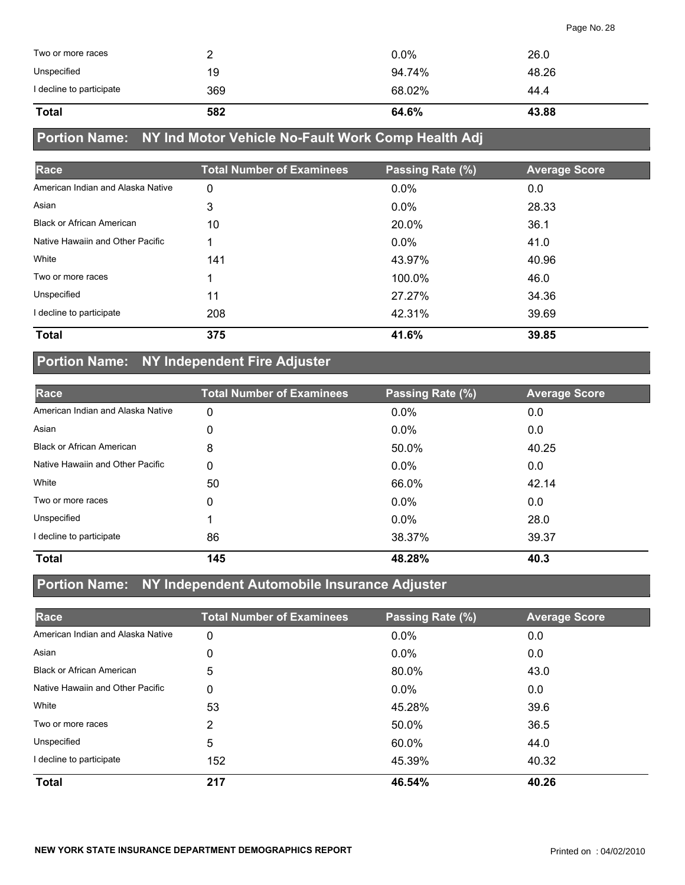| <b>Total</b>             | 582 | 64.6%   | 43.88 |
|--------------------------|-----|---------|-------|
| I decline to participate | 369 | 68.02%  | 44.4  |
| Unspecified              | 19  | 94.74%  | 48.26 |
| Two or more races        | _   | $0.0\%$ | 26.0  |

## **Portion Name: NY Ind Motor Vehicle No-Fault Work Comp Health Adj**

| Race                              | <b>Total Number of Examinees</b> | Passing Rate (%) | <b>Average Score</b> |
|-----------------------------------|----------------------------------|------------------|----------------------|
| American Indian and Alaska Native | 0                                | 0.0%             | 0.0                  |
| Asian                             | 3                                | $0.0\%$          | 28.33                |
| <b>Black or African American</b>  | 10                               | 20.0%            | 36.1                 |
| Native Hawaiin and Other Pacific  |                                  | $0.0\%$          | 41.0                 |
| White                             | 141                              | 43.97%           | 40.96                |
| Two or more races                 |                                  | 100.0%           | 46.0                 |
| Unspecified                       | 11                               | 27.27%           | 34.36                |
| I decline to participate          | 208                              | 42.31%           | 39.69                |
| <b>Total</b>                      | 375                              | 41.6%            | 39.85                |

## **Portion Name: NY Independent Fire Adjuster**

| Race                              | <b>Total Number of Examinees</b> | Passing Rate (%) | <b>Average Score</b> |
|-----------------------------------|----------------------------------|------------------|----------------------|
| American Indian and Alaska Native | 0                                | $0.0\%$          | 0.0                  |
| Asian                             | 0                                | $0.0\%$          | 0.0                  |
| <b>Black or African American</b>  | 8                                | 50.0%            | 40.25                |
| Native Hawaiin and Other Pacific  | 0                                | $0.0\%$          | 0.0                  |
| White                             | 50                               | 66.0%            | 42.14                |
| Two or more races                 | 0                                | $0.0\%$          | 0.0                  |
| Unspecified                       |                                  | 0.0%             | 28.0                 |
| I decline to participate          | 86                               | 38.37%           | 39.37                |
| <b>Total</b>                      | 145                              | 48.28%           | 40.3                 |

#### **Portion Name: NY Independent Automobile Insurance Adjuster**

| Race                              | <b>Total Number of Examinees</b> | Passing Rate (%) | <b>Average Score</b> |
|-----------------------------------|----------------------------------|------------------|----------------------|
| American Indian and Alaska Native | 0                                | 0.0%             | 0.0                  |
| Asian                             | 0                                | $0.0\%$          | 0.0                  |
| <b>Black or African American</b>  | 5                                | 80.0%            | 43.0                 |
| Native Hawaiin and Other Pacific  | 0                                | $0.0\%$          | 0.0                  |
| White                             | 53                               | 45.28%           | 39.6                 |
| Two or more races                 | 2                                | 50.0%            | 36.5                 |
| Unspecified                       | 5                                | 60.0%            | 44.0                 |
| I decline to participate          | 152                              | 45.39%           | 40.32                |
| <b>Total</b>                      | 217                              | 46.54%           | 40.26                |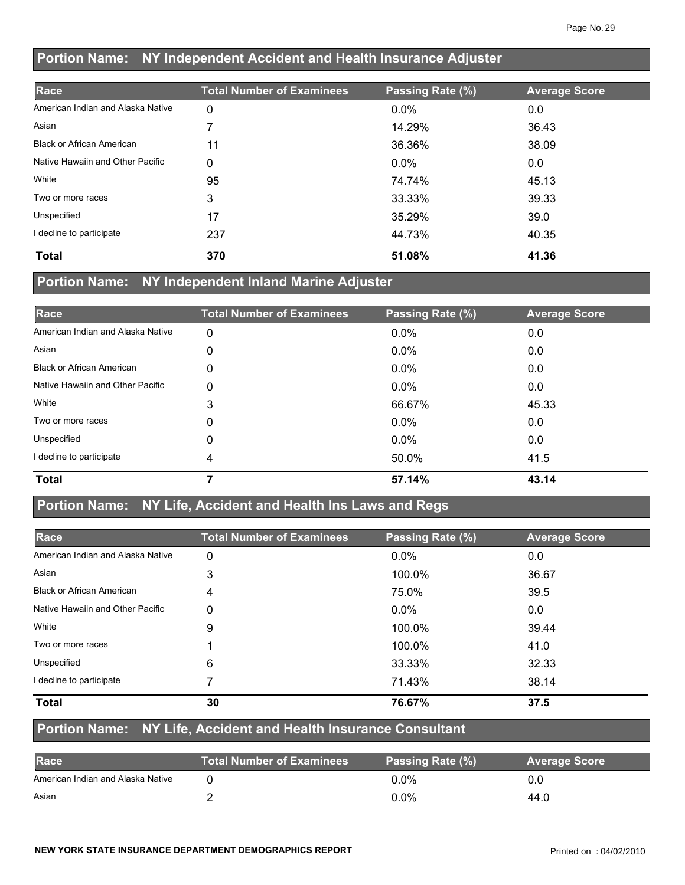### **Portion Name: NY Independent Accident and Health Insurance Adjuster**

| Race                              | <b>Total Number of Examinees</b> | Passing Rate (%) | <b>Average Score</b> |
|-----------------------------------|----------------------------------|------------------|----------------------|
| American Indian and Alaska Native | 0                                | $0.0\%$          | 0.0                  |
| Asian                             |                                  | 14.29%           | 36.43                |
| <b>Black or African American</b>  | 11                               | 36.36%           | 38.09                |
| Native Hawaiin and Other Pacific  | 0                                | $0.0\%$          | 0.0                  |
| White                             | 95                               | 74.74%           | 45.13                |
| Two or more races                 | 3                                | 33.33%           | 39.33                |
| Unspecified                       | 17                               | 35.29%           | 39.0                 |
| decline to participate            | 237                              | 44.73%           | 40.35                |
| <b>Total</b>                      | 370                              | 51.08%           | 41.36                |

### **Portion Name: NY Independent Inland Marine Adjuster**

| Race                              | <b>Total Number of Examinees</b> | Passing Rate (%) | <b>Average Score</b> |
|-----------------------------------|----------------------------------|------------------|----------------------|
| American Indian and Alaska Native | 0                                | 0.0%             | 0.0                  |
| Asian                             | 0                                | $0.0\%$          | 0.0                  |
| <b>Black or African American</b>  | 0                                | $0.0\%$          | 0.0                  |
| Native Hawaiin and Other Pacific  | 0                                | $0.0\%$          | 0.0                  |
| White                             | 3                                | 66.67%           | 45.33                |
| Two or more races                 | 0                                | $0.0\%$          | 0.0                  |
| Unspecified                       | 0                                | $0.0\%$          | 0.0                  |
| I decline to participate          | 4                                | 50.0%            | 41.5                 |
| <b>Total</b>                      |                                  | 57.14%           | 43.14                |

#### **Portion Name: NY Life, Accident and Health Ins Laws and Regs**

| Race                              | <b>Total Number of Examinees</b> | Passing Rate (%) | <b>Average Score</b> |
|-----------------------------------|----------------------------------|------------------|----------------------|
| American Indian and Alaska Native | 0                                | $0.0\%$          | 0.0                  |
| Asian                             | 3                                | 100.0%           | 36.67                |
| <b>Black or African American</b>  | 4                                | 75.0%            | 39.5                 |
| Native Hawaiin and Other Pacific  | 0                                | $0.0\%$          | 0.0                  |
| White                             | 9                                | 100.0%           | 39.44                |
| Two or more races                 |                                  | 100.0%           | 41.0                 |
| Unspecified                       | 6                                | 33.33%           | 32.33                |
| I decline to participate          |                                  | 71.43%           | 38.14                |
| <b>Total</b>                      | 30                               | 76.67%           | 37.5                 |

#### **Portion Name: NY Life, Accident and Health Insurance Consultant**

| <b>Race</b>                       | <b>Total Number of Examinees</b> | Passing Rate (%) | <b>Average Score</b> |
|-----------------------------------|----------------------------------|------------------|----------------------|
| American Indian and Alaska Native |                                  | $0.0\%$          | 0.0                  |
| Asian                             |                                  | 0.0%             | 44.0                 |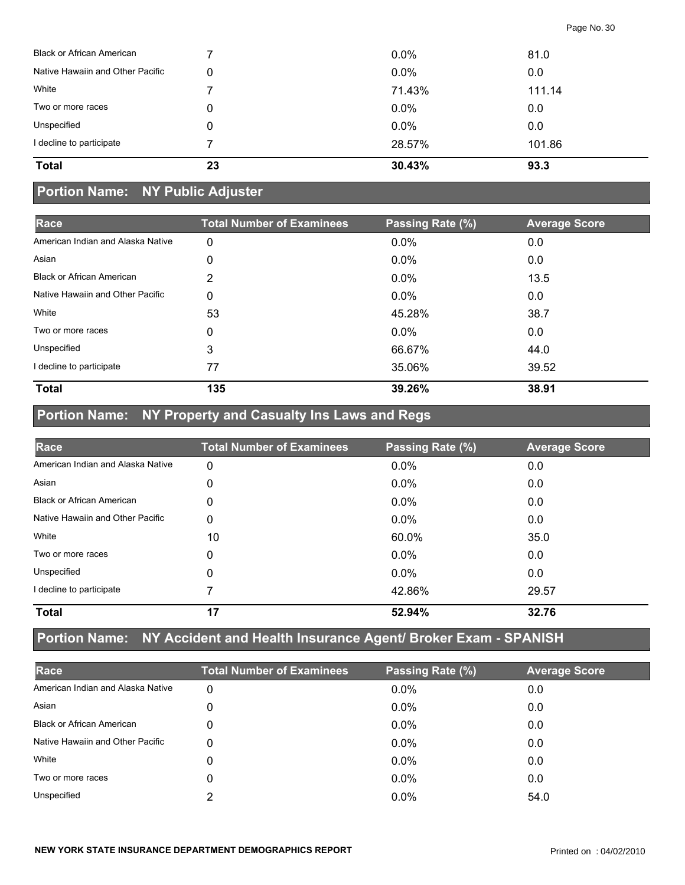| <b>Total</b>                     | 23 | 30.43%  | 93.3   |
|----------------------------------|----|---------|--------|
| I decline to participate         |    | 28.57%  | 101.86 |
| Unspecified                      | 0  | 0.0%    | 0.0    |
| Two or more races                | 0  | $0.0\%$ | 0.0    |
| White                            |    | 71.43%  | 111.14 |
| Native Hawaiin and Other Pacific | 0  | $0.0\%$ | 0.0    |
| <b>Black or African American</b> |    | $0.0\%$ | 81.0   |

### **Portion Name: NY Public Adjuster**

| Race                              | <b>Total Number of Examinees</b> | Passing Rate (%) | <b>Average Score</b> |
|-----------------------------------|----------------------------------|------------------|----------------------|
| American Indian and Alaska Native | 0                                | 0.0%             | 0.0                  |
| Asian                             | 0                                | $0.0\%$          | 0.0                  |
| <b>Black or African American</b>  | 2                                | $0.0\%$          | 13.5                 |
| Native Hawaiin and Other Pacific  | 0                                | $0.0\%$          | 0.0                  |
| White                             | 53                               | 45.28%           | 38.7                 |
| Two or more races                 | 0                                | $0.0\%$          | 0.0                  |
| Unspecified                       | 3                                | 66.67%           | 44.0                 |
| I decline to participate          | 77                               | 35.06%           | 39.52                |
| <b>Total</b>                      | 135                              | 39.26%           | 38.91                |

## **Portion Name: NY Property and Casualty Ins Laws and Regs**

| Race                              | <b>Total Number of Examinees</b> | Passing Rate (%) | <b>Average Score</b> |
|-----------------------------------|----------------------------------|------------------|----------------------|
| American Indian and Alaska Native | 0                                | 0.0%             | 0.0                  |
| Asian                             | 0                                | $0.0\%$          | 0.0                  |
| <b>Black or African American</b>  | 0                                | $0.0\%$          | 0.0                  |
| Native Hawaiin and Other Pacific  | 0                                | $0.0\%$          | 0.0                  |
| White                             | 10                               | 60.0%            | 35.0                 |
| Two or more races                 | 0                                | $0.0\%$          | 0.0                  |
| Unspecified                       | 0                                | $0.0\%$          | 0.0                  |
| I decline to participate          |                                  | 42.86%           | 29.57                |
| <b>Total</b>                      | 17                               | 52.94%           | 32.76                |

## **Portion Name: NY Accident and Health Insurance Agent/ Broker Exam - SPANISH**

| Race                              | <b>Total Number of Examinees</b> | Passing Rate (%) | <b>Average Score</b> |
|-----------------------------------|----------------------------------|------------------|----------------------|
| American Indian and Alaska Native | 0                                | $0.0\%$          | 0.0                  |
| Asian                             | 0                                | $0.0\%$          | 0.0                  |
| <b>Black or African American</b>  | 0                                | $0.0\%$          | 0.0                  |
| Native Hawaiin and Other Pacific  | 0                                | $0.0\%$          | 0.0                  |
| White                             | 0                                | $0.0\%$          | 0.0                  |
| Two or more races                 | 0                                | $0.0\%$          | 0.0                  |
| Unspecified                       | ◠                                | $0.0\%$          | 54.0                 |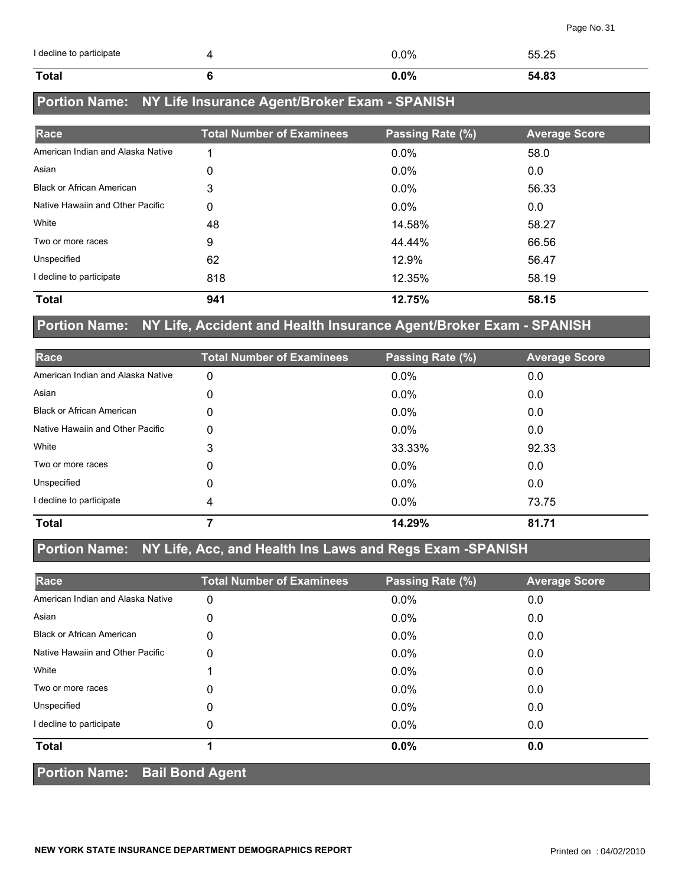| I decline to participate | $0.0\%$ | 55.25 |
|--------------------------|---------|-------|
| Total                    | $0.0\%$ | 54.83 |

## **Portion Name: NY Life Insurance Agent/Broker Exam - SPANISH**

| Race                              | <b>Total Number of Examinees</b> | Passing Rate (%) | <b>Average Score</b> |
|-----------------------------------|----------------------------------|------------------|----------------------|
| American Indian and Alaska Native | 4                                | 0.0%             | 58.0                 |
| Asian                             | 0                                | $0.0\%$          | 0.0                  |
| <b>Black or African American</b>  | 3                                | $0.0\%$          | 56.33                |
| Native Hawaiin and Other Pacific  | 0                                | $0.0\%$          | 0.0                  |
| White                             | 48                               | 14.58%           | 58.27                |
| Two or more races                 | 9                                | 44.44%           | 66.56                |
| Unspecified                       | 62                               | 12.9%            | 56.47                |
| I decline to participate          | 818                              | 12.35%           | 58.19                |
| <b>Total</b>                      | 941                              | 12.75%           | 58.15                |

### **Portion Name: NY Life, Accident and Health Insurance Agent/Broker Exam - SPANISH**

| Race                              | <b>Total Number of Examinees</b> | Passing Rate (%) | <b>Average Score</b> |
|-----------------------------------|----------------------------------|------------------|----------------------|
| American Indian and Alaska Native | 0                                | 0.0%             | 0.0                  |
| Asian                             | 0                                | $0.0\%$          | 0.0                  |
| <b>Black or African American</b>  | 0                                | 0.0%             | 0.0                  |
| Native Hawaiin and Other Pacific  | 0                                | 0.0%             | 0.0                  |
| White                             | 3                                | 33.33%           | 92.33                |
| Two or more races                 | 0                                | $0.0\%$          | 0.0                  |
| Unspecified                       | 0                                | 0.0%             | 0.0                  |
| I decline to participate          | 4                                | $0.0\%$          | 73.75                |
| <b>Total</b>                      |                                  | 14.29%           | 81.71                |

### **Portion Name: NY Life, Acc, and Health Ins Laws and Regs Exam -SPANISH**

| Race                              | <b>Total Number of Examinees</b> | Passing Rate (%) | <b>Average Score</b> |
|-----------------------------------|----------------------------------|------------------|----------------------|
| American Indian and Alaska Native | 0                                | 0.0%             | 0.0                  |
| Asian                             | 0                                | $0.0\%$          | 0.0                  |
| <b>Black or African American</b>  | 0                                | $0.0\%$          | 0.0                  |
| Native Hawaiin and Other Pacific  | 0                                | $0.0\%$          | 0.0                  |
| White                             |                                  | $0.0\%$          | 0.0                  |
| Two or more races                 | 0                                | 0.0%             | 0.0                  |
| Unspecified                       | 0                                | $0.0\%$          | 0.0                  |
| I decline to participate          | 0                                | $0.0\%$          | 0.0                  |
| <b>Total</b>                      |                                  | 0.0%             | 0.0                  |
| Portion Name: Bail Bond Agent     |                                  |                  |                      |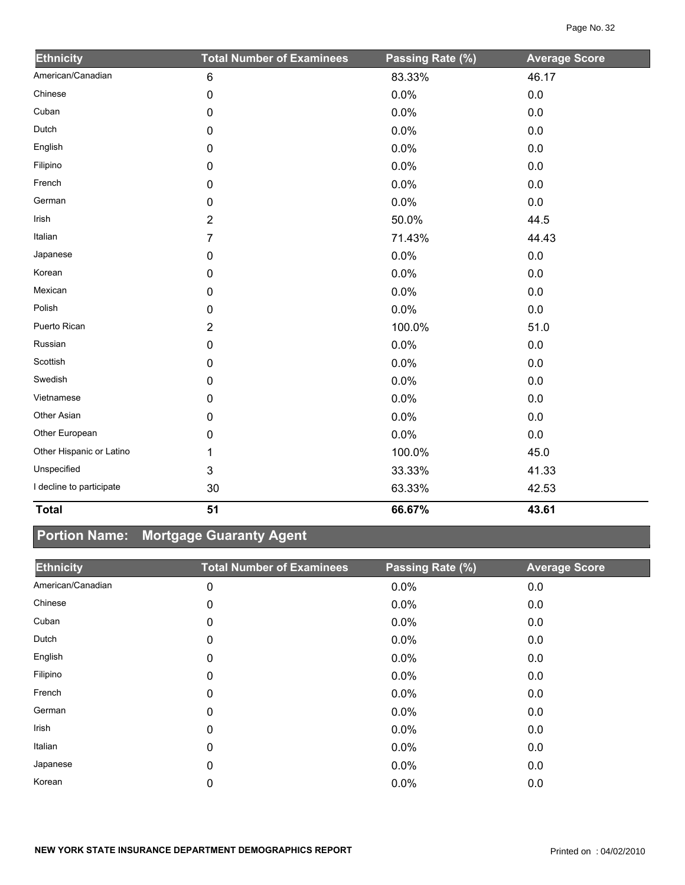| <b>Ethnicity</b>         | <b>Total Number of Examinees</b> | Passing Rate (%) | <b>Average Score</b> |
|--------------------------|----------------------------------|------------------|----------------------|
| American/Canadian        | $\,6\,$                          | 83.33%           | 46.17                |
| Chinese                  | 0                                | 0.0%             | 0.0                  |
| Cuban                    | $\pmb{0}$                        | 0.0%             | 0.0                  |
| Dutch                    | 0                                | 0.0%             | 0.0                  |
| English                  | 0                                | 0.0%             | 0.0                  |
| Filipino                 | 0                                | 0.0%             | 0.0                  |
| French                   | 0                                | 0.0%             | 0.0                  |
| German                   | 0                                | 0.0%             | 0.0                  |
| Irish                    | $\overline{2}$                   | 50.0%            | 44.5                 |
| Italian                  | 7                                | 71.43%           | 44.43                |
| Japanese                 | 0                                | 0.0%             | 0.0                  |
| Korean                   | 0                                | 0.0%             | $0.0\,$              |
| Mexican                  | 0                                | 0.0%             | 0.0                  |
| Polish                   | 0                                | 0.0%             | 0.0                  |
| Puerto Rican             | $\overline{2}$                   | 100.0%           | 51.0                 |
| Russian                  | 0                                | 0.0%             | 0.0                  |
| Scottish                 | 0                                | 0.0%             | 0.0                  |
| Swedish                  | 0                                | 0.0%             | $0.0\,$              |
| Vietnamese               | 0                                | 0.0%             | 0.0                  |
| Other Asian              | 0                                | 0.0%             | 0.0                  |
| Other European           | 0                                | 0.0%             | $0.0\,$              |
| Other Hispanic or Latino | 1                                | 100.0%           | 45.0                 |
| Unspecified              | 3                                | 33.33%           | 41.33                |
| I decline to participate | 30                               | 63.33%           | 42.53                |
| <b>Total</b>             | 51                               | 66.67%           | 43.61                |

## **Portion Name: Mortgage Guaranty Agent**

| <b>Ethnicity</b>  | <b>Total Number of Examinees</b> | Passing Rate (%) | <b>Average Score</b> |
|-------------------|----------------------------------|------------------|----------------------|
| American/Canadian | 0                                | 0.0%             | 0.0                  |
| Chinese           | 0                                | $0.0\%$          | 0.0                  |
| Cuban             | 0                                | $0.0\%$          | 0.0                  |
| Dutch             | 0                                | $0.0\%$          | 0.0                  |
| English           | 0                                | $0.0\%$          | 0.0                  |
| Filipino          | 0                                | $0.0\%$          | 0.0                  |
| French            | 0                                | $0.0\%$          | 0.0                  |
| German            | 0                                | $0.0\%$          | 0.0                  |
| Irish             | 0                                | $0.0\%$          | 0.0                  |
| Italian           | 0                                | $0.0\%$          | 0.0                  |
| Japanese          | 0                                | $0.0\%$          | 0.0                  |
| Korean            | 0                                | 0.0%             | 0.0                  |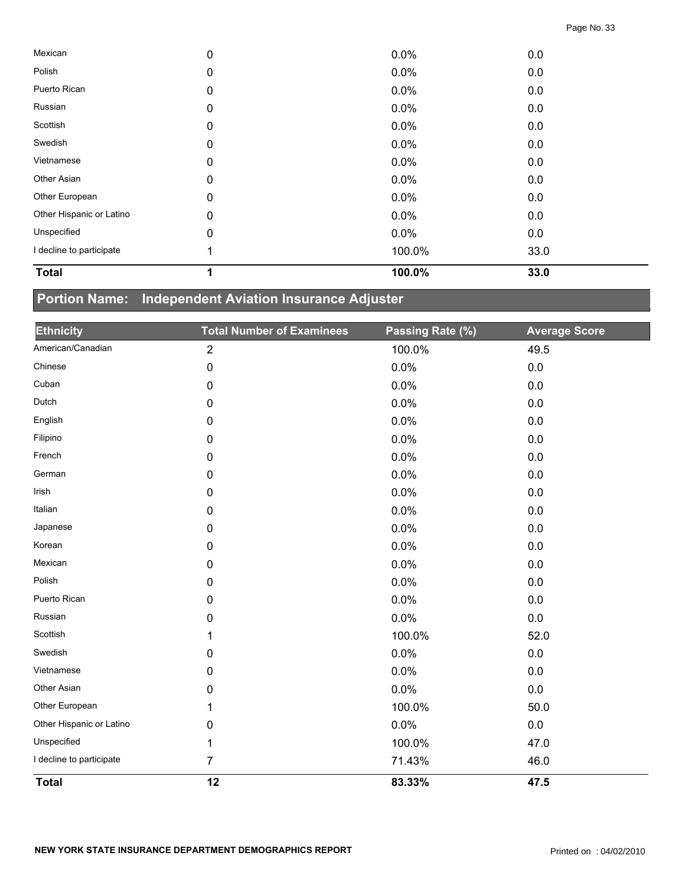| <b>Total</b>             | 4 | 100.0% | 33.0 |  |
|--------------------------|---|--------|------|--|
| I decline to participate |   | 100.0% | 33.0 |  |
| Unspecified              | 0 | 0.0%   | 0.0  |  |
| Other Hispanic or Latino | 0 | 0.0%   | 0.0  |  |
| Other European           | 0 | 0.0%   | 0.0  |  |
| Other Asian              | 0 | 0.0%   | 0.0  |  |
| Vietnamese               | 0 | 0.0%   | 0.0  |  |
| Swedish                  | 0 | 0.0%   | 0.0  |  |
| Scottish                 | 0 | 0.0%   | 0.0  |  |
| Russian                  | 0 | 0.0%   | 0.0  |  |
| Puerto Rican             | 0 | 0.0%   | 0.0  |  |
| Polish                   | 0 | 0.0%   | 0.0  |  |
| Mexican                  | 0 | 0.0%   | 0.0  |  |

## **Portion Name: Independent Aviation Insurance Adjuster**

| <b>Ethnicity</b>         | <b>Total Number of Examinees</b> | Passing Rate (%) | <b>Average Score</b> |
|--------------------------|----------------------------------|------------------|----------------------|
| American/Canadian        | $\overline{2}$                   | 100.0%           | 49.5                 |
| Chinese                  | 0                                | 0.0%             | $0.0\,$              |
| Cuban                    | 0                                | 0.0%             | 0.0                  |
| Dutch                    | 0                                | 0.0%             | 0.0                  |
| English                  | 0                                | 0.0%             | 0.0                  |
| Filipino                 | 0                                | 0.0%             | 0.0                  |
| French                   | 0                                | 0.0%             | 0.0                  |
| German                   | 0                                | 0.0%             | 0.0                  |
| Irish                    | 0                                | 0.0%             | 0.0                  |
| Italian                  | 0                                | 0.0%             | 0.0                  |
| Japanese                 | 0                                | 0.0%             | 0.0                  |
| Korean                   | $\mathbf 0$                      | 0.0%             | 0.0                  |
| Mexican                  | 0                                | 0.0%             | 0.0                  |
| Polish                   | 0                                | 0.0%             | 0.0                  |
| Puerto Rican             | 0                                | 0.0%             | 0.0                  |
| Russian                  | 0                                | 0.0%             | 0.0                  |
| Scottish                 | 1                                | 100.0%           | 52.0                 |
| Swedish                  | 0                                | 0.0%             | 0.0                  |
| Vietnamese               | 0                                | 0.0%             | 0.0                  |
| Other Asian              | 0                                | 0.0%             | 0.0                  |
| Other European           | 1                                | 100.0%           | 50.0                 |
| Other Hispanic or Latino | 0                                | 0.0%             | $0.0\,$              |
| Unspecified              | 1                                | 100.0%           | 47.0                 |
| I decline to participate | 7                                | 71.43%           | 46.0                 |
| <b>Total</b>             | 12                               | 83.33%           | 47.5                 |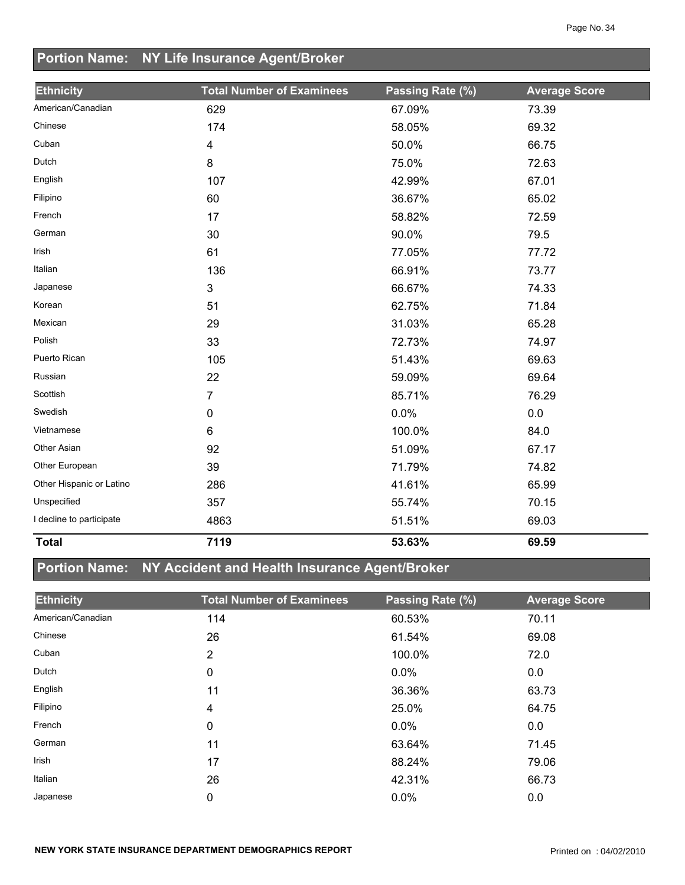## **Portion Name: NY Life Insurance Agent/Broker**

| <b>Ethnicity</b>         | <b>Total Number of Examinees</b> | Passing Rate (%) | <b>Average Score</b> |
|--------------------------|----------------------------------|------------------|----------------------|
| American/Canadian        | 629                              | 67.09%           | 73.39                |
| Chinese                  | 174                              | 58.05%           | 69.32                |
| Cuban                    | 4                                | 50.0%            | 66.75                |
| Dutch                    | 8                                | 75.0%            | 72.63                |
| English                  | 107                              | 42.99%           | 67.01                |
| Filipino                 | 60                               | 36.67%           | 65.02                |
| French                   | 17                               | 58.82%           | 72.59                |
| German                   | 30                               | 90.0%            | 79.5                 |
| Irish                    | 61                               | 77.05%           | 77.72                |
| Italian                  | 136                              | 66.91%           | 73.77                |
| Japanese                 | 3                                | 66.67%           | 74.33                |
| Korean                   | 51                               | 62.75%           | 71.84                |
| Mexican                  | 29                               | 31.03%           | 65.28                |
| Polish                   | 33                               | 72.73%           | 74.97                |
| Puerto Rican             | 105                              | 51.43%           | 69.63                |
| Russian                  | 22                               | 59.09%           | 69.64                |
| Scottish                 | 7                                | 85.71%           | 76.29                |
| Swedish                  | 0                                | 0.0%             | 0.0                  |
| Vietnamese               | 6                                | 100.0%           | 84.0                 |
| Other Asian              | 92                               | 51.09%           | 67.17                |
| Other European           | 39                               | 71.79%           | 74.82                |
| Other Hispanic or Latino | 286                              | 41.61%           | 65.99                |
| Unspecified              | 357                              | 55.74%           | 70.15                |
| I decline to participate | 4863                             | 51.51%           | 69.03                |
| <b>Total</b>             | 7119                             | 53.63%           | 69.59                |

## **Portion Name: NY Accident and Health Insurance Agent/Broker**

| <b>Ethnicity</b>  | <b>Total Number of Examinees</b> | Passing Rate (%) | <b>Average Score</b> |
|-------------------|----------------------------------|------------------|----------------------|
| American/Canadian | 114                              | 60.53%           | 70.11                |
| Chinese           | 26                               | 61.54%           | 69.08                |
| Cuban             | $\overline{2}$                   | 100.0%           | 72.0                 |
| Dutch             | 0                                | $0.0\%$          | 0.0                  |
| English           | 11                               | 36.36%           | 63.73                |
| Filipino          | 4                                | 25.0%            | 64.75                |
| French            | 0                                | $0.0\%$          | 0.0                  |
| German            | 11                               | 63.64%           | 71.45                |
| Irish             | 17                               | 88.24%           | 79.06                |
| Italian           | 26                               | 42.31%           | 66.73                |
| Japanese          | 0                                | 0.0%             | 0.0                  |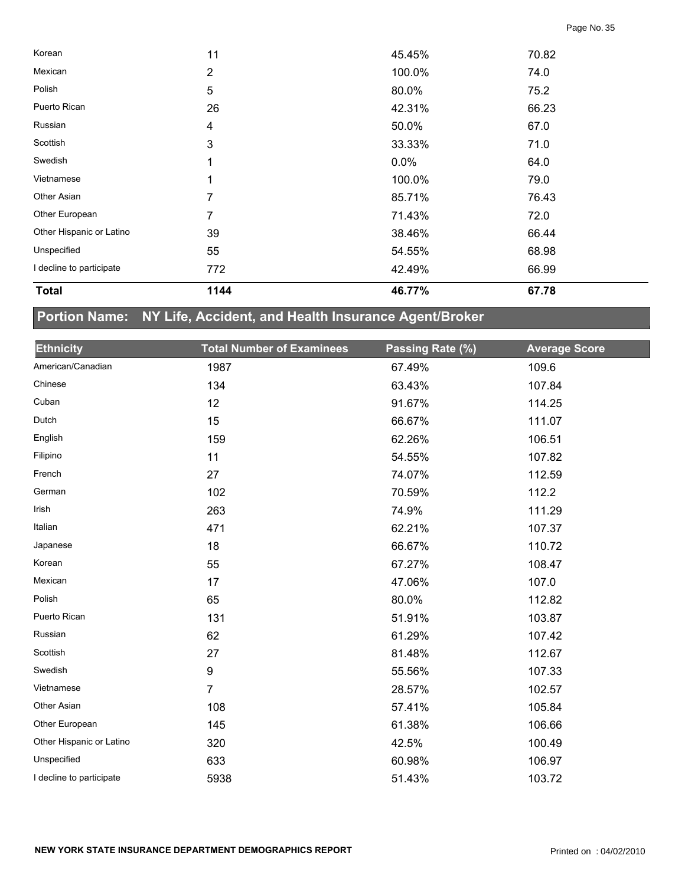| <b>Total</b>             | 1144 | 46.77% | 67.78 |  |
|--------------------------|------|--------|-------|--|
| I decline to participate | 772  | 42.49% | 66.99 |  |
| Unspecified              | 55   | 54.55% | 68.98 |  |
| Other Hispanic or Latino | 39   | 38.46% | 66.44 |  |
| Other European           | 7    | 71.43% | 72.0  |  |
| Other Asian              | 7    | 85.71% | 76.43 |  |
| Vietnamese               | 1    | 100.0% | 79.0  |  |
| Swedish                  | 1    | 0.0%   | 64.0  |  |
| Scottish                 | 3    | 33.33% | 71.0  |  |
| Russian                  | 4    | 50.0%  | 67.0  |  |
| Puerto Rican             | 26   | 42.31% | 66.23 |  |
| Polish                   | 5    | 80.0%  | 75.2  |  |
| Mexican                  | 2    | 100.0% | 74.0  |  |
| Korean                   | 11   | 45.45% | 70.82 |  |

# **Portion Name: NY Life, Accident, and Health Insurance Agent/Broker**

| <b>Ethnicity</b>         | <b>Total Number of Examinees</b> | Passing Rate (%) | <b>Average Score</b> |
|--------------------------|----------------------------------|------------------|----------------------|
| American/Canadian        | 1987                             | 67.49%           | 109.6                |
| Chinese                  | 134                              | 63.43%           | 107.84               |
| Cuban                    | 12                               | 91.67%           | 114.25               |
| Dutch                    | 15                               | 66.67%           | 111.07               |
| English                  | 159                              | 62.26%           | 106.51               |
| Filipino                 | 11                               | 54.55%           | 107.82               |
| French                   | 27                               | 74.07%           | 112.59               |
| German                   | 102                              | 70.59%           | 112.2                |
| Irish                    | 263                              | 74.9%            | 111.29               |
| Italian                  | 471                              | 62.21%           | 107.37               |
| Japanese                 | 18                               | 66.67%           | 110.72               |
| Korean                   | 55                               | 67.27%           | 108.47               |
| Mexican                  | 17                               | 47.06%           | 107.0                |
| Polish                   | 65                               | 80.0%            | 112.82               |
| Puerto Rican             | 131                              | 51.91%           | 103.87               |
| Russian                  | 62                               | 61.29%           | 107.42               |
| Scottish                 | 27                               | 81.48%           | 112.67               |
| Swedish                  | 9                                | 55.56%           | 107.33               |
| Vietnamese               | $\overline{7}$                   | 28.57%           | 102.57               |
| Other Asian              | 108                              | 57.41%           | 105.84               |
| Other European           | 145                              | 61.38%           | 106.66               |
| Other Hispanic or Latino | 320                              | 42.5%            | 100.49               |
| Unspecified              | 633                              | 60.98%           | 106.97               |
| I decline to participate | 5938                             | 51.43%           | 103.72               |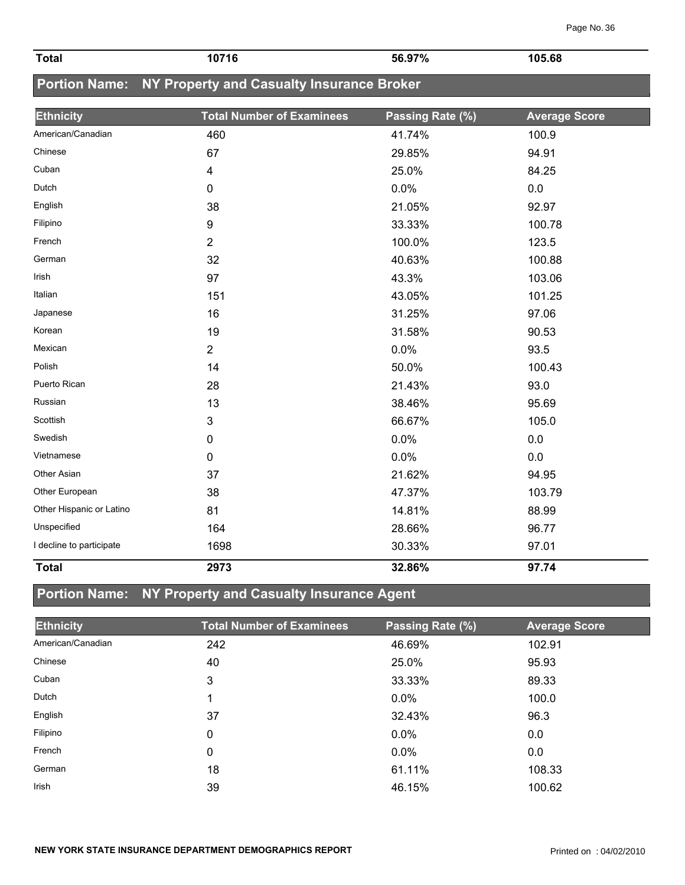| <b>Total</b>             | 10716                                                   | 56.97%           | 105.68               |
|--------------------------|---------------------------------------------------------|------------------|----------------------|
|                          | Portion Name: NY Property and Casualty Insurance Broker |                  |                      |
|                          |                                                         |                  |                      |
| <b>Ethnicity</b>         | <b>Total Number of Examinees</b>                        | Passing Rate (%) | <b>Average Score</b> |
| American/Canadian        | 460                                                     | 41.74%           | 100.9                |
| Chinese                  | 67                                                      | 29.85%           | 94.91                |
| Cuban                    | 4                                                       | 25.0%            | 84.25                |
| Dutch                    | 0                                                       | 0.0%             | 0.0                  |
| English                  | 38                                                      | 21.05%           | 92.97                |
| Filipino                 | 9                                                       | 33.33%           | 100.78               |
| French                   | $\overline{2}$                                          | 100.0%           | 123.5                |
| German                   | 32                                                      | 40.63%           | 100.88               |
| <b>Irish</b>             | 97                                                      | 43.3%            | 103.06               |
| Italian                  | 151                                                     | 43.05%           | 101.25               |
| Japanese                 | 16                                                      | 31.25%           | 97.06                |
| Korean                   | 19                                                      | 31.58%           | 90.53                |
| Mexican                  | $\overline{2}$                                          | 0.0%             | 93.5                 |
| Polish                   | 14                                                      | 50.0%            | 100.43               |
| Puerto Rican             | 28                                                      | 21.43%           | 93.0                 |
| Russian                  | 13                                                      | 38.46%           | 95.69                |
| Scottish                 | 3                                                       | 66.67%           | 105.0                |
| Swedish                  | 0                                                       | 0.0%             | 0.0                  |
| Vietnamese               | 0                                                       | 0.0%             | 0.0                  |
| Other Asian              | 37                                                      | 21.62%           | 94.95                |
| Other European           | 38                                                      | 47.37%           | 103.79               |
| Other Hispanic or Latino | 81                                                      | 14.81%           | 88.99                |
| Unspecified              | 164                                                     | 28.66%           | 96.77                |
| I decline to participate | 1698                                                    | 30.33%           | 97.01                |
| <b>Total</b>             | 2973                                                    | 32.86%           | 97.74                |

# **Portion Name: NY Property and Casualty Insurance Agent**

| <b>Ethnicity</b>  | <b>Total Number of Examinees</b> | Passing Rate (%) | <b>Average Score</b> |
|-------------------|----------------------------------|------------------|----------------------|
| American/Canadian | 242                              | 46.69%           | 102.91               |
| Chinese           | 40                               | 25.0%            | 95.93                |
| Cuban             | 3                                | 33.33%           | 89.33                |
| Dutch             |                                  | $0.0\%$          | 100.0                |
| English           | 37                               | 32.43%           | 96.3                 |
| Filipino          | 0                                | $0.0\%$          | 0.0                  |
| French            | 0                                | $0.0\%$          | 0.0                  |
| German            | 18                               | 61.11%           | 108.33               |
| <b>Irish</b>      | 39                               | 46.15%           | 100.62               |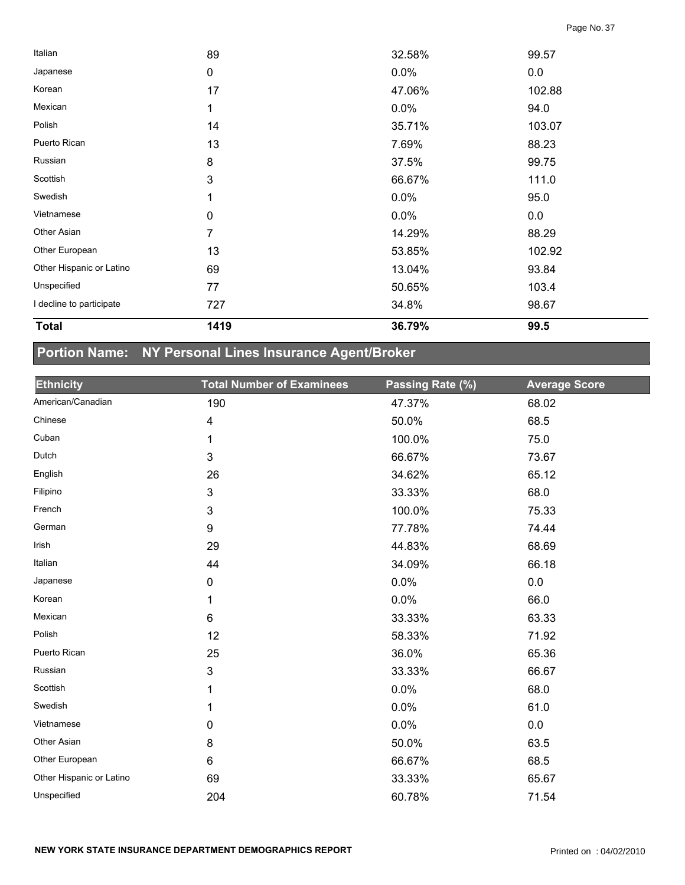| <b>Total</b>             | 1419           | 36.79% | 99.5   |  |
|--------------------------|----------------|--------|--------|--|
| I decline to participate | 727            | 34.8%  | 98.67  |  |
| Unspecified              | 77             | 50.65% | 103.4  |  |
| Other Hispanic or Latino | 69             | 13.04% | 93.84  |  |
| Other European           | 13             | 53.85% | 102.92 |  |
| Other Asian              | $\overline{7}$ | 14.29% | 88.29  |  |
| Vietnamese               | 0              | 0.0%   | 0.0    |  |
| Swedish                  | 1              | 0.0%   | 95.0   |  |
| Scottish                 | $\mathbf{3}$   | 66.67% | 111.0  |  |
| Russian                  | 8              | 37.5%  | 99.75  |  |
| Puerto Rican             | 13             | 7.69%  | 88.23  |  |
| Polish                   | 14             | 35.71% | 103.07 |  |
| Mexican                  | 1              | 0.0%   | 94.0   |  |
| Korean                   | 17             | 47.06% | 102.88 |  |
| Japanese                 | 0              | 0.0%   | 0.0    |  |
| Italian                  | 89             | 32.58% | 99.57  |  |

## **Portion Name: NY Personal Lines Insurance Agent/Broker**

| <b>Ethnicity</b>         | <b>Total Number of Examinees</b> | Passing Rate (%) | <b>Average Score</b> |
|--------------------------|----------------------------------|------------------|----------------------|
| American/Canadian        | 190                              | 47.37%           | 68.02                |
| Chinese                  | 4                                | 50.0%            | 68.5                 |
| Cuban                    | 1                                | 100.0%           | 75.0                 |
| Dutch                    | 3                                | 66.67%           | 73.67                |
| English                  | 26                               | 34.62%           | 65.12                |
| Filipino                 | 3                                | 33.33%           | 68.0                 |
| French                   | 3                                | 100.0%           | 75.33                |
| German                   | 9                                | 77.78%           | 74.44                |
| Irish                    | 29                               | 44.83%           | 68.69                |
| Italian                  | 44                               | 34.09%           | 66.18                |
| Japanese                 | 0                                | 0.0%             | $0.0\,$              |
| Korean                   | 1                                | 0.0%             | 66.0                 |
| Mexican                  | 6                                | 33.33%           | 63.33                |
| Polish                   | 12                               | 58.33%           | 71.92                |
| Puerto Rican             | 25                               | 36.0%            | 65.36                |
| Russian                  | 3                                | 33.33%           | 66.67                |
| Scottish                 | 1                                | 0.0%             | 68.0                 |
| Swedish                  | 1                                | 0.0%             | 61.0                 |
| Vietnamese               | 0                                | 0.0%             | 0.0                  |
| Other Asian              | 8                                | 50.0%            | 63.5                 |
| Other European           | $6\phantom{1}$                   | 66.67%           | 68.5                 |
| Other Hispanic or Latino | 69                               | 33.33%           | 65.67                |
| Unspecified              | 204                              | 60.78%           | 71.54                |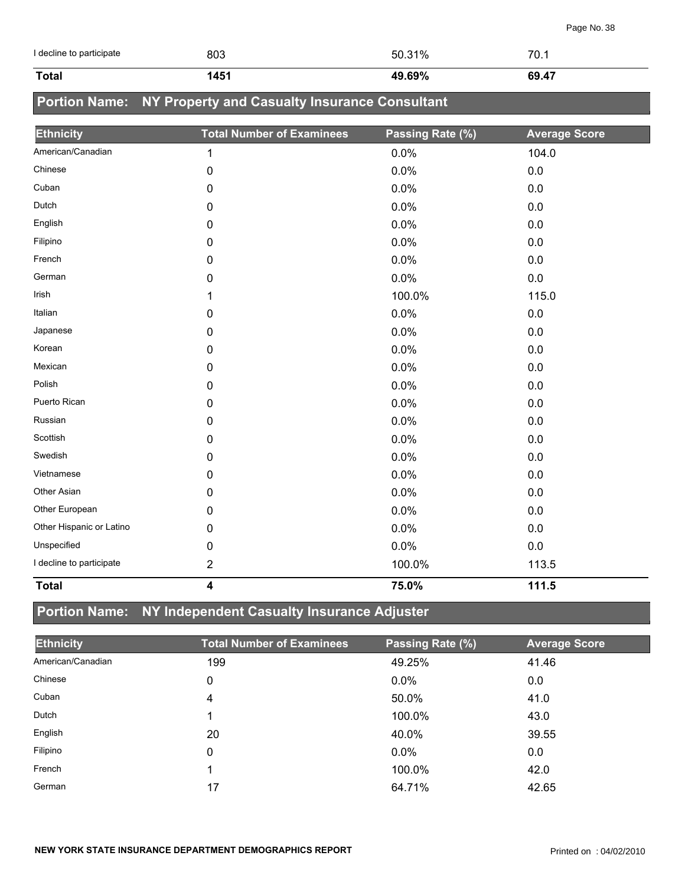| I decline to participate | 803                                           | 50.31%           | 70.1                 |
|--------------------------|-----------------------------------------------|------------------|----------------------|
| <b>Total</b>             | 1451                                          | 49.69%           | 69.47                |
| <b>Portion Name:</b>     | NY Property and Casualty Insurance Consultant |                  |                      |
| <b>Ethnicity</b>         | <b>Total Number of Examinees</b>              | Passing Rate (%) | <b>Average Score</b> |
| American/Canadian        | $\mathbf{1}$                                  | 0.0%             | 104.0                |
| Chinese                  | $\pmb{0}$                                     | 0.0%             | 0.0                  |
| Cuban                    | 0                                             | 0.0%             | 0.0                  |
| Dutch                    | 0                                             | 0.0%             | 0.0                  |
| English                  | 0                                             | 0.0%             | 0.0                  |
| Filipino                 | 0                                             | 0.0%             | 0.0                  |
| French                   | 0                                             | 0.0%             | 0.0                  |
| German                   | 0                                             | 0.0%             | 0.0                  |
| Irish                    | 1                                             | 100.0%           | 115.0                |
| Italian                  | 0                                             | 0.0%             | 0.0                  |
| Japanese                 | 0                                             | 0.0%             | 0.0                  |
| Korean                   | 0                                             | 0.0%             | 0.0                  |
| Mexican                  | 0                                             | 0.0%             | 0.0                  |
| Polish                   | 0                                             | 0.0%             | 0.0                  |
| Puerto Rican             | 0                                             | 0.0%             | 0.0                  |
| Russian                  | 0                                             | 0.0%             | 0.0                  |
| Scottish                 | 0                                             | 0.0%             | 0.0                  |
| Swedish                  | $\pmb{0}$                                     | 0.0%             | 0.0                  |
| Vietnamese               | 0                                             | 0.0%             | 0.0                  |
| Other Asian              | 0                                             | 0.0%             | 0.0                  |
| Other European           | 0                                             | 0.0%             | $0.0\,$              |
| Other Hispanic or Latino | 0                                             | 0.0%             | 0.0                  |
| Unspecified              | 0                                             | 0.0%             | 0.0                  |
| I decline to participate | $\boldsymbol{2}$                              | 100.0%           | 113.5                |
| <b>Total</b>             | $\overline{\mathbf{4}}$                       | 75.0%            | 111.5                |

## **Portion Name: NY Independent Casualty Insurance Adjuster**

| <b>Ethnicity</b>  | <b>Total Number of Examinees</b> | Passing Rate (%) | <b>Average Score</b> |
|-------------------|----------------------------------|------------------|----------------------|
| American/Canadian | 199                              | 49.25%           | 41.46                |
| Chinese           | 0                                | 0.0%             | 0.0                  |
| Cuban             | 4                                | 50.0%            | 41.0                 |
| Dutch             |                                  | 100.0%           | 43.0                 |
| English           | 20                               | 40.0%            | 39.55                |
| Filipino          | 0                                | 0.0%             | 0.0                  |
| French            |                                  | 100.0%           | 42.0                 |
| German            | 17                               | 64.71%           | 42.65                |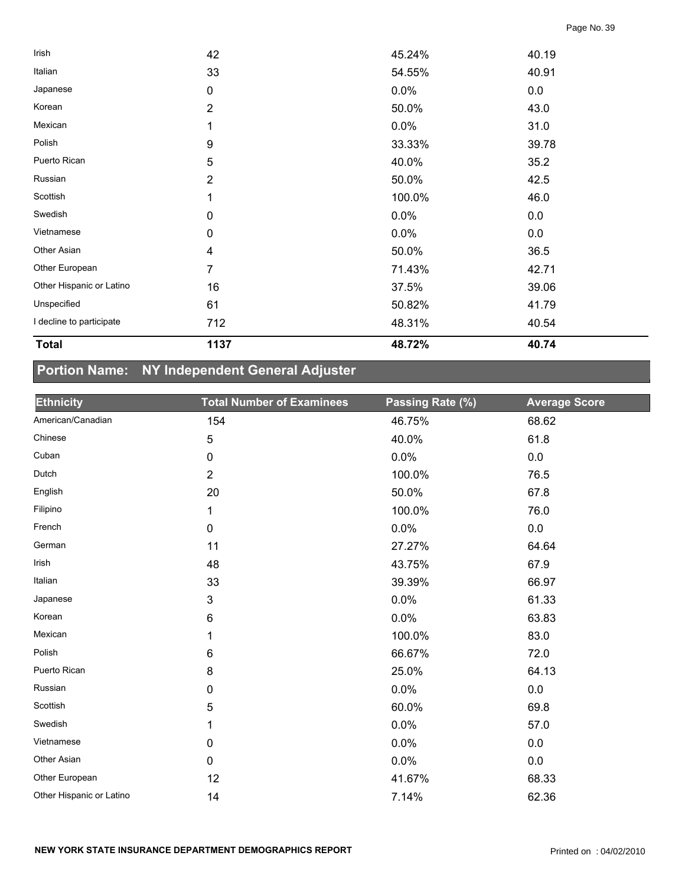| <b>Total</b>             | 1137             | 48.72% | 40.74 |  |
|--------------------------|------------------|--------|-------|--|
| I decline to participate | 712              | 48.31% | 40.54 |  |
| Unspecified              | 61               | 50.82% | 41.79 |  |
| Other Hispanic or Latino | 16               | 37.5%  | 39.06 |  |
| Other European           | 7                | 71.43% | 42.71 |  |
| Other Asian              | 4                | 50.0%  | 36.5  |  |
| Vietnamese               | $\pmb{0}$        | 0.0%   | 0.0   |  |
| Swedish                  | $\pmb{0}$        | 0.0%   | 0.0   |  |
| Scottish                 |                  | 100.0% | 46.0  |  |
| Russian                  | 2                | 50.0%  | 42.5  |  |
| Puerto Rican             | 5                | 40.0%  | 35.2  |  |
| Polish                   | $\boldsymbol{9}$ | 33.33% | 39.78 |  |
| Mexican                  | 1                | 0.0%   | 31.0  |  |
| Korean                   | 2                | 50.0%  | 43.0  |  |
| Japanese                 | $\mathbf 0$      | 0.0%   | 0.0   |  |
| Italian                  | 33               | 54.55% | 40.91 |  |
| Irish                    | 42               | 45.24% | 40.19 |  |

## **Portion Name: NY Independent General Adjuster**

| <b>Ethnicity</b>         | <b>Total Number of Examinees</b> | Passing Rate (%) | <b>Average Score</b> |
|--------------------------|----------------------------------|------------------|----------------------|
| American/Canadian        | 154                              | 46.75%           | 68.62                |
| Chinese                  | 5                                | 40.0%            | 61.8                 |
| Cuban                    | 0                                | 0.0%             | $0.0\,$              |
| Dutch                    | $\overline{2}$                   | 100.0%           | 76.5                 |
| English                  | 20                               | 50.0%            | 67.8                 |
| Filipino                 | 1                                | 100.0%           | 76.0                 |
| French                   | 0                                | 0.0%             | $0.0\,$              |
| German                   | 11                               | 27.27%           | 64.64                |
| Irish                    | 48                               | 43.75%           | 67.9                 |
| Italian                  | 33                               | 39.39%           | 66.97                |
| Japanese                 | $\mathsf 3$                      | 0.0%             | 61.33                |
| Korean                   | 6                                | 0.0%             | 63.83                |
| Mexican                  | 1                                | 100.0%           | 83.0                 |
| Polish                   | 6                                | 66.67%           | 72.0                 |
| Puerto Rican             | 8                                | 25.0%            | 64.13                |
| Russian                  | 0                                | 0.0%             | $0.0\,$              |
| Scottish                 | 5                                | 60.0%            | 69.8                 |
| Swedish                  | 1                                | 0.0%             | 57.0                 |
| Vietnamese               | 0                                | 0.0%             | 0.0                  |
| Other Asian              | 0                                | 0.0%             | $0.0\,$              |
| Other European           | 12                               | 41.67%           | 68.33                |
| Other Hispanic or Latino | 14                               | 7.14%            | 62.36                |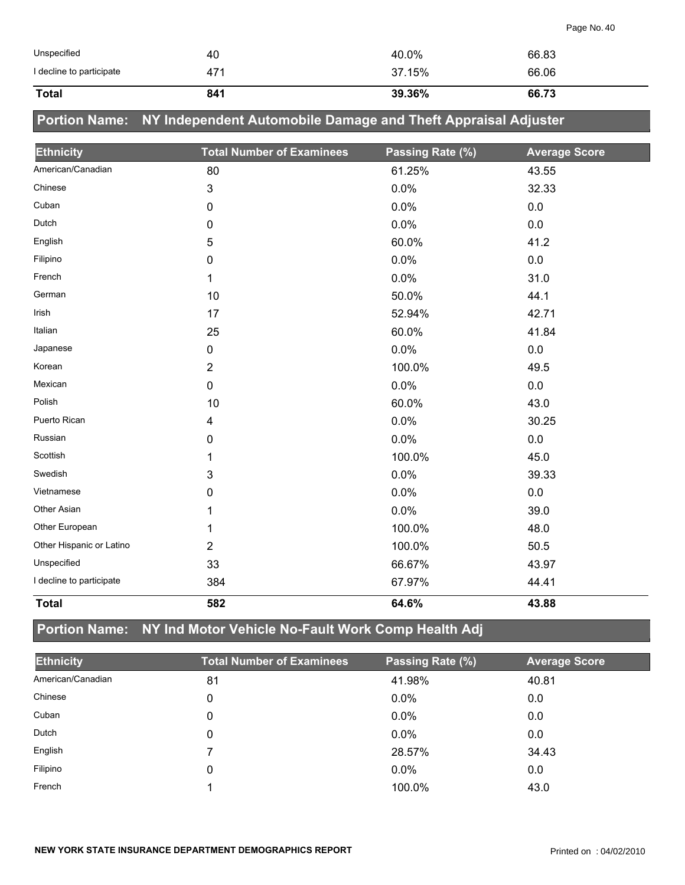| <b>Total</b>             | 841 | 39.36% | 66.73 |
|--------------------------|-----|--------|-------|
| I decline to participate | 471 | 37.15% | 66.06 |
| Unspecified              | 40  | 40.0%  | 66.83 |

## **Portion Name: NY Independent Automobile Damage and Theft Appraisal Adjuster**

| <b>Ethnicity</b>         | <b>Total Number of Examinees</b> | Passing Rate (%) | <b>Average Score</b> |
|--------------------------|----------------------------------|------------------|----------------------|
| American/Canadian        | 80                               | 61.25%           | 43.55                |
| Chinese                  | 3                                | 0.0%             | 32.33                |
| Cuban                    | 0                                | 0.0%             | 0.0                  |
| Dutch                    | 0                                | 0.0%             | 0.0                  |
| English                  | 5                                | 60.0%            | 41.2                 |
| Filipino                 | 0                                | 0.0%             | 0.0                  |
| French                   | 1                                | 0.0%             | 31.0                 |
| German                   | 10                               | 50.0%            | 44.1                 |
| Irish                    | 17                               | 52.94%           | 42.71                |
| Italian                  | 25                               | 60.0%            | 41.84                |
| Japanese                 | 0                                | 0.0%             | 0.0                  |
| Korean                   | $\overline{2}$                   | 100.0%           | 49.5                 |
| Mexican                  | 0                                | 0.0%             | 0.0                  |
| Polish                   | 10                               | 60.0%            | 43.0                 |
| Puerto Rican             | 4                                | 0.0%             | 30.25                |
| Russian                  | 0                                | 0.0%             | 0.0                  |
| Scottish                 | 1                                | 100.0%           | 45.0                 |
| Swedish                  | 3                                | 0.0%             | 39.33                |
| Vietnamese               | 0                                | 0.0%             | 0.0                  |
| Other Asian              |                                  | 0.0%             | 39.0                 |
| Other European           |                                  | 100.0%           | 48.0                 |
| Other Hispanic or Latino | $\overline{2}$                   | 100.0%           | 50.5                 |
| Unspecified              | 33                               | 66.67%           | 43.97                |
| I decline to participate | 384                              | 67.97%           | 44.41                |
| <b>Total</b>             | 582                              | 64.6%            | 43.88                |

## **Portion Name: NY Ind Motor Vehicle No-Fault Work Comp Health Adj**

| <b>Ethnicity</b>  | <b>Total Number of Examinees</b> | Passing Rate (%) | <b>Average Score</b> |
|-------------------|----------------------------------|------------------|----------------------|
| American/Canadian | 81                               | 41.98%           | 40.81                |
| Chinese           | 0                                | $0.0\%$          | 0.0                  |
| Cuban             | 0                                | 0.0%             | 0.0                  |
| Dutch             | 0                                | 0.0%             | 0.0                  |
| English           |                                  | 28.57%           | 34.43                |
| Filipino          | 0                                | 0.0%             | 0.0                  |
| French            |                                  | 100.0%           | 43.0                 |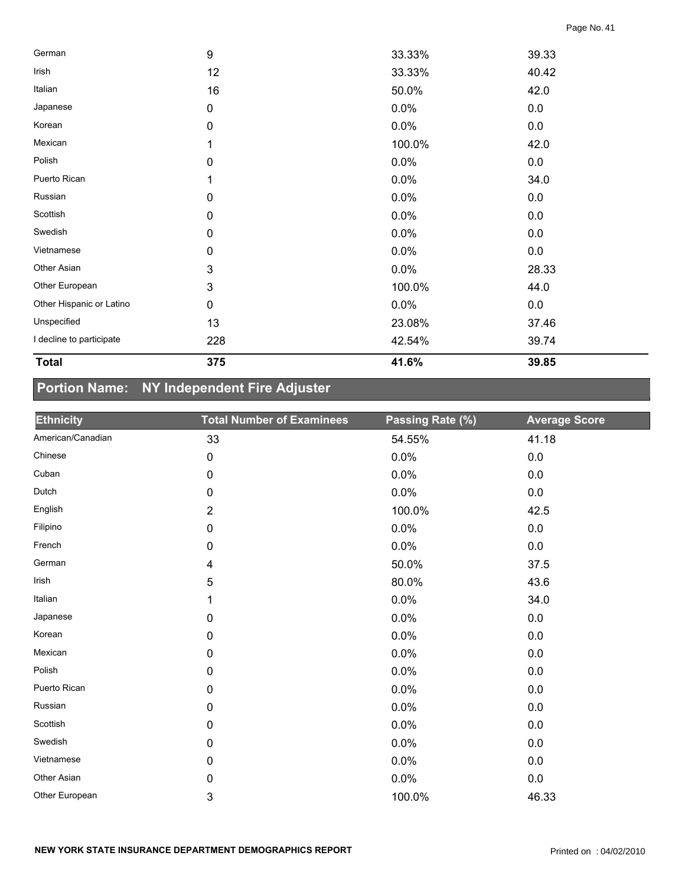| German                   | 9           | 33.33% | 39.33 |  |
|--------------------------|-------------|--------|-------|--|
| Irish                    | 12          | 33.33% | 40.42 |  |
| Italian                  | 16          | 50.0%  | 42.0  |  |
| Japanese                 | $\mathbf 0$ | 0.0%   | 0.0   |  |
| Korean                   | 0           | 0.0%   | 0.0   |  |
| Mexican                  |             | 100.0% | 42.0  |  |
| Polish                   | 0           | 0.0%   | 0.0   |  |
| Puerto Rican             |             | 0.0%   | 34.0  |  |
| Russian                  | 0           | 0.0%   | 0.0   |  |
| Scottish                 | $\mathbf 0$ | 0.0%   | 0.0   |  |
| Swedish                  | $\mathbf 0$ | 0.0%   | 0.0   |  |
| Vietnamese               | 0           | 0.0%   | 0.0   |  |
| Other Asian              | 3           | 0.0%   | 28.33 |  |
| Other European           | 3           | 100.0% | 44.0  |  |
| Other Hispanic or Latino | 0           | 0.0%   | 0.0   |  |
| Unspecified              | 13          | 23.08% | 37.46 |  |
| I decline to participate | 228         | 42.54% | 39.74 |  |
| <b>Total</b>             | 375         | 41.6%  | 39.85 |  |

# **Portion Name: NY Independent Fire Adjuster**

| <b>Ethnicity</b>  | <b>Total Number of Examinees</b> | Passing Rate (%) | <b>Average Score</b> |
|-------------------|----------------------------------|------------------|----------------------|
| American/Canadian | 33                               | 54.55%           | 41.18                |
| Chinese           | $\pmb{0}$                        | 0.0%             | $0.0\,$              |
| Cuban             | 0                                | 0.0%             | 0.0                  |
| Dutch             | 0                                | 0.0%             | 0.0                  |
| English           | $\overline{2}$                   | 100.0%           | 42.5                 |
| Filipino          | 0                                | 0.0%             | $0.0\,$              |
| French            | 0                                | 0.0%             | $0.0\,$              |
| German            | 4                                | 50.0%            | 37.5                 |
| Irish             | 5                                | 80.0%            | 43.6                 |
| Italian           | 1                                | 0.0%             | 34.0                 |
| Japanese          | 0                                | 0.0%             | $0.0\,$              |
| Korean            | $\mathbf 0$                      | 0.0%             | $0.0\,$              |
| Mexican           | 0                                | 0.0%             | $0.0\,$              |
| Polish            | 0                                | 0.0%             | $0.0\,$              |
| Puerto Rican      | $\mathbf 0$                      | 0.0%             | $0.0\,$              |
| Russian           | 0                                | 0.0%             | $0.0\,$              |
| Scottish          | 0                                | 0.0%             | $0.0\,$              |
| Swedish           | $\mathbf 0$                      | 0.0%             | $0.0\,$              |
| Vietnamese        | 0                                | 0.0%             | $0.0\,$              |
| Other Asian       | 0                                | 0.0%             | 0.0                  |
| Other European    | 3                                | 100.0%           | 46.33                |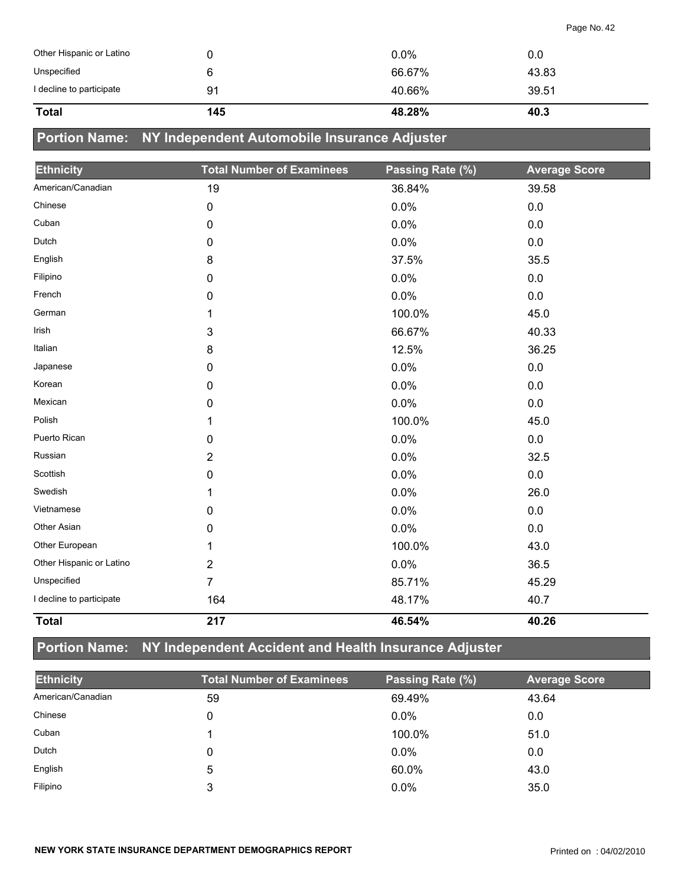| <b>Total</b>             | 145 | 48.28%  | 40.3  |
|--------------------------|-----|---------|-------|
| I decline to participate | 91  | 40.66%  | 39.51 |
| Unspecified              | 6   | 66.67%  | 43.83 |
| Other Hispanic or Latino |     | $0.0\%$ | 0.0   |

## **Portion Name: NY Independent Automobile Insurance Adjuster**

| <b>Ethnicity</b>         | <b>Total Number of Examinees</b> | Passing Rate (%) | <b>Average Score</b> |
|--------------------------|----------------------------------|------------------|----------------------|
| American/Canadian        | 19                               | 36.84%           | 39.58                |
| Chinese                  | 0                                | 0.0%             | 0.0                  |
| Cuban                    | 0                                | 0.0%             | 0.0                  |
| Dutch                    | 0                                | 0.0%             | 0.0                  |
| English                  | 8                                | 37.5%            | 35.5                 |
| Filipino                 | 0                                | 0.0%             | 0.0                  |
| French                   | 0                                | 0.0%             | $0.0\,$              |
| German                   | 1                                | 100.0%           | 45.0                 |
| Irish                    | 3                                | 66.67%           | 40.33                |
| Italian                  | 8                                | 12.5%            | 36.25                |
| Japanese                 | 0                                | 0.0%             | 0.0                  |
| Korean                   | 0                                | 0.0%             | 0.0                  |
| Mexican                  | 0                                | 0.0%             | 0.0                  |
| Polish                   | 1                                | 100.0%           | 45.0                 |
| Puerto Rican             | 0                                | 0.0%             | $0.0\,$              |
| Russian                  | $\overline{2}$                   | 0.0%             | 32.5                 |
| Scottish                 | 0                                | 0.0%             | 0.0                  |
| Swedish                  | 1                                | 0.0%             | 26.0                 |
| Vietnamese               | 0                                | 0.0%             | 0.0                  |
| Other Asian              | 0                                | 0.0%             | 0.0                  |
| Other European           | 1                                | 100.0%           | 43.0                 |
| Other Hispanic or Latino | $\overline{2}$                   | 0.0%             | 36.5                 |
| Unspecified              | $\overline{7}$                   | 85.71%           | 45.29                |
| I decline to participate | 164                              | 48.17%           | 40.7                 |
| <b>Total</b>             | 217                              | 46.54%           | 40.26                |

## **Portion Name: NY Independent Accident and Health Insurance Adjuster**

| <b>Ethnicity</b>  | <b>Total Number of Examinees</b> | Passing Rate (%) | <b>Average Score</b> |
|-------------------|----------------------------------|------------------|----------------------|
| American/Canadian | 59                               | 69.49%           | 43.64                |
| Chinese           | 0                                | $0.0\%$          | 0.0                  |
| Cuban             |                                  | 100.0%           | 51.0                 |
| Dutch             | 0                                | $0.0\%$          | 0.0                  |
| English           | 5                                | 60.0%            | 43.0                 |
| Filipino          | 3                                | $0.0\%$          | 35.0                 |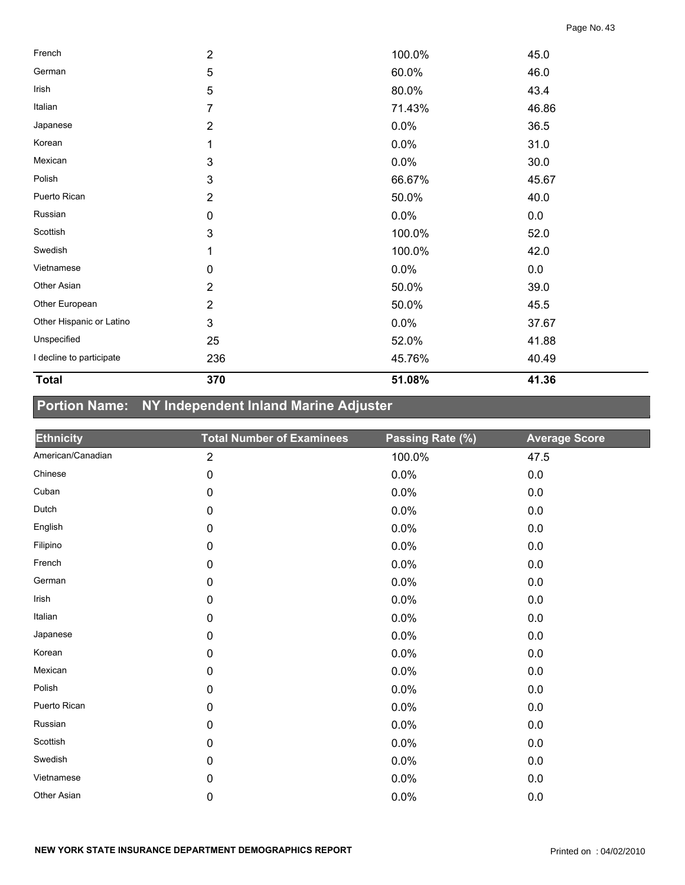| <b>Total</b>             | 370                     | 51.08% | 41.36 |  |
|--------------------------|-------------------------|--------|-------|--|
| I decline to participate | 236                     | 45.76% | 40.49 |  |
| Unspecified              | 25                      | 52.0%  | 41.88 |  |
| Other Hispanic or Latino | 3                       | 0.0%   | 37.67 |  |
| Other European           | $\overline{2}$          | 50.0%  | 45.5  |  |
| Other Asian              | $\overline{2}$          | 50.0%  | 39.0  |  |
| Vietnamese               | $\pmb{0}$               | 0.0%   | 0.0   |  |
| Swedish                  | 1                       | 100.0% | 42.0  |  |
| Scottish                 | 3                       | 100.0% | 52.0  |  |
| Russian                  | $\pmb{0}$               | 0.0%   | 0.0   |  |
| Puerto Rican             | $\overline{\mathbf{c}}$ | 50.0%  | 40.0  |  |
| Polish                   | 3                       | 66.67% | 45.67 |  |
| Mexican                  | 3                       | 0.0%   | 30.0  |  |
| Korean                   | 1                       | 0.0%   | 31.0  |  |
| Japanese                 | $\overline{2}$          | 0.0%   | 36.5  |  |
| Italian                  | 7                       | 71.43% | 46.86 |  |
| Irish                    | 5                       | 80.0%  | 43.4  |  |
| German                   | 5                       | 60.0%  | 46.0  |  |
| French                   | $\overline{\mathbf{c}}$ | 100.0% | 45.0  |  |

## **Portion Name: NY Independent Inland Marine Adjuster**

| <b>Ethnicity</b>  | <b>Total Number of Examinees</b> | Passing Rate (%) | <b>Average Score</b> |
|-------------------|----------------------------------|------------------|----------------------|
| American/Canadian | $\overline{2}$                   | 100.0%           | 47.5                 |
| Chinese           | $\mathbf 0$                      | 0.0%             | 0.0                  |
| Cuban             | $\mathbf 0$                      | 0.0%             | 0.0                  |
| Dutch             | 0                                | 0.0%             | 0.0                  |
| English           | 0                                | 0.0%             | 0.0                  |
| Filipino          | 0                                | 0.0%             | 0.0                  |
| French            | 0                                | 0.0%             | 0.0                  |
| German            | $\mathbf 0$                      | 0.0%             | 0.0                  |
| Irish             | 0                                | 0.0%             | 0.0                  |
| Italian           | 0                                | 0.0%             | 0.0                  |
| Japanese          | $\mathbf 0$                      | 0.0%             | 0.0                  |
| Korean            | $\mathbf 0$                      | 0.0%             | 0.0                  |
| Mexican           | 0                                | 0.0%             | 0.0                  |
| Polish            | $\mathbf 0$                      | 0.0%             | 0.0                  |
| Puerto Rican      | $\pmb{0}$                        | 0.0%             | 0.0                  |
| Russian           | $\mathbf 0$                      | 0.0%             | 0.0                  |
| Scottish          | $\mathbf 0$                      | 0.0%             | 0.0                  |
| Swedish           | 0                                | 0.0%             | 0.0                  |
| Vietnamese        | $\mathbf 0$                      | 0.0%             | 0.0                  |
| Other Asian       | 0                                | 0.0%             | 0.0                  |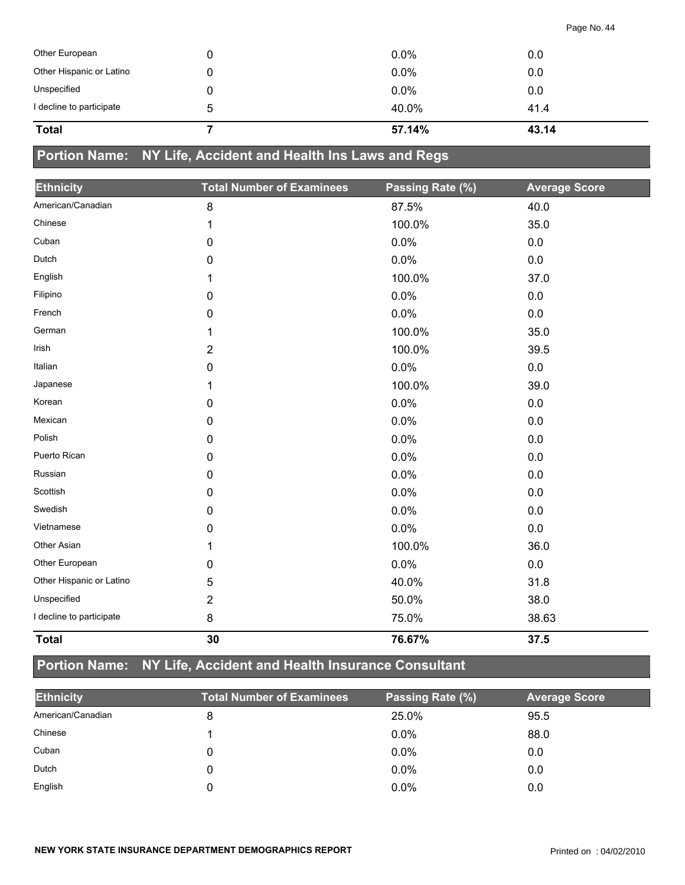| <b>Total</b>             |   | 57.14%  | 43.14 |  |
|--------------------------|---|---------|-------|--|
| I decline to participate | 5 | 40.0%   | 41.4  |  |
| Unspecified              |   | $0.0\%$ | 0.0   |  |
| Other Hispanic or Latino |   | $0.0\%$ | 0.0   |  |
| Other European           |   | $0.0\%$ | 0.0   |  |

## **Portion Name: NY Life, Accident and Health Ins Laws and Regs**

| <b>Ethnicity</b>         | <b>Total Number of Examinees</b> | Passing Rate (%) | <b>Average Score</b> |
|--------------------------|----------------------------------|------------------|----------------------|
| American/Canadian        | 8                                | 87.5%            | 40.0                 |
| Chinese                  | 1                                | 100.0%           | 35.0                 |
| Cuban                    | 0                                | 0.0%             | 0.0                  |
| Dutch                    | 0                                | 0.0%             | 0.0                  |
| English                  | 1                                | 100.0%           | 37.0                 |
| Filipino                 | 0                                | 0.0%             | 0.0                  |
| French                   | 0                                | 0.0%             | 0.0                  |
| German                   | 1                                | 100.0%           | 35.0                 |
| Irish                    | $\overline{2}$                   | 100.0%           | 39.5                 |
| Italian                  | 0                                | 0.0%             | 0.0                  |
| Japanese                 | 1                                | 100.0%           | 39.0                 |
| Korean                   | 0                                | 0.0%             | $0.0\,$              |
| Mexican                  | 0                                | 0.0%             | 0.0                  |
| Polish                   | 0                                | 0.0%             | 0.0                  |
| Puerto Rican             | 0                                | 0.0%             | 0.0                  |
| Russian                  | 0                                | 0.0%             | 0.0                  |
| Scottish                 | 0                                | 0.0%             | 0.0                  |
| Swedish                  | 0                                | 0.0%             | 0.0                  |
| Vietnamese               | 0                                | 0.0%             | 0.0                  |
| Other Asian              | 1                                | 100.0%           | 36.0                 |
| Other European           | 0                                | 0.0%             | 0.0                  |
| Other Hispanic or Latino | 5                                | 40.0%            | 31.8                 |
| Unspecified              | 2                                | 50.0%            | 38.0                 |
| I decline to participate | $\bf 8$                          | 75.0%            | 38.63                |
| <b>Total</b>             | 30                               | 76.67%           | 37.5                 |

# **Portion Name: NY Life, Accident and Health Insurance Consultant**

| <b>Ethnicity</b>  | <b>Total Number of Examinees</b> | Passing Rate (%) | <b>Average Score</b> |
|-------------------|----------------------------------|------------------|----------------------|
| American/Canadian |                                  | 25.0%            | 95.5                 |
| Chinese           |                                  | $0.0\%$          | 88.0                 |
| Cuban             |                                  | $0.0\%$          | 0.0                  |
| Dutch             |                                  | $0.0\%$          | 0.0                  |
| English           |                                  | $0.0\%$          | 0.0                  |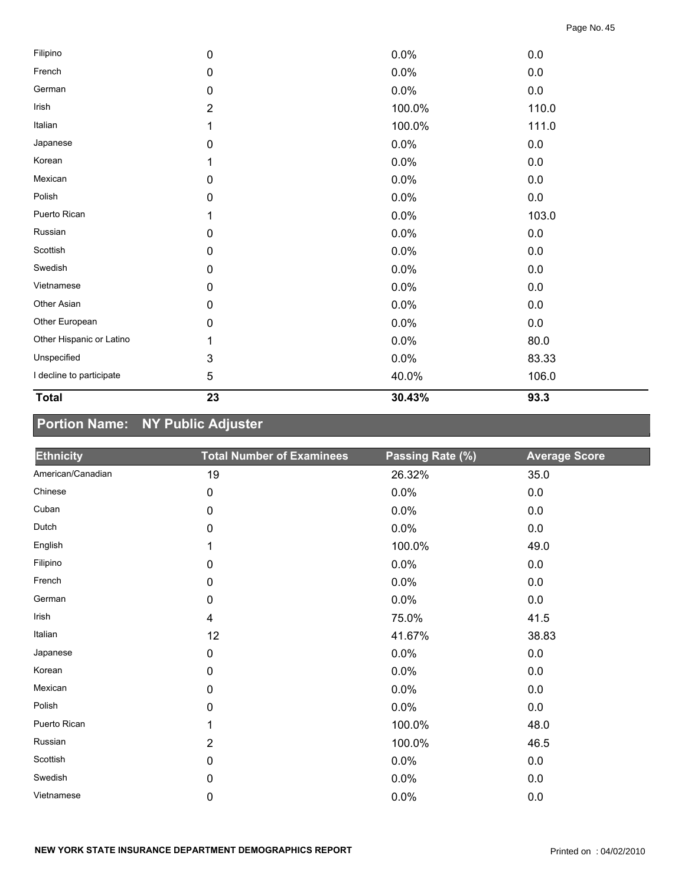| <b>Total</b>             | 23             | 30.43% | 93.3  |  |
|--------------------------|----------------|--------|-------|--|
| I decline to participate | 5              | 40.0%  | 106.0 |  |
| Unspecified              | 3              | 0.0%   | 83.33 |  |
| Other Hispanic or Latino | 1              | 0.0%   | 80.0  |  |
| Other European           | 0              | 0.0%   | 0.0   |  |
| Other Asian              | 0              | 0.0%   | 0.0   |  |
| Vietnamese               | 0              | 0.0%   | 0.0   |  |
| Swedish                  | 0              | 0.0%   | 0.0   |  |
| Scottish                 | 0              | 0.0%   | 0.0   |  |
| Russian                  | 0              | 0.0%   | 0.0   |  |
| Puerto Rican             |                | 0.0%   | 103.0 |  |
| Polish                   | 0              | 0.0%   | 0.0   |  |
| Mexican                  | 0              | 0.0%   | 0.0   |  |
| Korean                   |                | 0.0%   | 0.0   |  |
| Japanese                 | 0              | 0.0%   | 0.0   |  |
| Italian                  | 1              | 100.0% | 111.0 |  |
| Irish                    | $\overline{2}$ | 100.0% | 110.0 |  |
| German                   | 0              | 0.0%   | 0.0   |  |
| French                   | 0              | 0.0%   | 0.0   |  |
| Filipino                 | 0              | 0.0%   | 0.0   |  |

## **Portion Name: NY Public Adjuster**

| <b>Ethnicity</b>  | <b>Total Number of Examinees</b> | Passing Rate (%) | <b>Average Score</b> |
|-------------------|----------------------------------|------------------|----------------------|
| American/Canadian | 19                               | 26.32%           | 35.0                 |
| Chinese           | 0                                | 0.0%             | $0.0\,$              |
| Cuban             | $\pmb{0}$                        | 0.0%             | $0.0\,$              |
| Dutch             | 0                                | 0.0%             | 0.0                  |
| English           | 1                                | 100.0%           | 49.0                 |
| Filipino          | $\pmb{0}$                        | 0.0%             | $0.0\,$              |
| French            | $\mathbf 0$                      | 0.0%             | 0.0                  |
| German            | 0                                | 0.0%             | $0.0\,$              |
| Irish             | $\overline{4}$                   | 75.0%            | 41.5                 |
| Italian           | 12                               | 41.67%           | 38.83                |
| Japanese          | $\pmb{0}$                        | 0.0%             | $0.0\,$              |
| Korean            | $\mathbf 0$                      | 0.0%             | $0.0\,$              |
| Mexican           | $\mathbf 0$                      | 0.0%             | $0.0\,$              |
| Polish            | 0                                | 0.0%             | $0.0\,$              |
| Puerto Rican      | 1                                | 100.0%           | 48.0                 |
| Russian           | $\overline{2}$                   | 100.0%           | 46.5                 |
| Scottish          | 0                                | 0.0%             | 0.0                  |
| Swedish           | 0                                | 0.0%             | $0.0\,$              |
| Vietnamese        | $\mathbf 0$                      | 0.0%             | $0.0\,$              |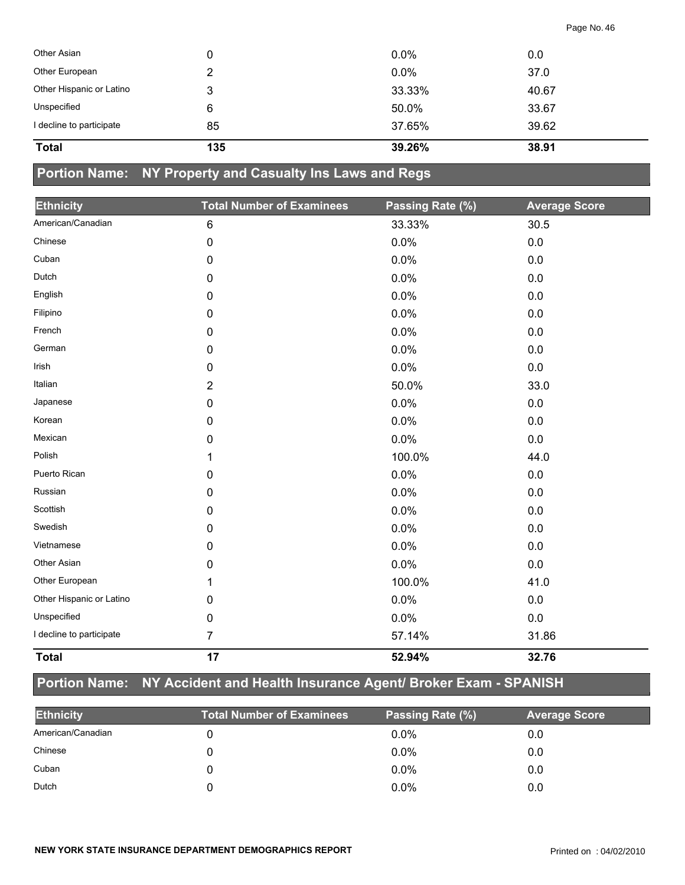| Other Asian              |     | $0.0\%$ | 0.0   |
|--------------------------|-----|---------|-------|
| Other European           |     | 0.0%    | 37.0  |
| Other Hispanic or Latino | 3   | 33.33%  | 40.67 |
| Unspecified              | 6   | 50.0%   | 33.67 |
| I decline to participate | 85  | 37.65%  | 39.62 |
| <b>Total</b>             | 135 | 39.26%  | 38.91 |

## **Portion Name: NY Property and Casualty Ins Laws and Regs**

| <b>Ethnicity</b>         | <b>Total Number of Examinees</b> | Passing Rate (%) | <b>Average Score</b> |
|--------------------------|----------------------------------|------------------|----------------------|
| American/Canadian        | 6                                | 33.33%           | 30.5                 |
| Chinese                  | 0                                | 0.0%             | 0.0                  |
| Cuban                    | 0                                | 0.0%             | 0.0                  |
| Dutch                    | 0                                | 0.0%             | 0.0                  |
| English                  | 0                                | 0.0%             | 0.0                  |
| Filipino                 | 0                                | 0.0%             | 0.0                  |
| French                   | 0                                | 0.0%             | 0.0                  |
| German                   | 0                                | 0.0%             | 0.0                  |
| Irish                    | 0                                | 0.0%             | 0.0                  |
| Italian                  | $\overline{2}$                   | 50.0%            | 33.0                 |
| Japanese                 | 0                                | 0.0%             | 0.0                  |
| Korean                   | 0                                | 0.0%             | 0.0                  |
| Mexican                  | 0                                | 0.0%             | 0.0                  |
| Polish                   | 1                                | 100.0%           | 44.0                 |
| Puerto Rican             | 0                                | 0.0%             | 0.0                  |
| Russian                  | 0                                | 0.0%             | 0.0                  |
| Scottish                 | 0                                | 0.0%             | 0.0                  |
| Swedish                  | 0                                | 0.0%             | 0.0                  |
| Vietnamese               | 0                                | 0.0%             | 0.0                  |
| Other Asian              | 0                                | 0.0%             | 0.0                  |
| Other European           | 1                                | 100.0%           | 41.0                 |
| Other Hispanic or Latino | 0                                | 0.0%             | 0.0                  |
| Unspecified              | 0                                | 0.0%             | 0.0                  |
| I decline to participate | 7                                | 57.14%           | 31.86                |
| <b>Total</b>             | 17                               | 52.94%           | 32.76                |

## **Portion Name: NY Accident and Health Insurance Agent/ Broker Exam - SPANISH**

| <b>Ethnicity</b>  | <b>Total Number of Examinees</b> | Passing Rate (%) | <b>Average Score</b> |
|-------------------|----------------------------------|------------------|----------------------|
| American/Canadian |                                  | $0.0\%$          | 0.0                  |
| Chinese           |                                  | $0.0\%$          | 0.0                  |
| Cuban             |                                  | $0.0\%$          | 0.0                  |
| Dutch             |                                  | 0.0%             | 0.0                  |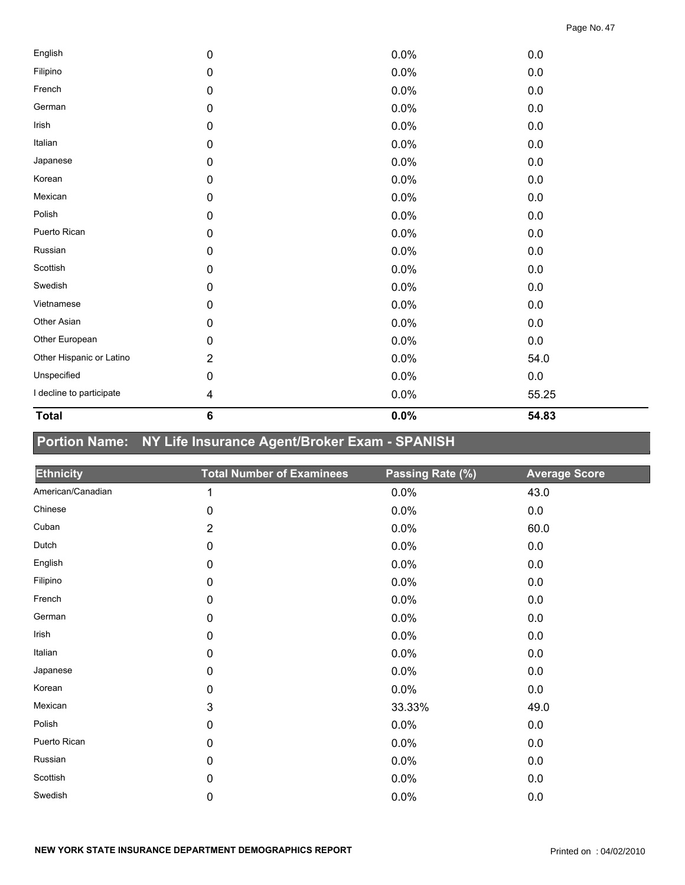| 4              |      |         |
|----------------|------|---------|
|                | 0.0% | 55.25   |
| 0              | 0.0% | $0.0\,$ |
| $\overline{2}$ | 0.0% | 54.0    |
| 0              | 0.0% | 0.0     |
| 0              | 0.0% | 0.0     |
| 0              | 0.0% | 0.0     |
| 0              | 0.0% | $0.0\,$ |
| 0              | 0.0% | 0.0     |
| 0              | 0.0% | 0.0     |
| 0              | 0.0% | 0.0     |
| 0              | 0.0% | 0.0     |
| 0              | 0.0% | 0.0     |
| 0              | 0.0% | 0.0     |
| 0              | 0.0% | 0.0     |
| 0              | 0.0% | 0.0     |
| 0              | 0.0% | 0.0     |
| 0              | 0.0% | 0.0     |
| 0              | 0.0% | 0.0     |
| 0              | 0.0% | 0.0     |
| 0              | 0.0% | $0.0\,$ |
|                |      |         |

# **Portion Name: NY Life Insurance Agent/Broker Exam - SPANISH**

| <b>Ethnicity</b>  | <b>Total Number of Examinees</b> | Passing Rate (%) | <b>Average Score</b> |
|-------------------|----------------------------------|------------------|----------------------|
| American/Canadian | 1                                | 0.0%             | 43.0                 |
| Chinese           | 0                                | 0.0%             | 0.0                  |
| Cuban             | $\overline{2}$                   | 0.0%             | 60.0                 |
| Dutch             | $\mathbf 0$                      | 0.0%             | 0.0                  |
| English           | 0                                | 0.0%             | 0.0                  |
| Filipino          | $\pmb{0}$                        | 0.0%             | 0.0                  |
| French            | $\pmb{0}$                        | 0.0%             | 0.0                  |
| German            | $\pmb{0}$                        | 0.0%             | 0.0                  |
| Irish             | $\pmb{0}$                        | 0.0%             | 0.0                  |
| Italian           | $\pmb{0}$                        | 0.0%             | 0.0                  |
| Japanese          | 0                                | 0.0%             | 0.0                  |
| Korean            | 0                                | 0.0%             | 0.0                  |
| Mexican           | 3                                | 33.33%           | 49.0                 |
| Polish            | $\pmb{0}$                        | 0.0%             | 0.0                  |
| Puerto Rican      | $\pmb{0}$                        | 0.0%             | 0.0                  |
| Russian           | $\pmb{0}$                        | 0.0%             | 0.0                  |
| Scottish          | $\pmb{0}$                        | 0.0%             | 0.0                  |
| Swedish           | 0                                | 0.0%             | 0.0                  |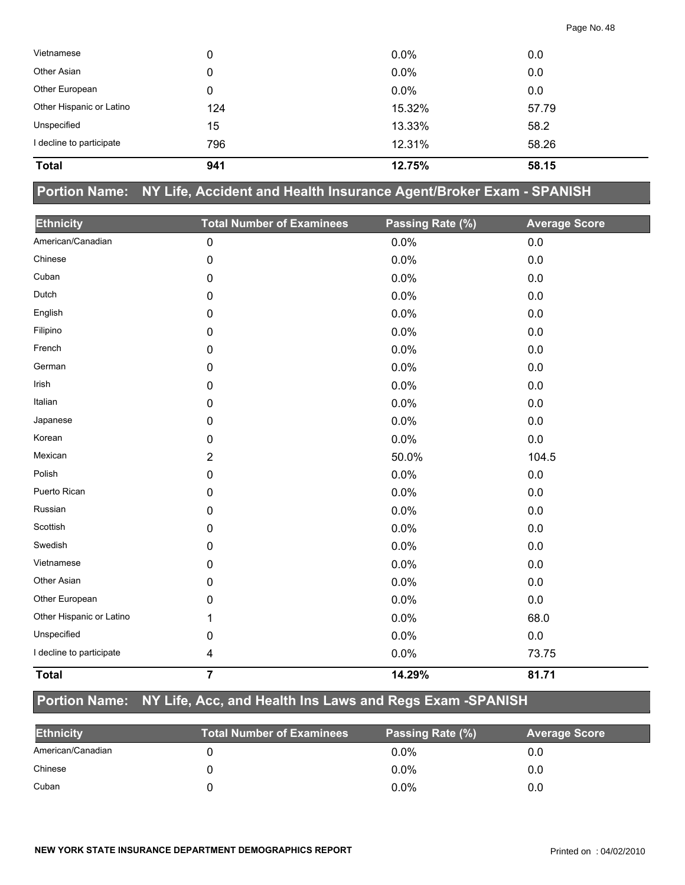| 796 | 12.31%  | 58.26 |  |
|-----|---------|-------|--|
| 15  | 13.33%  | 58.2  |  |
| 124 | 15.32%  | 57.79 |  |
| 0   | 0.0%    | 0.0   |  |
| 0   | 0.0%    | 0.0   |  |
| 0   | $0.0\%$ | 0.0   |  |
|     |         |       |  |

#### **Portion Name: NY Life, Accident and Health Insurance Agent/Broker Exam - SPANISH**

| <b>Ethnicity</b>         | <b>Total Number of Examinees</b> | Passing Rate (%) | <b>Average Score</b> |
|--------------------------|----------------------------------|------------------|----------------------|
| American/Canadian        | 0                                | 0.0%             | 0.0                  |
| Chinese                  | 0                                | 0.0%             | 0.0                  |
| Cuban                    | 0                                | 0.0%             | 0.0                  |
| Dutch                    | $\mathbf 0$                      | 0.0%             | 0.0                  |
| English                  |                                  |                  |                      |
|                          | $\mathbf 0$                      | 0.0%             | 0.0                  |
| Filipino                 | $\mathbf 0$                      | 0.0%             | 0.0                  |
| French                   | 0                                | 0.0%             | 0.0                  |
| German                   | 0                                | 0.0%             | 0.0                  |
| Irish                    | $\pmb{0}$                        | 0.0%             | 0.0                  |
| Italian                  | 0                                | 0.0%             | $0.0\,$              |
| Japanese                 | 0                                | 0.0%             | 0.0                  |
| Korean                   | 0                                | 0.0%             | 0.0                  |
| Mexican                  | $\overline{2}$                   | 50.0%            | 104.5                |
| Polish                   | $\mathbf 0$                      | 0.0%             | 0.0                  |
| Puerto Rican             | 0                                | 0.0%             | 0.0                  |
| Russian                  | 0                                | 0.0%             | 0.0                  |
| Scottish                 | 0                                | 0.0%             | 0.0                  |
| Swedish                  | $\pmb{0}$                        | 0.0%             | 0.0                  |
| Vietnamese               | $\mathbf 0$                      | 0.0%             | 0.0                  |
| Other Asian              | 0                                | 0.0%             | 0.0                  |
| Other European           | 0                                | 0.0%             | 0.0                  |
| Other Hispanic or Latino | 1                                | 0.0%             | 68.0                 |
| Unspecified              | 0                                | 0.0%             | 0.0                  |
| I decline to participate | 4                                | 0.0%             | 73.75                |
| <b>Total</b>             | $\overline{7}$                   | 14.29%           | 81.71                |

## **Portion Name: NY Life, Acc, and Health Ins Laws and Regs Exam -SPANISH**

| <b>Ethnicity</b>  | <b>Total Number of Examinees</b> | Passing Rate (%) | <b>Average Score</b> |
|-------------------|----------------------------------|------------------|----------------------|
| American/Canadian |                                  | $0.0\%$          | 0.0                  |
| Chinese           |                                  | $0.0\%$          | 0.0                  |
| Cuban             |                                  | $0.0\%$          | 0.0                  |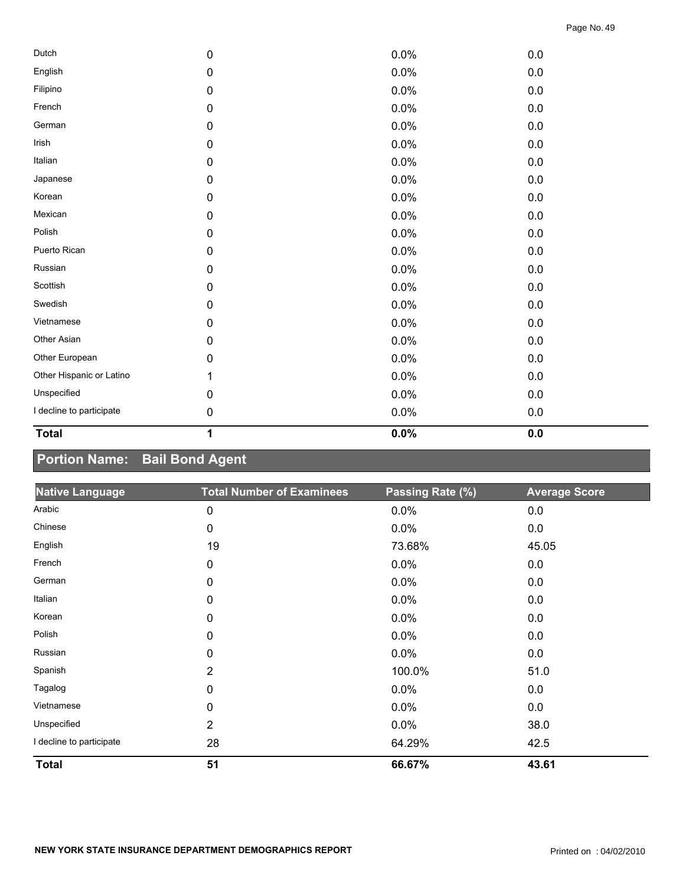| <b>Total</b>             | 1         | 0.0% | 0.0 |  |
|--------------------------|-----------|------|-----|--|
| I decline to participate | 0         | 0.0% | 0.0 |  |
| Unspecified              | 0         | 0.0% | 0.0 |  |
| Other Hispanic or Latino | 1         | 0.0% | 0.0 |  |
| Other European           | 0         | 0.0% | 0.0 |  |
| Other Asian              | 0         | 0.0% | 0.0 |  |
| Vietnamese               | 0         | 0.0% | 0.0 |  |
| Swedish                  | $\pmb{0}$ | 0.0% | 0.0 |  |
| Scottish                 | $\pmb{0}$ | 0.0% | 0.0 |  |
| Russian                  | 0         | 0.0% | 0.0 |  |
| Puerto Rican             | 0         | 0.0% | 0.0 |  |
| Polish                   | $\pmb{0}$ | 0.0% | 0.0 |  |
| Mexican                  | $\pmb{0}$ | 0.0% | 0.0 |  |
| Korean                   | 0         | 0.0% | 0.0 |  |
| Japanese                 | 0         | 0.0% | 0.0 |  |
| Italian                  | 0         | 0.0% | 0.0 |  |
| Irish                    | 0         | 0.0% | 0.0 |  |
| German                   | 0         | 0.0% | 0.0 |  |
| French                   | 0         | 0.0% | 0.0 |  |
| Filipino                 | 0         | 0.0% | 0.0 |  |
| English                  | 0         | 0.0% | 0.0 |  |
| Dutch                    | $\pmb{0}$ | 0.0% | 0.0 |  |

## **Portion Name: Bail Bond Agent**

| <b>Native Language</b>   | <b>Total Number of Examinees</b> | Passing Rate (%) | <b>Average Score</b> |
|--------------------------|----------------------------------|------------------|----------------------|
| Arabic                   | 0                                | 0.0%             | 0.0                  |
| Chinese                  | 0                                | 0.0%             | 0.0                  |
| English                  | 19                               | 73.68%           | 45.05                |
| French                   | 0                                | 0.0%             | 0.0                  |
| German                   | 0                                | 0.0%             | 0.0                  |
| Italian                  | 0                                | $0.0\%$          | 0.0                  |
| Korean                   | 0                                | 0.0%             | 0.0                  |
| Polish                   | 0                                | 0.0%             | 0.0                  |
| Russian                  | 0                                | 0.0%             | 0.0                  |
| Spanish                  | $\overline{2}$                   | 100.0%           | 51.0                 |
| Tagalog                  | 0                                | 0.0%             | 0.0                  |
| Vietnamese               | 0                                | 0.0%             | 0.0                  |
| Unspecified              | $\overline{2}$                   | 0.0%             | 38.0                 |
| I decline to participate | 28                               | 64.29%           | 42.5                 |
| <b>Total</b>             | 51                               | 66.67%           | 43.61                |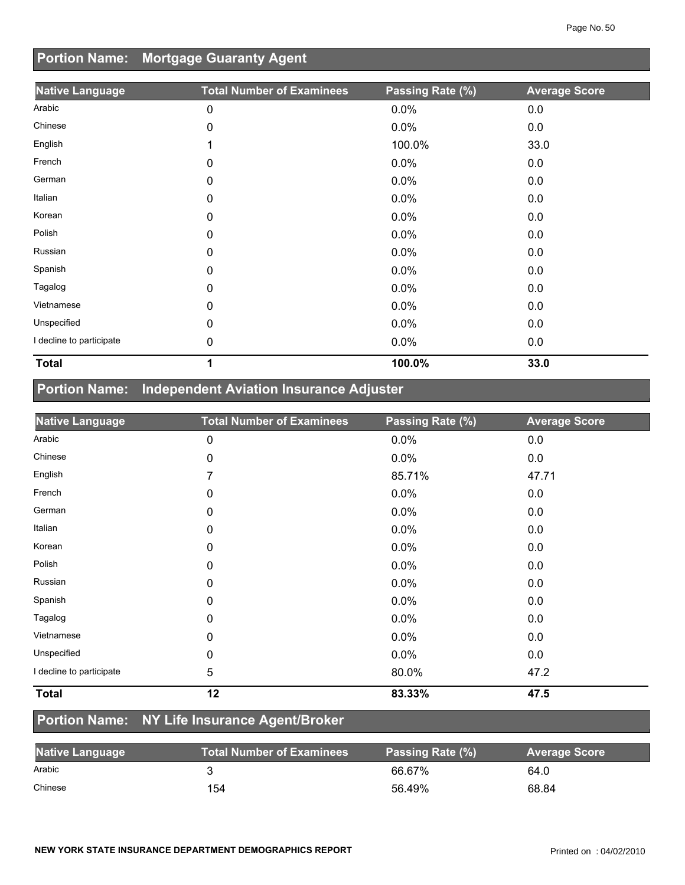## **Portion Name: Mortgage Guaranty Agent**

| <b>Native Language</b>   | <b>Total Number of Examinees</b> | Passing Rate (%) | <b>Average Score</b> |
|--------------------------|----------------------------------|------------------|----------------------|
| Arabic                   | 0                                | 0.0%             | 0.0                  |
| Chinese                  | 0                                | 0.0%             | 0.0                  |
| English                  | 1                                | 100.0%           | 33.0                 |
| French                   | 0                                | 0.0%             | 0.0                  |
| German                   | 0                                | 0.0%             | 0.0                  |
| Italian                  | $\mathbf{0}$                     | 0.0%             | 0.0                  |
| Korean                   | 0                                | 0.0%             | 0.0                  |
| Polish                   | 0                                | 0.0%             | 0.0                  |
| Russian                  | 0                                | 0.0%             | 0.0                  |
| Spanish                  | 0                                | 0.0%             | 0.0                  |
| Tagalog                  | 0                                | 0.0%             | 0.0                  |
| Vietnamese               | 0                                | 0.0%             | 0.0                  |
| Unspecified              | 0                                | 0.0%             | 0.0                  |
| I decline to participate | 0                                | 0.0%             | 0.0                  |
| <b>Total</b>             | 1                                | 100.0%           | 33.0                 |

## **Portion Name: Independent Aviation Insurance Adjuster**

| <b>Native Language</b>   | <b>Total Number of Examinees</b> | Passing Rate (%) | <b>Average Score</b> |
|--------------------------|----------------------------------|------------------|----------------------|
| Arabic                   | 0                                | 0.0%             | 0.0                  |
| Chinese                  | 0                                | 0.0%             | 0.0                  |
| English                  | 7                                | 85.71%           | 47.71                |
| French                   | 0                                | 0.0%             | 0.0                  |
| German                   | 0                                | 0.0%             | 0.0                  |
| Italian                  | 0                                | 0.0%             | 0.0                  |
| Korean                   | 0                                | 0.0%             | 0.0                  |
| Polish                   | 0                                | 0.0%             | 0.0                  |
| Russian                  | 0                                | 0.0%             | 0.0                  |
| Spanish                  | 0                                | 0.0%             | 0.0                  |
| Tagalog                  | 0                                | 0.0%             | 0.0                  |
| Vietnamese               | 0                                | 0.0%             | 0.0                  |
| Unspecified              | 0                                | 0.0%             | 0.0                  |
| I decline to participate | 5                                | 80.0%            | 47.2                 |
| <b>Total</b>             | 12                               | 83.33%           | 47.5                 |

### **Portion Name: NY Life Insurance Agent/Broker**

| <b>Native Language</b> | <b>Total Number of Examinees</b> | Passing Rate (%) | <b>Average Score</b> |
|------------------------|----------------------------------|------------------|----------------------|
| Arabic                 |                                  | 66.67%           | 64.0                 |
| Chinese                | 154                              | 56.49%           | 68.84                |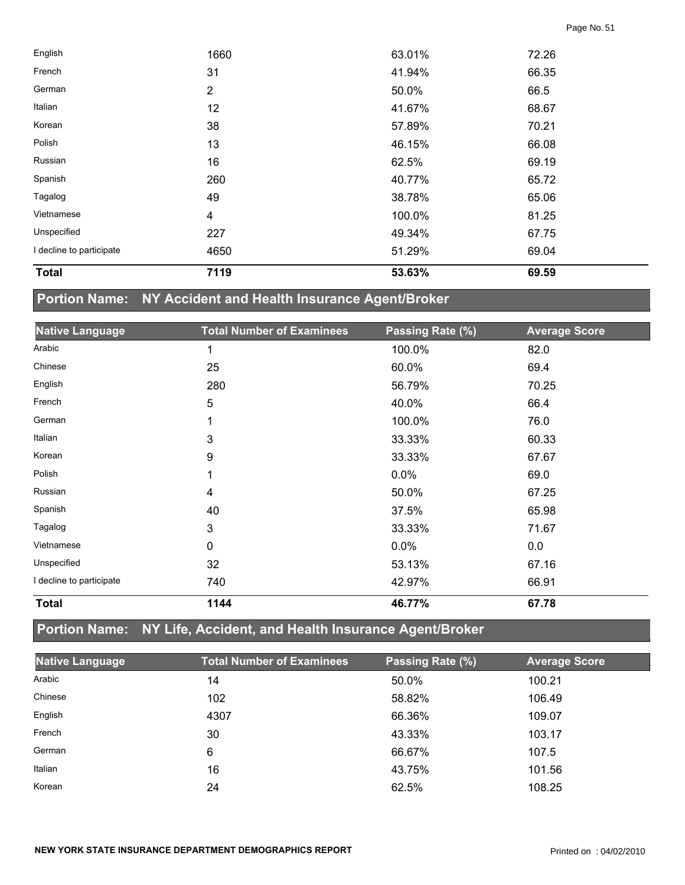| <b>Total</b>             | 7119           | 53.63% | 69.59 |  |
|--------------------------|----------------|--------|-------|--|
| I decline to participate | 4650           | 51.29% | 69.04 |  |
| Unspecified              | 227            | 49.34% | 67.75 |  |
| Vietnamese               | 4              | 100.0% | 81.25 |  |
| Tagalog                  | 49             | 38.78% | 65.06 |  |
| Spanish                  | 260            | 40.77% | 65.72 |  |
| Russian                  | 16             | 62.5%  | 69.19 |  |
| Polish                   | 13             | 46.15% | 66.08 |  |
| Korean                   | 38             | 57.89% | 70.21 |  |
| Italian                  | 12             | 41.67% | 68.67 |  |
| German                   | $\overline{2}$ | 50.0%  | 66.5  |  |
| French                   | 31             | 41.94% | 66.35 |  |
| English                  | 1660           | 63.01% | 72.26 |  |

# **Portion Name: NY Accident and Health Insurance Agent/Broker**

| <b>Native Language</b>   | <b>Total Number of Examinees</b> | Passing Rate (%) | <b>Average Score</b> |
|--------------------------|----------------------------------|------------------|----------------------|
| Arabic                   | 1                                | 100.0%           | 82.0                 |
| Chinese                  | 25                               | 60.0%            | 69.4                 |
| English                  | 280                              | 56.79%           | 70.25                |
| French                   | 5                                | 40.0%            | 66.4                 |
| German                   | 1                                | 100.0%           | 76.0                 |
| Italian                  | 3                                | 33.33%           | 60.33                |
| Korean                   | 9                                | 33.33%           | 67.67                |
| Polish                   | 1                                | 0.0%             | 69.0                 |
| Russian                  | 4                                | 50.0%            | 67.25                |
| Spanish                  | 40                               | 37.5%            | 65.98                |
| Tagalog                  | 3                                | 33.33%           | 71.67                |
| Vietnamese               | 0                                | 0.0%             | 0.0                  |
| Unspecified              | 32                               | 53.13%           | 67.16                |
| I decline to participate | 740                              | 42.97%           | 66.91                |
| <b>Total</b>             | 1144                             | 46.77%           | 67.78                |

## **Portion Name: NY Life, Accident, and Health Insurance Agent/Broker**

| <b>Native Language</b> | <b>Total Number of Examinees</b> | Passing Rate (%) | <b>Average Score</b> |
|------------------------|----------------------------------|------------------|----------------------|
| Arabic                 | 14                               | 50.0%            | 100.21               |
| Chinese                | 102                              | 58.82%           | 106.49               |
| English                | 4307                             | 66.36%           | 109.07               |
| French                 | 30                               | 43.33%           | 103.17               |
| German                 | 6                                | 66.67%           | 107.5                |
| Italian                | 16                               | 43.75%           | 101.56               |
| Korean                 | 24                               | 62.5%            | 108.25               |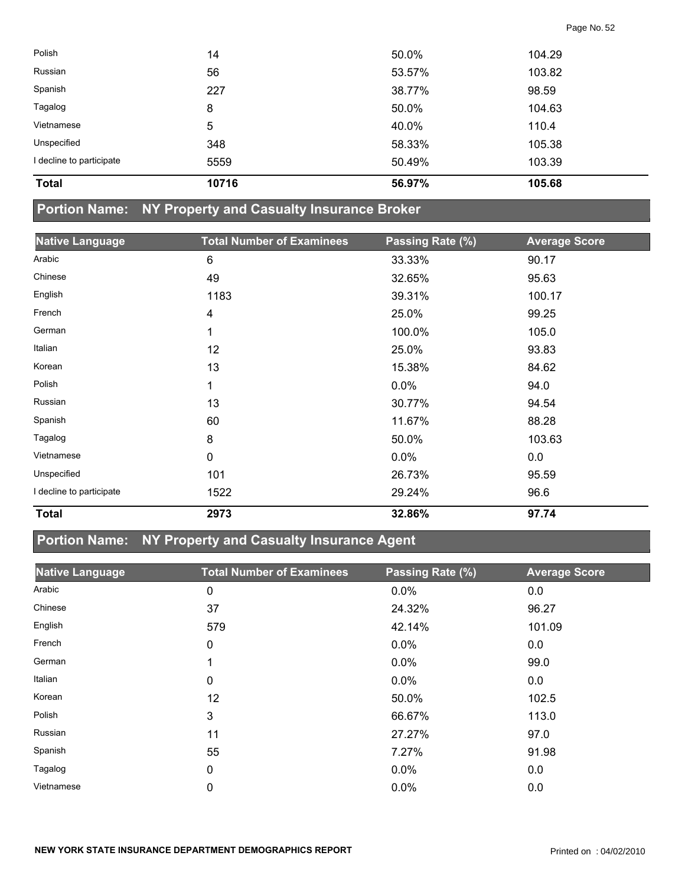| <b>Total</b>             | 10716 | 56.97% | 105.68 |  |
|--------------------------|-------|--------|--------|--|
| I decline to participate | 5559  | 50.49% | 103.39 |  |
| Unspecified              | 348   | 58.33% | 105.38 |  |
| Vietnamese               | 5     | 40.0%  | 110.4  |  |
| Tagalog                  | 8     | 50.0%  | 104.63 |  |
| Spanish                  | 227   | 38.77% | 98.59  |  |
| Russian                  | 56    | 53.57% | 103.82 |  |
| Polish                   | 14    | 50.0%  | 104.29 |  |
|                          |       |        |        |  |

### **Portion Name: NY Property and Casualty Insurance Broker**

| <b>Native Language</b>   | <b>Total Number of Examinees</b> | Passing Rate (%) | <b>Average Score</b> |
|--------------------------|----------------------------------|------------------|----------------------|
| Arabic                   | 6                                | 33.33%           | 90.17                |
| Chinese                  | 49                               | 32.65%           | 95.63                |
| English                  | 1183                             | 39.31%           | 100.17               |
| French                   | $\overline{\mathbf{4}}$          | 25.0%            | 99.25                |
| German                   | 1                                | 100.0%           | 105.0                |
| Italian                  | 12                               | 25.0%            | 93.83                |
| Korean                   | 13                               | 15.38%           | 84.62                |
| Polish                   | 1                                | 0.0%             | 94.0                 |
| Russian                  | 13                               | 30.77%           | 94.54                |
| Spanish                  | 60                               | 11.67%           | 88.28                |
| Tagalog                  | 8                                | 50.0%            | 103.63               |
| Vietnamese               | $\mathbf 0$                      | 0.0%             | 0.0                  |
| Unspecified              | 101                              | 26.73%           | 95.59                |
| I decline to participate | 1522                             | 29.24%           | 96.6                 |
| <b>Total</b>             | 2973                             | 32.86%           | 97.74                |

## **Portion Name: NY Property and Casualty Insurance Agent**

| <b>Native Language</b> | <b>Total Number of Examinees</b> | Passing Rate (%) | <b>Average Score</b> |
|------------------------|----------------------------------|------------------|----------------------|
| Arabic                 | 0                                | 0.0%             | 0.0                  |
| Chinese                | 37                               | 24.32%           | 96.27                |
| English                | 579                              | 42.14%           | 101.09               |
| French                 | 0                                | $0.0\%$          | 0.0                  |
| German                 | 1                                | $0.0\%$          | 99.0                 |
| Italian                | 0                                | $0.0\%$          | 0.0                  |
| Korean                 | 12                               | 50.0%            | 102.5                |
| Polish                 | 3                                | 66.67%           | 113.0                |
| Russian                | 11                               | 27.27%           | 97.0                 |
| Spanish                | 55                               | 7.27%            | 91.98                |
| Tagalog                | 0                                | $0.0\%$          | 0.0                  |
| Vietnamese             | 0                                | 0.0%             | 0.0                  |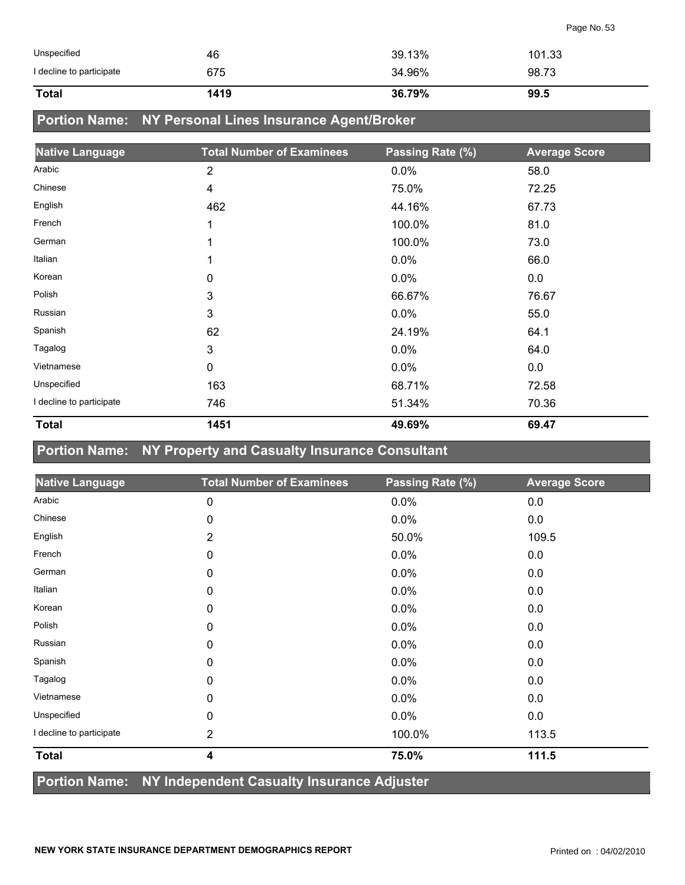| Unspecified              | 46   | 39.13% | 101.33 |
|--------------------------|------|--------|--------|
| I decline to participate | 675  | 34.96% | 98.73  |
| <b>Total</b>             | 1419 | 36.79% | 99.5   |

## **Portion Name: NY Personal Lines Insurance Agent/Broker**

| <b>Native Language</b>   | <b>Total Number of Examinees</b> | Passing Rate (%) | <b>Average Score</b> |
|--------------------------|----------------------------------|------------------|----------------------|
| Arabic                   | $\overline{2}$                   | 0.0%             | 58.0                 |
| Chinese                  | 4                                | 75.0%            | 72.25                |
| English                  | 462                              | 44.16%           | 67.73                |
| French                   | 1                                | 100.0%           | 81.0                 |
| German                   | 1                                | 100.0%           | 73.0                 |
| Italian                  | 1                                | 0.0%             | 66.0                 |
| Korean                   | 0                                | $0.0\%$          | 0.0                  |
| Polish                   | 3                                | 66.67%           | 76.67                |
| Russian                  | 3                                | 0.0%             | 55.0                 |
| Spanish                  | 62                               | 24.19%           | 64.1                 |
| Tagalog                  | 3                                | 0.0%             | 64.0                 |
| Vietnamese               | $\mathbf 0$                      | 0.0%             | 0.0                  |
| Unspecified              | 163                              | 68.71%           | 72.58                |
| I decline to participate | 746                              | 51.34%           | 70.36                |
| <b>Total</b>             | 1451                             | 49.69%           | 69.47                |

#### **Portion Name: NY Property and Casualty Insurance Consultant**

| <b>Native Language</b>                                   | <b>Total Number of Examinees</b> | Passing Rate (%) | <b>Average Score</b> |
|----------------------------------------------------------|----------------------------------|------------------|----------------------|
| Arabic                                                   | 0                                | 0.0%             | 0.0                  |
| Chinese                                                  | 0                                | 0.0%             | 0.0                  |
| English                                                  | 2                                | 50.0%            | 109.5                |
| French                                                   | 0                                | 0.0%             | 0.0                  |
| German                                                   | 0                                | 0.0%             | 0.0                  |
| Italian                                                  | 0                                | 0.0%             | 0.0                  |
| Korean                                                   | 0                                | 0.0%             | 0.0                  |
| Polish                                                   | 0                                | 0.0%             | 0.0                  |
| Russian                                                  | 0                                | 0.0%             | 0.0                  |
| Spanish                                                  | 0                                | 0.0%             | 0.0                  |
| Tagalog                                                  | 0                                | 0.0%             | 0.0                  |
| Vietnamese                                               | 0                                | 0.0%             | 0.0                  |
| Unspecified                                              | 0                                | 0.0%             | 0.0                  |
| I decline to participate                                 | 2                                | 100.0%           | 113.5                |
| <b>Total</b>                                             | 4                                | 75.0%            | 111.5                |
| Portion Name: NY Independent Casualty Insurance Adjuster |                                  |                  |                      |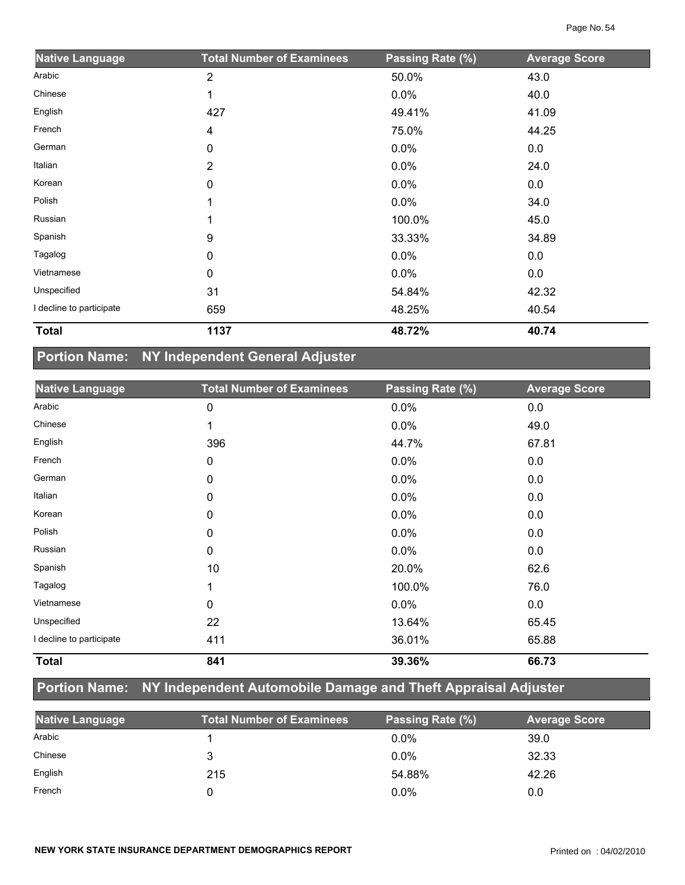| <b>Native Language</b>   | <b>Total Number of Examinees</b> | Passing Rate (%) | <b>Average Score</b> |
|--------------------------|----------------------------------|------------------|----------------------|
| Arabic                   | $\overline{2}$                   | 50.0%            | 43.0                 |
| Chinese                  |                                  | 0.0%             | 40.0                 |
| English                  | 427                              | 49.41%           | 41.09                |
| French                   | 4                                | 75.0%            | 44.25                |
| German                   | 0                                | 0.0%             | 0.0                  |
| Italian                  | $\overline{2}$                   | 0.0%             | 24.0                 |
| Korean                   | 0                                | $0.0\%$          | 0.0                  |
| Polish                   |                                  | $0.0\%$          | 34.0                 |
| Russian                  |                                  | 100.0%           | 45.0                 |
| Spanish                  | 9                                | 33.33%           | 34.89                |
| Tagalog                  | 0                                | 0.0%             | 0.0                  |
| Vietnamese               | 0                                | 0.0%             | 0.0                  |
| Unspecified              | 31                               | 54.84%           | 42.32                |
| I decline to participate | 659                              | 48.25%           | 40.54                |
| <b>Total</b>             | 1137                             | 48.72%           | 40.74                |

### **Portion Name: NY Independent General Adjuster**

| <b>Native Language</b>   | <b>Total Number of Examinees</b> | Passing Rate (%) | <b>Average Score</b> |
|--------------------------|----------------------------------|------------------|----------------------|
| Arabic                   | 0                                | 0.0%             | 0.0                  |
| Chinese                  | 1                                | 0.0%             | 49.0                 |
| English                  | 396                              | 44.7%            | 67.81                |
| French                   | 0                                | 0.0%             | 0.0                  |
| German                   | 0                                | 0.0%             | 0.0                  |
| Italian                  | $\mathbf{0}$                     | 0.0%             | 0.0                  |
| Korean                   | 0                                | 0.0%             | 0.0                  |
| Polish                   | 0                                | 0.0%             | 0.0                  |
| Russian                  | 0                                | 0.0%             | 0.0                  |
| Spanish                  | 10                               | 20.0%            | 62.6                 |
| Tagalog                  |                                  | 100.0%           | 76.0                 |
| Vietnamese               | 0                                | 0.0%             | 0.0                  |
| Unspecified              | 22                               | 13.64%           | 65.45                |
| I decline to participate | 411                              | 36.01%           | 65.88                |
| <b>Total</b>             | 841                              | 39.36%           | 66.73                |

## **Portion Name: NY Independent Automobile Damage and Theft Appraisal Adjuster**

| <b>Native Language</b> | <b>Total Number of Examinees</b> | Passing Rate (%) | <b>Average Score</b> |
|------------------------|----------------------------------|------------------|----------------------|
| Arabic                 |                                  | $0.0\%$          | 39.0                 |
| Chinese                |                                  | $0.0\%$          | 32.33                |
| English                | 215                              | 54.88%           | 42.26                |
| French                 |                                  | $0.0\%$          | 0.0                  |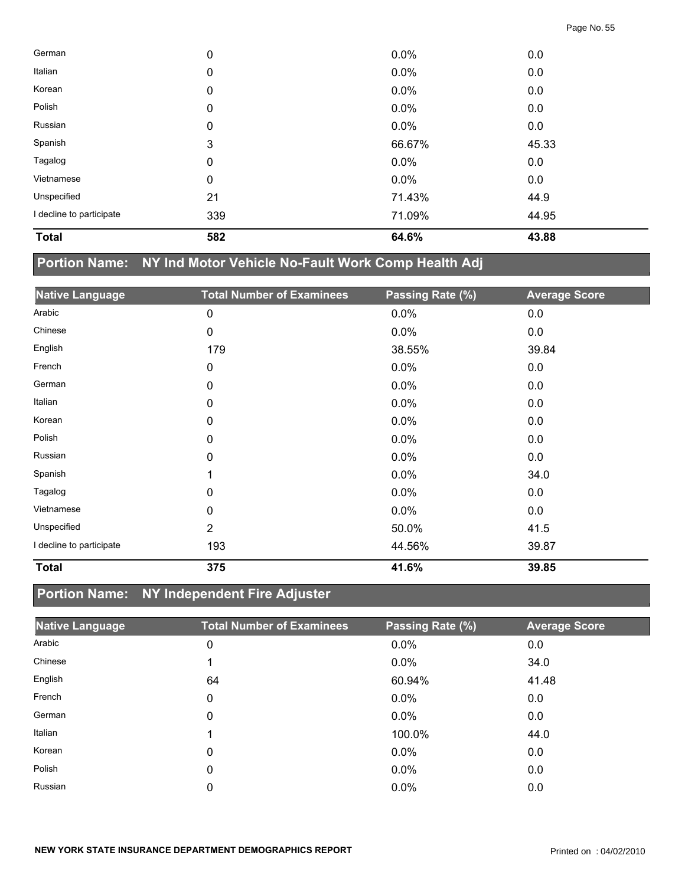| <b>Total</b>             | 582         | 64.6%  | 43.88 |  |
|--------------------------|-------------|--------|-------|--|
| I decline to participate | 339         | 71.09% | 44.95 |  |
| Unspecified              | 21          | 71.43% | 44.9  |  |
| Vietnamese               | 0           | 0.0%   | 0.0   |  |
| Tagalog                  | 0           | 0.0%   | 0.0   |  |
| Spanish                  | 3           | 66.67% | 45.33 |  |
| Russian                  | $\mathbf 0$ | 0.0%   | 0.0   |  |
| Polish                   | 0           | 0.0%   | 0.0   |  |
| Korean                   | $\mathbf 0$ | 0.0%   | 0.0   |  |
| Italian                  | 0           | 0.0%   | 0.0   |  |
| German                   | 0           | 0.0%   | 0.0   |  |

### **Portion Name: NY Ind Motor Vehicle No-Fault Work Comp Health Adj**

| <b>Native Language</b>   | <b>Total Number of Examinees</b> | Passing Rate (%) | <b>Average Score</b> |
|--------------------------|----------------------------------|------------------|----------------------|
| Arabic                   | 0                                | 0.0%             | 0.0                  |
| Chinese                  | 0                                | 0.0%             | 0.0                  |
| English                  | 179                              | 38.55%           | 39.84                |
| French                   | 0                                | 0.0%             | 0.0                  |
| German                   | 0                                | 0.0%             | 0.0                  |
| Italian                  | 0                                | 0.0%             | 0.0                  |
| Korean                   | 0                                | 0.0%             | 0.0                  |
| Polish                   | 0                                | 0.0%             | 0.0                  |
| Russian                  | 0                                | 0.0%             | 0.0                  |
| Spanish                  |                                  | 0.0%             | 34.0                 |
| Tagalog                  | 0                                | $0.0\%$          | 0.0                  |
| Vietnamese               | 0                                | 0.0%             | 0.0                  |
| Unspecified              | $\overline{2}$                   | 50.0%            | 41.5                 |
| I decline to participate | 193                              | 44.56%           | 39.87                |
| <b>Total</b>             | 375                              | 41.6%            | 39.85                |

## **Portion Name: NY Independent Fire Adjuster**

| <b>Native Language</b> | <b>Total Number of Examinees</b> | Passing Rate (%) | <b>Average Score</b> |
|------------------------|----------------------------------|------------------|----------------------|
| Arabic                 | 0                                | 0.0%             | 0.0                  |
| Chinese                |                                  | $0.0\%$          | 34.0                 |
| English                | 64                               | 60.94%           | 41.48                |
| French                 | 0                                | $0.0\%$          | 0.0                  |
| German                 | 0                                | 0.0%             | 0.0                  |
| Italian                |                                  | 100.0%           | 44.0                 |
| Korean                 | 0                                | $0.0\%$          | 0.0                  |
| Polish                 | 0                                | $0.0\%$          | 0.0                  |
| Russian                | 0                                | 0.0%             | 0.0                  |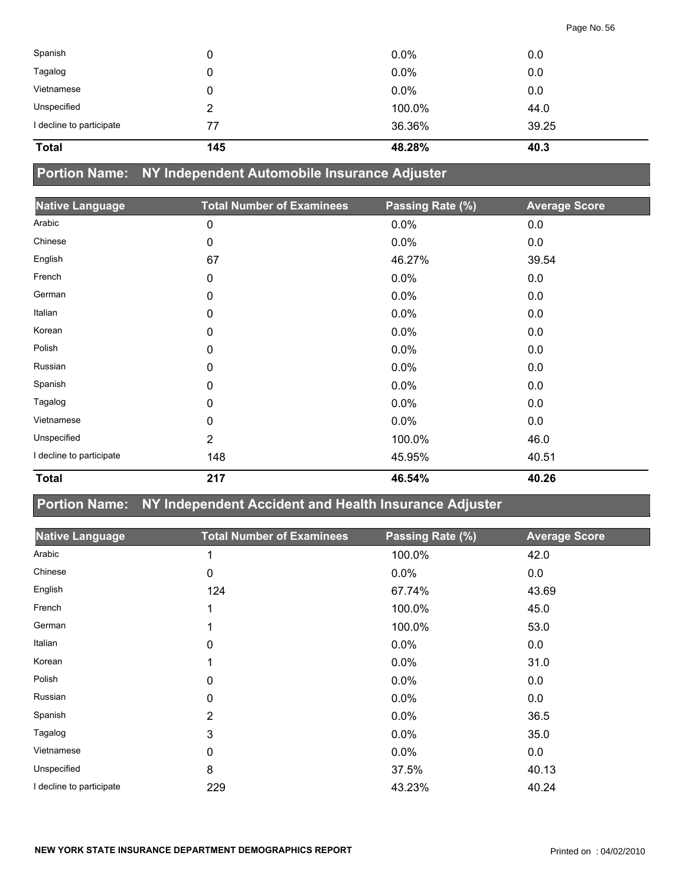| Spanish                  |     | $0.0\%$ | 0.0   |
|--------------------------|-----|---------|-------|
| Tagalog                  |     | $0.0\%$ | 0.0   |
| Vietnamese               |     | $0.0\%$ | 0.0   |
| Unspecified              | 2   | 100.0%  | 44.0  |
| I decline to participate | 77  | 36.36%  | 39.25 |
| <b>Total</b>             | 145 | 48.28%  | 40.3  |

**Portion Name: NY Independent Automobile Insurance Adjuster**

| <b>Native Language</b>   | <b>Total Number of Examinees</b> | Passing Rate (%) | <b>Average Score</b> |
|--------------------------|----------------------------------|------------------|----------------------|
| Arabic                   | 0                                | 0.0%             | 0.0                  |
| Chinese                  | 0                                | 0.0%             | 0.0                  |
| English                  | 67                               | 46.27%           | 39.54                |
| French                   | 0                                | 0.0%             | 0.0                  |
| German                   | 0                                | 0.0%             | 0.0                  |
| Italian                  | 0                                | 0.0%             | 0.0                  |
| Korean                   | 0                                | 0.0%             | 0.0                  |
| Polish                   | 0                                | 0.0%             | 0.0                  |
| Russian                  | 0                                | 0.0%             | 0.0                  |
| Spanish                  | 0                                | 0.0%             | 0.0                  |
| Tagalog                  | 0                                | 0.0%             | 0.0                  |
| Vietnamese               | 0                                | 0.0%             | 0.0                  |
| Unspecified              | $\overline{2}$                   | 100.0%           | 46.0                 |
| I decline to participate | 148                              | 45.95%           | 40.51                |
| <b>Total</b>             | 217                              | 46.54%           | 40.26                |

#### **Portion Name: NY Independent Accident and Health Insurance Adjuster**

| <b>Native Language</b>   | <b>Total Number of Examinees</b> | Passing Rate (%) | <b>Average Score</b> |
|--------------------------|----------------------------------|------------------|----------------------|
| Arabic                   |                                  | 100.0%           | 42.0                 |
| Chinese                  | 0                                | 0.0%             | 0.0                  |
| English                  | 124                              | 67.74%           | 43.69                |
| French                   |                                  | 100.0%           | 45.0                 |
| German                   |                                  | 100.0%           | 53.0                 |
| Italian                  | 0                                | 0.0%             | 0.0                  |
| Korean                   |                                  | 0.0%             | 31.0                 |
| Polish                   | 0                                | 0.0%             | 0.0                  |
| Russian                  | 0                                | 0.0%             | 0.0                  |
| Spanish                  | 2                                | 0.0%             | 36.5                 |
| Tagalog                  | 3                                | 0.0%             | 35.0                 |
| Vietnamese               | 0                                | 0.0%             | 0.0                  |
| Unspecified              | 8                                | 37.5%            | 40.13                |
| I decline to participate | 229                              | 43.23%           | 40.24                |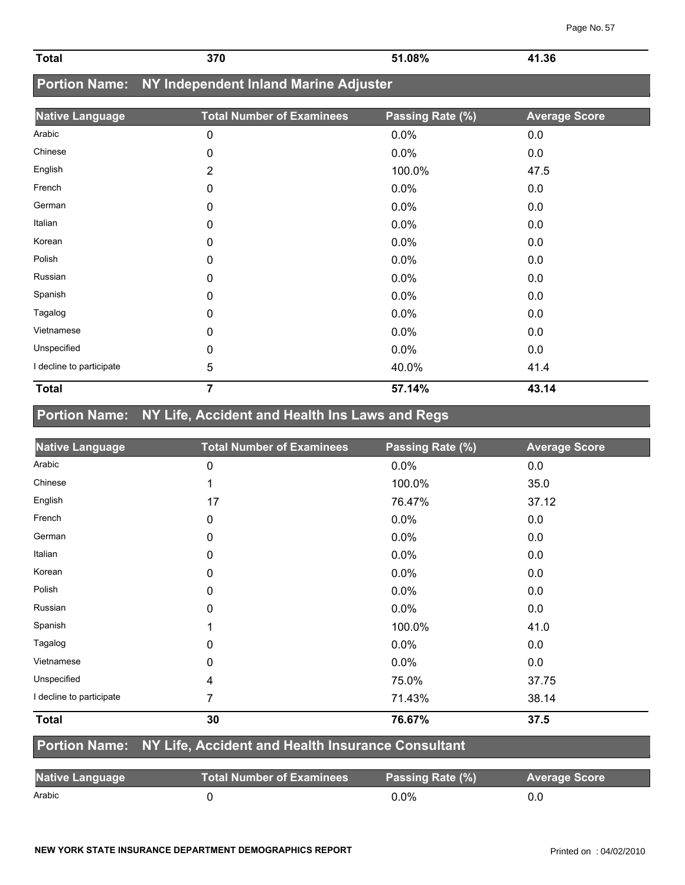| <b>Total</b> | 370  | 51.08% | 41.36 |
|--------------|------|--------|-------|
|              | $ -$ |        | .     |

## **Portion Name: NY Independent Inland Marine Adjuster**

| <b>Native Language</b>   | <b>Total Number of Examinees</b> | Passing Rate (%) | <b>Average Score</b> |
|--------------------------|----------------------------------|------------------|----------------------|
| Arabic                   | 0                                | 0.0%             | 0.0                  |
| Chinese                  | 0                                | 0.0%             | 0.0                  |
| English                  | 2                                | 100.0%           | 47.5                 |
| French                   | 0                                | 0.0%             | 0.0                  |
| German                   | 0                                | 0.0%             | 0.0                  |
| Italian                  | 0                                | 0.0%             | 0.0                  |
| Korean                   | 0                                | 0.0%             | 0.0                  |
| Polish                   | 0                                | 0.0%             | 0.0                  |
| Russian                  | 0                                | 0.0%             | 0.0                  |
| Spanish                  | 0                                | 0.0%             | 0.0                  |
| Tagalog                  | 0                                | 0.0%             | 0.0                  |
| Vietnamese               | 0                                | 0.0%             | 0.0                  |
| Unspecified              | 0                                | 0.0%             | 0.0                  |
| I decline to participate | 5                                | 40.0%            | 41.4                 |
| <b>Total</b>             | $\overline{7}$                   | 57.14%           | 43.14                |

## **Portion Name: NY Life, Accident and Health Ins Laws and Regs**

| <b>Native Language</b>   | <b>Total Number of Examinees</b> | Passing Rate (%) | <b>Average Score</b> |
|--------------------------|----------------------------------|------------------|----------------------|
| Arabic                   | 0                                | 0.0%             | 0.0                  |
| Chinese                  | 1                                | 100.0%           | 35.0                 |
| English                  | 17                               | 76.47%           | 37.12                |
| French                   | 0                                | 0.0%             | 0.0                  |
| German                   | 0                                | 0.0%             | 0.0                  |
| Italian                  | 0                                | 0.0%             | 0.0                  |
| Korean                   | 0                                | 0.0%             | 0.0                  |
| Polish                   | 0                                | 0.0%             | 0.0                  |
| Russian                  | 0                                | 0.0%             | 0.0                  |
| Spanish                  | 1                                | 100.0%           | 41.0                 |
| Tagalog                  | 0                                | 0.0%             | 0.0                  |
| Vietnamese               | 0                                | 0.0%             | 0.0                  |
| Unspecified              | 4                                | 75.0%            | 37.75                |
| I decline to participate | 7                                | 71.43%           | 38.14                |
| <b>Total</b>             | 30                               | 76.67%           | 37.5                 |

#### **Portion Name: NY Life, Accident and Health Insurance Consultant**

| <b>Native Language</b> | <b>Total Number of Examinees</b> | Passing Rate (%) | <b>Average Score</b> |
|------------------------|----------------------------------|------------------|----------------------|
| Arabic                 |                                  | $0.0\%$          | 0.0                  |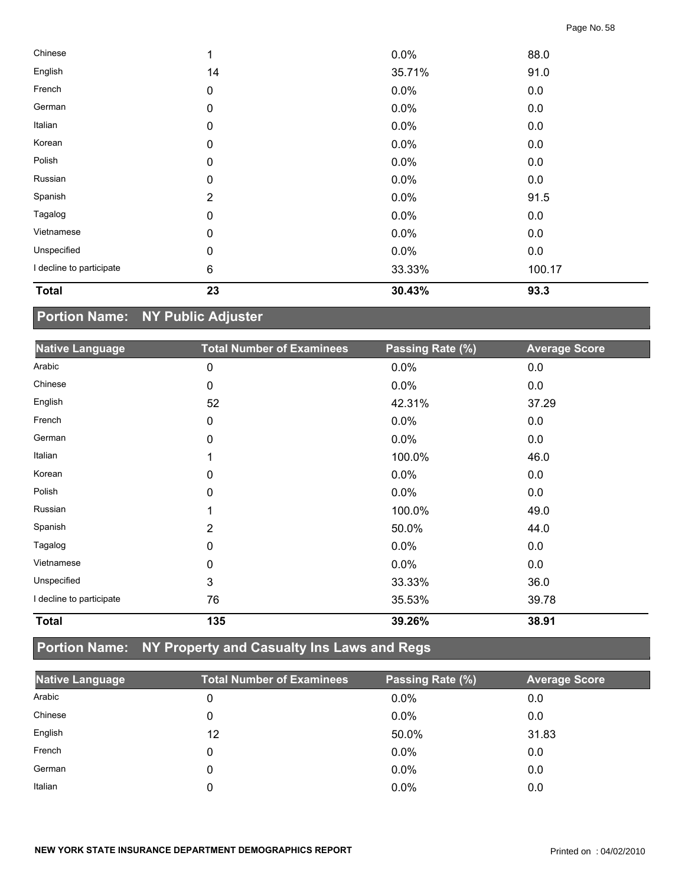| <b>Total</b>             | 23               | 30.43% | 93.3   |  |
|--------------------------|------------------|--------|--------|--|
| I decline to participate | $\,6$            | 33.33% | 100.17 |  |
| Unspecified              | 0                | 0.0%   | 0.0    |  |
| Vietnamese               | $\mathbf 0$      | 0.0%   | 0.0    |  |
| Tagalog                  | $\mathbf 0$      | 0.0%   | 0.0    |  |
| Spanish                  | $\overline{2}$   | 0.0%   | 91.5   |  |
| Russian                  | $\mathbf 0$      | 0.0%   | 0.0    |  |
| Polish                   | $\boldsymbol{0}$ | 0.0%   | 0.0    |  |
| Korean                   | 0                | 0.0%   | 0.0    |  |
| Italian                  | $\boldsymbol{0}$ | 0.0%   | 0.0    |  |
| German                   | $\mathbf 0$      | 0.0%   | 0.0    |  |
| French                   | $\pmb{0}$        | 0.0%   | 0.0    |  |
| English                  | 14               | 35.71% | 91.0   |  |
| Chinese                  | 1                | 0.0%   | 88.0   |  |

# **Portion Name: NY Public Adjuster**

| <b>Native Language</b>   | <b>Total Number of Examinees</b> | Passing Rate (%) | <b>Average Score</b> |
|--------------------------|----------------------------------|------------------|----------------------|
| Arabic                   | 0                                | 0.0%             | 0.0                  |
| Chinese                  | 0                                | 0.0%             | 0.0                  |
| English                  | 52                               | 42.31%           | 37.29                |
| French                   | 0                                | 0.0%             | 0.0                  |
| German                   | 0                                | 0.0%             | 0.0                  |
| Italian                  |                                  | 100.0%           | 46.0                 |
| Korean                   | 0                                | $0.0\%$          | 0.0                  |
| Polish                   | 0                                | 0.0%             | 0.0                  |
| Russian                  |                                  | 100.0%           | 49.0                 |
| Spanish                  | 2                                | 50.0%            | 44.0                 |
| Tagalog                  | 0                                | 0.0%             | 0.0                  |
| Vietnamese               | 0                                | 0.0%             | 0.0                  |
| Unspecified              | 3                                | 33.33%           | 36.0                 |
| I decline to participate | 76                               | 35.53%           | 39.78                |
| <b>Total</b>             | 135                              | 39.26%           | 38.91                |

## **Portion Name: NY Property and Casualty Ins Laws and Regs**

| <b>Native Language</b> | <b>Total Number of Examinees</b> | Passing Rate (%) | <b>Average Score</b> |
|------------------------|----------------------------------|------------------|----------------------|
| Arabic                 | 0                                | $0.0\%$          | 0.0                  |
| Chinese                |                                  | 0.0%             | 0.0                  |
| English                | 12                               | 50.0%            | 31.83                |
| French                 |                                  | 0.0%             | 0.0                  |
| German                 | 0                                | $0.0\%$          | 0.0                  |
| Italian                |                                  | $0.0\%$          | 0.0                  |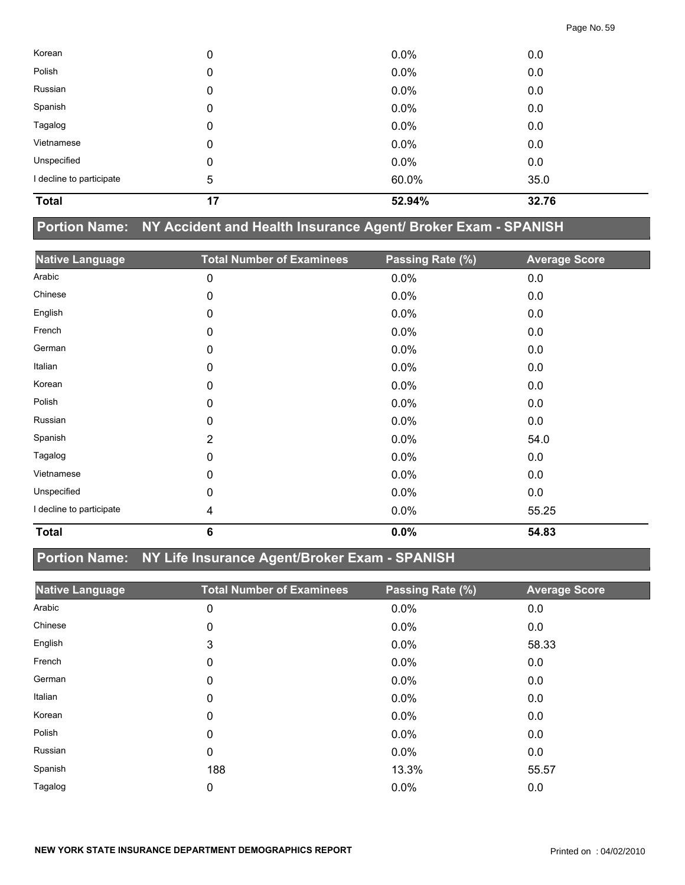| <b>Total</b>             | 17 | 52.94%  | 32.76 |  |
|--------------------------|----|---------|-------|--|
| I decline to participate | 5  | 60.0%   | 35.0  |  |
| Unspecified              | 0  | $0.0\%$ | 0.0   |  |
| Vietnamese               | 0  | 0.0%    | 0.0   |  |
| Tagalog                  | 0  | 0.0%    | 0.0   |  |
| Spanish                  | 0  | 0.0%    | 0.0   |  |
| Russian                  | 0  | 0.0%    | 0.0   |  |
| Polish                   | 0  | 0.0%    | 0.0   |  |
| Korean                   | 0  | 0.0%    | 0.0   |  |

## **Portion Name: NY Accident and Health Insurance Agent/ Broker Exam - SPANISH**

| <b>Native Language</b>   | <b>Total Number of Examinees</b> | Passing Rate (%) | <b>Average Score</b> |
|--------------------------|----------------------------------|------------------|----------------------|
| Arabic                   | 0                                | 0.0%             | 0.0                  |
| Chinese                  | 0                                | 0.0%             | 0.0                  |
| English                  | 0                                | 0.0%             | 0.0                  |
| French                   | 0                                | 0.0%             | 0.0                  |
| German                   | 0                                | 0.0%             | 0.0                  |
| Italian                  | 0                                | 0.0%             | 0.0                  |
| Korean                   | 0                                | 0.0%             | 0.0                  |
| Polish                   | 0                                | 0.0%             | 0.0                  |
| Russian                  | 0                                | 0.0%             | 0.0                  |
| Spanish                  | $\overline{2}$                   | 0.0%             | 54.0                 |
| Tagalog                  | 0                                | 0.0%             | 0.0                  |
| Vietnamese               | 0                                | 0.0%             | 0.0                  |
| Unspecified              | 0                                | $0.0\%$          | 0.0                  |
| I decline to participate | 4                                | 0.0%             | 55.25                |
| <b>Total</b>             | 6                                | 0.0%             | 54.83                |

## **Portion Name: NY Life Insurance Agent/Broker Exam - SPANISH**

| <b>Native Language</b> | <b>Total Number of Examinees</b> | Passing Rate (%) | <b>Average Score</b> |
|------------------------|----------------------------------|------------------|----------------------|
| Arabic                 | 0                                | 0.0%             | 0.0                  |
| Chinese                | 0                                | 0.0%             | 0.0                  |
| English                | 3                                | $0.0\%$          | 58.33                |
| French                 | 0                                | $0.0\%$          | 0.0                  |
| German                 | 0                                | $0.0\%$          | 0.0                  |
| Italian                | 0                                | $0.0\%$          | 0.0                  |
| Korean                 | 0                                | $0.0\%$          | 0.0                  |
| Polish                 | 0                                | $0.0\%$          | 0.0                  |
| Russian                | 0                                | $0.0\%$          | 0.0                  |
| Spanish                | 188                              | 13.3%            | 55.57                |
| Tagalog                | 0                                | 0.0%             | 0.0                  |